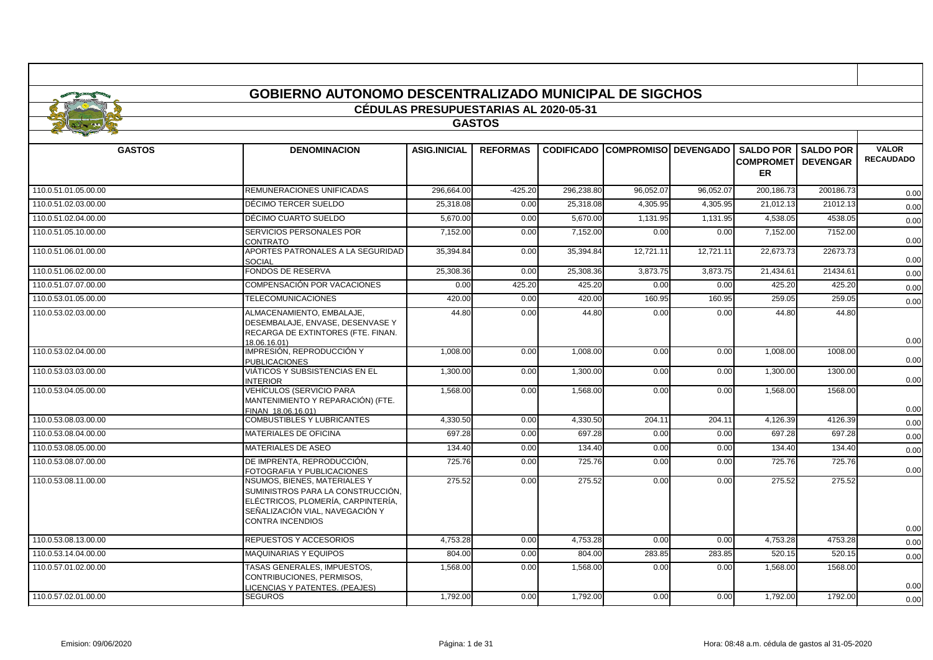|                      | <b>GOBIERNO AUTONOMO DESCENTRALIZADO MUNICIPAL DE SIGCHOS</b>                                                                                                                |                                              |                 |            |                                        |           |                                         |                            |                                  |
|----------------------|------------------------------------------------------------------------------------------------------------------------------------------------------------------------------|----------------------------------------------|-----------------|------------|----------------------------------------|-----------|-----------------------------------------|----------------------------|----------------------------------|
|                      |                                                                                                                                                                              | <b>CÉDULAS PRESUPUESTARIAS AL 2020-05-31</b> |                 |            |                                        |           |                                         |                            |                                  |
|                      |                                                                                                                                                                              |                                              | <b>GASTOS</b>   |            |                                        |           |                                         |                            |                                  |
|                      |                                                                                                                                                                              |                                              |                 |            |                                        |           |                                         |                            |                                  |
| <b>GASTOS</b>        | <b>DENOMINACION</b>                                                                                                                                                          | <b>ASIG.INICIAL</b>                          | <b>REFORMAS</b> |            | <b>CODIFICADO COMPROMISO DEVENGADO</b> |           | <b>COMPROMETI DEVENGAR</b><br><b>ER</b> | <b>SALDO POR SALDO POR</b> | <b>VALOR</b><br><b>RECAUDADO</b> |
| 110.0.51.01.05.00.00 | REMUNERACIONES UNIFICADAS                                                                                                                                                    | 296.664.00                                   | $-425.20$       | 296,238.80 | 96,052.07                              | 96,052.07 | 200,186.73                              | 200186.73                  | 0.00                             |
| 110.0.51.02.03.00.00 | DÉCIMO TERCER SUELDO                                                                                                                                                         | 25,318.08                                    | 0.00            | 25,318.08  | 4,305.95                               | 4,305.95  | 21,012.13                               | 21012.13                   | 0.00                             |
| 110.0.51.02.04.00.00 | DÉCIMO CUARTO SUELDO                                                                                                                                                         | 5,670.00                                     | 0.00            | 5,670.00   | 1,131.95                               | 1,131.95  | 4,538.05                                | 4538.05                    | 0.00                             |
| 110.0.51.05.10.00.00 | SERVICIOS PERSONALES POR<br>CONTRATO                                                                                                                                         | 7,152.00                                     | 0.00            | 7,152.00   | 0.00                                   | 0.00      | 7,152.00                                | 7152.00                    | 0.00                             |
| 110.0.51.06.01.00.00 | APORTES PATRONALES A LA SEGURIDAD<br><b>SOCIAL</b>                                                                                                                           | 35,394.84                                    | 0.00            | 35,394.84  | 12,721.11                              | 12.721.11 | 22,673.73                               | 22673.73                   | 0.00                             |
| 110.0.51.06.02.00.00 | <b>FONDOS DE RESERVA</b>                                                                                                                                                     | 25,308.36                                    | 0.00            | 25,308.36  | 3,873.75                               | 3,873.75  | 21,434.61                               | 21434.61                   | 0.00                             |
| 110.0.51.07.07.00.00 | <b>COMPENSACIÓN POR VACACIONES</b>                                                                                                                                           | 0.00                                         | 425.20          | 425.20     | 0.00                                   | 0.00      | 425.20                                  | 425.20                     | 0.00                             |
| 110.0.53.01.05.00.00 | <b>TELECOMUNICACIONES</b>                                                                                                                                                    | 420.00                                       | 0.00            | 420.00     | 160.95                                 | 160.95    | 259.05                                  | 259.05                     | 0.00                             |
| 110.0.53.02.03.00.00 | ALMACENAMIENTO, EMBALAJE.<br>DESEMBALAJE, ENVASE, DESENVASE Y<br>RECARGA DE EXTINTORES (FTE. FINAN.<br>18.06.16.01)                                                          | 44.80                                        | 0.00            | 44.80      | 0.00                                   | 0.00      | 44.80                                   | 44.80                      | 0.00                             |
| 110.0.53.02.04.00.00 | IMPRESIÓN, REPRODUCCIÓN Y<br><b>PUBLICACIONES</b>                                                                                                                            | 1,008.00                                     | 0.00            | 1,008.00   | 0.00                                   | 0.00      | 1,008.00                                | 1008.00                    | 0.00                             |
| 110.0.53.03.03.00.00 | VIÁTICOS Y SUBSISTENCIAS EN EL<br><b>INTERIOR</b>                                                                                                                            | 1.300.00                                     | 0.00            | 1,300.00   | 0.00                                   | 0.00      | 1.300.00                                | 1300.00                    | 0.00                             |
| 110.0.53.04.05.00.00 | VEHÍCULOS (SERVICIO PARA<br>MANTENIMIENTO Y REPARACIÓN) (FTE.<br>FINAN 18.06.16.01)                                                                                          | 1.568.00                                     | 0.00            | 1,568.00   | 0.00                                   | 0.00      | 1,568.00                                | 1568.00                    | 0.00                             |
| 110.0.53.08.03.00.00 | COMBUSTIBLES Y LUBRICANTES                                                                                                                                                   | 4.330.50                                     | 0.00            | 4,330.50   | 204.11                                 | 204.11    | 4,126.39                                | 4126.39                    | 0.00                             |
| 110.0.53.08.04.00.00 | <b>MATERIALES DE OFICINA</b>                                                                                                                                                 | 697.28                                       | 0.00            | 697.28     | 0.00                                   | 0.00      | 697.28                                  | 697.28                     | 0.00                             |
| 110.0.53.08.05.00.00 | MATERIALES DE ASEO                                                                                                                                                           | 134.40                                       | 0.00            | 134.40     | 0.00                                   | 0.00      | 134.40                                  | 134.40                     | 0.00                             |
| 110.0.53.08.07.00.00 | DE IMPRENTA, REPRODUCCIÓN.<br>FOTOGRAFIA Y PUBLICACIONES                                                                                                                     | 725.76                                       | 0.00            | 725.76     | 0.00                                   | 0.00      | 725.76                                  | 725.76                     | 0.00                             |
| 110.0.53.08.11.00.00 | <b>NSUMOS, BIENES, MATERIALES Y</b><br>SUMINISTROS PARA LA CONSTRUCCIÓN,<br>ELÉCTRICOS, PLOMERÍA, CARPINTERÍA,<br>SEÑALIZACIÓN VIAL, NAVEGACIÓN Y<br><b>CONTRA INCENDIOS</b> | 275.52                                       | 0.00            | 275.52     | 0.00                                   | 0.00      | 275.52                                  | 275.52                     | 0.00                             |
| 110.0.53.08.13.00.00 | REPUESTOS Y ACCESORIOS                                                                                                                                                       | 4,753.28                                     | 0.00            | 4,753.28   | 0.00                                   | 0.00      | 4,753.28                                | 4753.28                    | 0.00                             |
| 110.0.53.14.04.00.00 | <b>MAQUINARIAS Y EQUIPOS</b>                                                                                                                                                 | 804.00                                       | 0.00            | 804.00     | 283.85                                 | 283.85    | 520.15                                  | 520.15                     | 0.00                             |
| 110.0.57.01.02.00.00 | TASAS GENERALES, IMPUESTOS,<br>CONTRIBUCIONES, PERMISOS.<br>LICENCIAS Y PATENTES. (PEAJES)                                                                                   | 1,568.00                                     | 0.00            | 1,568.00   | 0.00                                   | 0.00      | 1,568.00                                | 1568.00                    | 0.00                             |
| 110.0.57.02.01.00.00 | <b>SEGUROS</b>                                                                                                                                                               | 1,792.00                                     | 0.00            | 1,792.00   | 0.00                                   | 0.00      | 1,792.00                                | 1792.00                    | 0.00                             |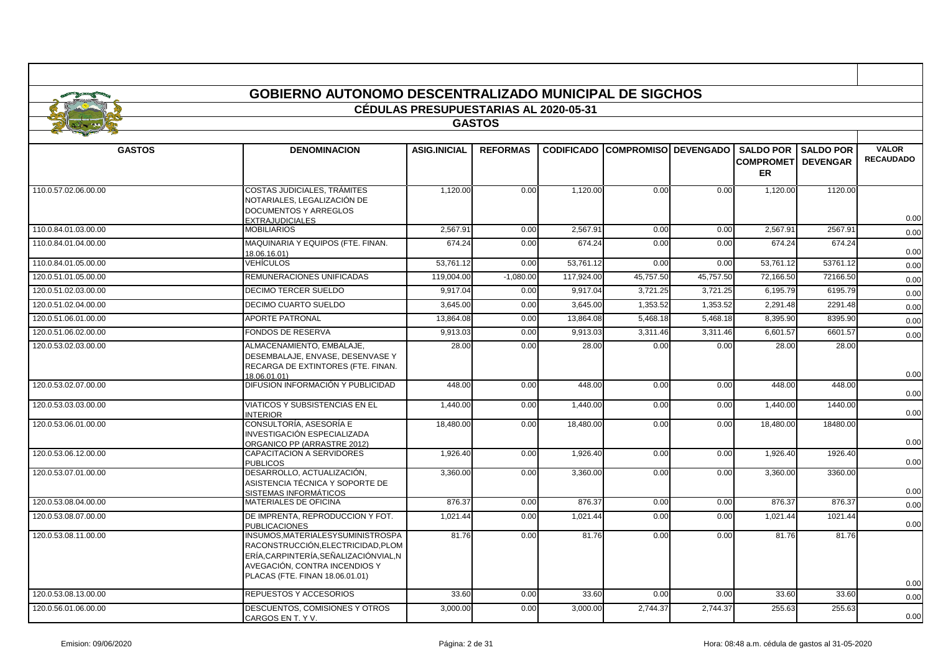|                                       | <b>GOBIERNO AUTONOMO DESCENTRALIZADO MUNICIPAL DE SIGCHOS</b>                                                                                                                     |                     |                 |            |                                         |           |                                                               |                  |                                  |  |  |
|---------------------------------------|-----------------------------------------------------------------------------------------------------------------------------------------------------------------------------------|---------------------|-----------------|------------|-----------------------------------------|-----------|---------------------------------------------------------------|------------------|----------------------------------|--|--|
| CÉDULAS PRESUPUESTARIAS AL 2020-05-31 |                                                                                                                                                                                   |                     |                 |            |                                         |           |                                                               |                  |                                  |  |  |
|                                       |                                                                                                                                                                                   |                     | <b>GASTOS</b>   |            |                                         |           |                                                               |                  |                                  |  |  |
|                                       |                                                                                                                                                                                   |                     |                 |            |                                         |           |                                                               |                  |                                  |  |  |
| <b>GASTOS</b>                         | <b>DENOMINACION</b>                                                                                                                                                               | <b>ASIG.INICIAL</b> | <b>REFORMAS</b> |            | <b>CODIFICADO COMPROMISOI DEVENGADO</b> |           | <b>SALDO POR I</b><br><b>COMPROMETI DEVENGAR</b><br><b>ER</b> | <b>SALDO POR</b> | <b>VALOR</b><br><b>RECAUDADO</b> |  |  |
| 110.0.57.02.06.00.00                  | <b>COSTAS JUDICIALES, TRÁMITES</b><br>NOTARIALES, LEGALIZACIÓN DE<br>DOCUMENTOS Y ARREGLOS<br><b>EXTRAJUDICIALES</b>                                                              | 1,120.00            | 0.00            | 1,120.00   | 0.00                                    | 0.00      | 1,120.00                                                      | 1120.00          | 0.00                             |  |  |
| 110.0.84.01.03.00.00                  | <b>MOBILIARIOS</b>                                                                                                                                                                | 2.567.91            | 0.00            | 2.567.91   | 0.00                                    | 0.00      | 2.567.91                                                      | 2567.91          | 0.00                             |  |  |
| 110.0.84.01.04.00.00                  | MAQUINARIA Y EQUIPOS (FTE. FINAN.<br>18.06.16.01)                                                                                                                                 | 674.24              | 0.00            | 674.24     | 0.00                                    | 0.00      | 674.24                                                        | 674.24           | 0.00                             |  |  |
| 110.0.84.01.05.00.00                  | VEHÍCULOS                                                                                                                                                                         | 53,761.12           | 0.00            | 53,761.12  | 0.00                                    | 0.00      | 53,761.12                                                     | 53761.12         | 0.00                             |  |  |
| 120.0.51.01.05.00.00                  | REMUNERACIONES UNIFICADAS                                                                                                                                                         | 119,004.00          | $-1,080.00$     | 117,924.00 | 45,757.50                               | 45,757.50 | 72,166.50                                                     | 72166.50         | 0.00                             |  |  |
| 120.0.51.02.03.00.00                  | <b>DECIMO TERCER SUELDO</b>                                                                                                                                                       | 9.917.04            | 0.00            | 9,917.04   | 3.721.25                                | 3.721.25  | 6.195.79                                                      | 6195.79          | 0.00                             |  |  |
| 120.0.51.02.04.00.00                  | DECIMO CUARTO SUELDO                                                                                                                                                              | 3,645.00            | 0.00            | 3,645.00   | 1,353.52                                | 1,353.52  | 2,291.48                                                      | 2291.48          | 0.00                             |  |  |
| 120.0.51.06.01.00.00                  | <b>APORTE PATRONAL</b>                                                                                                                                                            | 13.864.08           | 0.00            | 13.864.08  | 5.468.18                                | 5.468.18  | 8.395.90                                                      | 8395.90          | 0.00                             |  |  |
| 120.0.51.06.02.00.00                  | <b>FONDOS DE RESERVA</b>                                                                                                                                                          | 9,913.03            | 0.00            | 9,913.03   | 3,311.46                                | 3,311.46  | 6,601.57                                                      | 6601.57          | 0.00                             |  |  |
| 120.0.53.02.03.00.00                  | ALMACENAMIENTO, EMBALAJE,<br>DESEMBALAJE. ENVASE. DESENVASE Y<br>RECARGA DE EXTINTORES (FTE. FINAN.<br>18.06.01.01)                                                               | 28.00               | 0.00            | 28.00      | 0.00                                    | 0.00      | 28.00                                                         | 28.00            | 0.00                             |  |  |
| 120.0.53.02.07.00.00                  | DIFUSION INFORMACIÓN Y PUBLICIDAD                                                                                                                                                 | 448.00              | 0.00            | 448.00     | 0.00                                    | 0.00      | 448.00                                                        | 448.00           | 0.00                             |  |  |
| 120.0.53.03.03.00.00                  | <b>VIATICOS Y SUBSISTENCIAS EN EL</b><br><b>NTERIOR</b>                                                                                                                           | 1,440.00            | 0.00            | 1,440.00   | 0.00                                    | 0.00      | 1,440.00                                                      | 1440.00          | 0.00                             |  |  |
| 120.0.53.06.01.00.00                  | CONSULTORÍA. ASESORÍA E<br>INVESTIGACIÓN ESPECIALIZADA<br>ORGANICO PP (ARRASTRE 2012)                                                                                             | 18,480.00           | 0.00            | 18,480.00  | 0.00                                    | 0.00      | 18,480.00                                                     | 18480.00         | 0.00                             |  |  |
| 120.0.53.06.12.00.00                  | <b>CAPACITACION A SERVIDORES</b><br><b>PUBLICOS</b>                                                                                                                               | 1,926.40            | 0.00            | 1,926.40   | 0.00                                    | 0.00      | 1.926.40                                                      | 1926.40          | 0.00                             |  |  |
| 120.0.53.07.01.00.00                  | DESARROLLO, ACTUALIZACIÓN,<br>ASISTENCIA TÉCNICA Y SOPORTE DE<br>SISTEMAS INFORMÁTICOS                                                                                            | 3,360.00            | 0.00            | 3,360.00   | 0.00                                    | 0.00      | 3,360.00                                                      | 3360.00          | 0.00                             |  |  |
| 120.0.53.08.04.00.00                  | <b>MATERIALES DE OFICINA</b>                                                                                                                                                      | 876.37              | 0.00            | 876.37     | 0.00                                    | 0.00      | 876.37                                                        | 876.37           | 0.00                             |  |  |
| 120.0.53.08.07.00.00                  | DE IMPRENTA, REPRODUCCION Y FOT.<br><b>PUBLICACIONES</b>                                                                                                                          | 1,021.44            | 0.00            | 1,021.44   | 0.00                                    | 0.00      | 1,021.44                                                      | 1021.44          | 0.00                             |  |  |
| 120.0.53.08.11.00.00                  | INSUMOS, MATERIALESY SUMINISTROSPA<br>RACONSTRUCCIÓN.ELECTRICIDAD.PLOM<br>ERÍA,CARPINTERÍA,SEÑALIZACIÓNVIAL,N<br>AVEGACIÓN, CONTRA INCENDIOS Y<br>PLACAS (FTE. FINAN 18.06.01.01) | 81.76               | 0.00            | 81.76      | 0.00                                    | 0.00      | 81.76                                                         | 81.76            | 0.00                             |  |  |
| 120.0.53.08.13.00.00                  | REPUESTOS Y ACCESORIOS                                                                                                                                                            | 33.60               | 0.00            | 33.60      | 0.00                                    | 0.00      | 33.60                                                         | 33.60            | 0.00                             |  |  |
| 120.0.56.01.06.00.00                  | DESCUENTOS, COMISIONES Y OTROS<br>CARGOS EN T. Y V.                                                                                                                               | 3,000.00            | 0.00            | 3,000.00   | 2,744.37                                | 2,744.37  | 255.63                                                        | 255.63           | 0.00                             |  |  |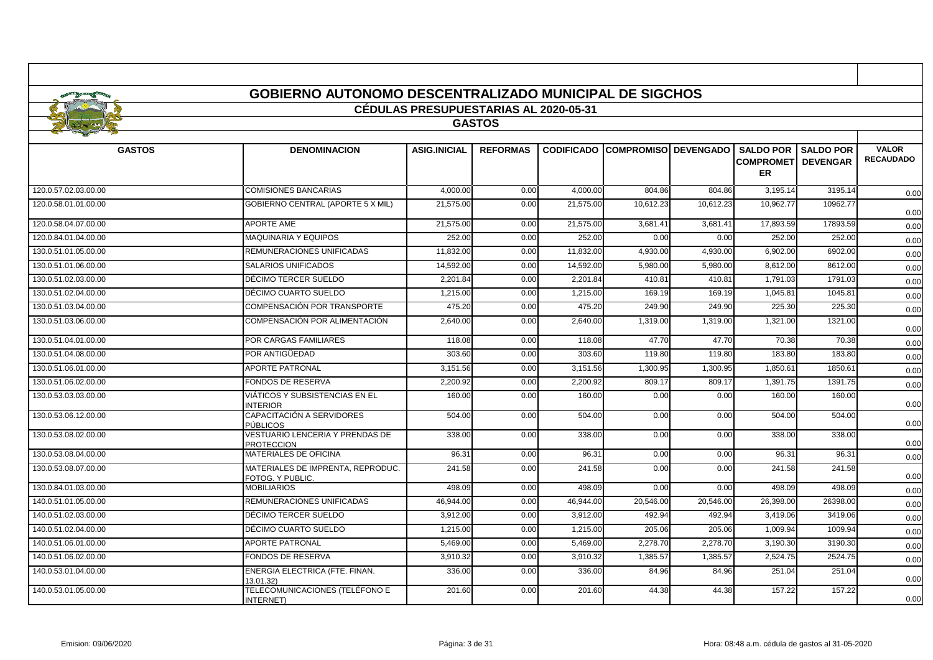|                      | <b>GOBIERNO AUTONOMO DESCENTRALIZADO MUNICIPAL DE SIGCHOS</b> |                                              |                 |           |                                         |           |                                                             |                  |                                  |
|----------------------|---------------------------------------------------------------|----------------------------------------------|-----------------|-----------|-----------------------------------------|-----------|-------------------------------------------------------------|------------------|----------------------------------|
|                      |                                                               | <b>CÉDULAS PRESUPUESTARIAS AL 2020-05-31</b> |                 |           |                                         |           |                                                             |                  |                                  |
|                      |                                                               |                                              | <b>GASTOS</b>   |           |                                         |           |                                                             |                  |                                  |
|                      |                                                               |                                              |                 |           |                                         |           |                                                             |                  |                                  |
| <b>GASTOS</b>        | <b>DENOMINACION</b>                                           | <b>ASIG.INICIAL</b>                          | <b>REFORMAS</b> |           | <b>CODIFICADO COMPROMISOI DEVENGADO</b> |           | <b>SALDO POR</b><br><b>COMPROMETI DEVENGAR</b><br><b>ER</b> | <b>SALDO POR</b> | <b>VALOR</b><br><b>RECAUDADO</b> |
| 120.0.57.02.03.00.00 | <b>COMISIONES BANCARIAS</b>                                   | 4,000.00                                     | 0.00            | 4,000.00  | 804.86                                  | 804.86    | 3,195.14                                                    | 3195.14          | 0.00                             |
| 120.0.58.01.01.00.00 | <b>GOBIERNO CENTRAL (APORTE 5 X MIL)</b>                      | 21,575.00                                    | 0.00            | 21,575.00 | 10,612.23                               | 10,612.23 | 10,962.77                                                   | 10962.77         | 0.00                             |
| 120.0.58.04.07.00.00 | <b>APORTE AME</b>                                             | 21,575.00                                    | 0.00            | 21,575.00 | 3,681.4'                                | 3,681.41  | 17,893.59                                                   | 17893.59         | 0.00                             |
| 120.0.84.01.04.00.00 | <b>MAQUINARIA Y EQUIPOS</b>                                   | 252.00                                       | 0.00            | 252.00    | 0.00                                    | 0.00      | 252.00                                                      | 252.00           | 0.00                             |
| 130.0.51.01.05.00.00 | REMUNERACIONES UNIFICADAS                                     | 11,832.00                                    | 0.00            | 11,832.00 | 4,930.00                                | 4,930.00  | 6,902.00                                                    | 6902.00          | 0.00                             |
| 130.0.51.01.06.00.00 | <b>SALARIOS UNIFICADOS</b>                                    | 14,592.00                                    | 0.00            | 14,592.00 | 5,980.00                                | 5,980.00  | 8.612.00                                                    | 8612.00          | 0.00                             |
| 130.0.51.02.03.00.00 | DÉCIMO TERCER SUELDO                                          | 2.201.84                                     | 0.00            | 2.201.84  | 410.81                                  | 410.81    | 1.791.03                                                    | 1791.03          | 0.00                             |
| 130.0.51.02.04.00.00 | DÉCIMO CUARTO SUELDO                                          | 1,215.00                                     | 0.00            | 1,215.00  | 169.19                                  | 169.19    | 1,045.81                                                    | 1045.81          | 0.00                             |
| 130.0.51.03.04.00.00 | COMPENSACIÓN POR TRANSPORTE                                   | 475.20                                       | 0.00            | 475.20    | 249.90                                  | 249.90    | 225.30                                                      | 225.30           | 0.00                             |
| 130.0.51.03.06.00.00 | COMPENSACIÓN POR ALIMENTACIÓN                                 | 2.640.00                                     | 0.00            | 2.640.00  | 1.319.00                                | 1.319.00  | 1.321.00                                                    | 1321.00          | 0.00                             |
| 130.0.51.04.01.00.00 | POR CARGAS FAMILIARES                                         | 118.08                                       | 0.00            | 118.08    | 47.70                                   | 47.70     | 70.38                                                       | 70.38            | 0.00                             |
| 130.0.51.04.08.00.00 | POR ANTIGÜEDAD                                                | 303.60                                       | 0.00            | 303.60    | 119.80                                  | 119.80    | 183.80                                                      | 183.80           | 0.00                             |
| 130.0.51.06.01.00.00 | <b>APORTE PATRONAL</b>                                        | 3,151.56                                     | 0.00            | 3,151.56  | 1,300.95                                | 1,300.95  | 1,850.6                                                     | 1850.61          | 0.00                             |
| 130.0.51.06.02.00.00 | <b>FONDOS DE RESERVA</b>                                      | 2.200.92                                     | 0.00            | 2.200.92  | 809.17                                  | 809.17    | 1.391.75                                                    | 1391.75          | 0.00                             |
| 130.0.53.03.03.00.00 | VIÁTICOS Y SUBSISTENCIAS EN EL<br><b>INTERIOR</b>             | 160.00                                       | 0.00            | 160.00    | 0.00                                    | 0.00      | 160.00                                                      | 160.00           | 0.00                             |
| 130.0.53.06.12.00.00 | CAPACITACIÓN A SERVIDORES<br>PÚBLICOS                         | 504.00                                       | 0.00            | 504.00    | 0.00                                    | 0.00      | 504.00                                                      | 504.00           | 0.00                             |
| 130.0.53.08.02.00.00 | VESTUARIO LENCERIA Y PRENDAS DE<br><b>PROTECCION</b>          | 338.00                                       | 0.00            | 338.00    | 0.00                                    | 0.00      | 338.00                                                      | 338.00           | 0.00                             |
| 130.0.53.08.04.00.00 | <b>MATERIALES DE OFICINA</b>                                  | 96.31                                        | 0.00            | 96.31     | 0.00                                    | 0.00      | 96.31                                                       | 96.31            | 0.00                             |
| 130.0.53.08.07.00.00 | MATERIALES DE IMPRENTA, REPRODUC.<br>FOTOG. Y PUBLIC.         | 241.58                                       | 0.00            | 241.58    | 0.00                                    | 0.00      | 241.58                                                      | 241.58           | 0.00                             |
| 130.0.84.01.03.00.00 | <b>MOBILIARIOS</b>                                            | 498.09                                       | 0.00            | 498.09    | 0.00                                    | 0.00      | 498.09                                                      | 498.09           | 0.00                             |
| 140.0.51.01.05.00.00 | REMUNERACIONES UNIFICADAS                                     | 46,944.00                                    | 0.00            | 46,944.00 | 20,546.00                               | 20,546.00 | 26,398.00                                                   | 26398.00         | 0.00                             |
| 140.0.51.02.03.00.00 | DÉCIMO TERCER SUELDO                                          | 3.912.00                                     | 0.00            | 3.912.00  | 492.94                                  | 492.94    | 3.419.06                                                    | 3419.06          | 0.00                             |
| 140.0.51.02.04.00.00 | DÉCIMO CUARTO SUELDO                                          | 1,215.00                                     | 0.00            | 1,215.00  | 205.06                                  | 205.06    | 1,009.94                                                    | 1009.94          | 0.00                             |
| 140.0.51.06.01.00.00 | <b>APORTE PATRONAL</b>                                        | 5,469.00                                     | 0.00            | 5,469.00  | 2,278.70                                | 2,278.70  | 3,190.30                                                    | 3190.30          | 0.00                             |
| 140.0.51.06.02.00.00 | <b>FONDOS DE RESERVA</b>                                      | 3.910.32                                     | 0.00            | 3,910.32  | 1,385.57                                | 1,385.57  | 2.524.75                                                    | 2524.75          | 0.00                             |
| 140.0.53.01.04.00.00 | ENERGIA ELECTRICA (FTE. FINAN.<br>13.01.32)                   | 336.00                                       | 0.00            | 336.00    | 84.96                                   | 84.96     | 251.04                                                      | 251.04           | 0.00                             |
| 140.0.53.01.05.00.00 | TELECOMUNICACIONES (TELÉFONO E<br>INTERNET)                   | 201.60                                       | 0.00            | 201.60    | 44.38                                   | 44.38     | 157.22                                                      | 157.22           | 0.00                             |

- F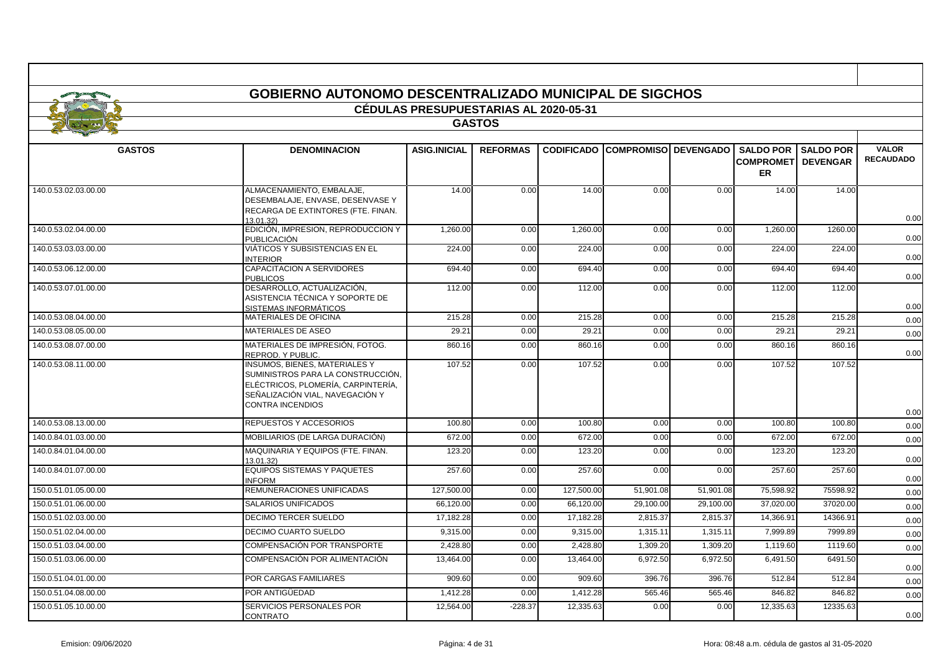|                      | GOBIERNO AUTONOMO DESCENTRALIZADO MUNICIPAL DE SIGCHOS                                                                                                                        | <b>CÉDULAS PRESUPUESTARIAS AL 2020-05-31</b> |                 |                   |                             |           |                                         |                              |                                  |
|----------------------|-------------------------------------------------------------------------------------------------------------------------------------------------------------------------------|----------------------------------------------|-----------------|-------------------|-----------------------------|-----------|-----------------------------------------|------------------------------|----------------------------------|
|                      |                                                                                                                                                                               |                                              | <b>GASTOS</b>   |                   |                             |           |                                         |                              |                                  |
|                      |                                                                                                                                                                               |                                              |                 |                   |                             |           |                                         |                              |                                  |
| <b>GASTOS</b>        | <b>DENOMINACION</b>                                                                                                                                                           | <b>ASIG.INICIAL</b>                          | <b>REFORMAS</b> | <b>CODIFICADO</b> | <b>COMPROMISO DEVENGADO</b> |           | <b>COMPROMETI DEVENGAR</b><br><b>ER</b> | <b>SALDO POR   SALDO POR</b> | <b>VALOR</b><br><b>RECAUDADO</b> |
| 140.0.53.02.03.00.00 | ALMACENAMIENTO, EMBALAJE,<br>DESEMBALAJE, ENVASE, DESENVASE Y<br>RECARGA DE EXTINTORES (FTE. FINAN.<br>13.01.32)                                                              | 14.00                                        | 0.00            | 14.00             | 0.00                        | 0.00      | 14.00                                   | 14.00                        | 0.00                             |
| 140.0.53.02.04.00.00 | EDICIÓN, IMPRESION, REPRODUCCION Y<br><b>PUBLICACIÓN</b>                                                                                                                      | 1,260.00                                     | 0.00            | 1,260.00          | 0.00                        | 0.00      | 1,260.00                                | 1260.00                      | 0.00                             |
| 140.0.53.03.03.00.00 | VIÁTICOS Y SUBSISTENCIAS EN EL<br><b>INTERIOR</b>                                                                                                                             | 224.00                                       | 0.00            | 224.00            | 0.00                        | 0.00      | 224.00                                  | 224.00                       | 0.00                             |
| 140.0.53.06.12.00.00 | CAPACITACION A SERVIDORES<br><b>PUBLICOS</b>                                                                                                                                  | 694.40                                       | 0.00            | 694.40            | 0.00                        | 0.00      | 694.40                                  | 694.40                       | 0.00                             |
| 140.0.53.07.01.00.00 | DESARROLLO, ACTUALIZACIÓN,<br>ASISTENCIA TÉCNICA Y SOPORTE DE<br>SISTEMAS INFORMÁTICOS                                                                                        | 112.00                                       | 0.00            | 112.00            | 0.00                        | 0.00      | 112.00                                  | 112.00                       | 0.00                             |
| 140.0.53.08.04.00.00 | MATERIALES DE OFICINA                                                                                                                                                         | 215.28                                       | 0.00            | 215.28            | 0.00                        | 0.00      | 215.28                                  | 215.28                       | 0.00                             |
| 140.0.53.08.05.00.00 | MATERIALES DE ASEO                                                                                                                                                            | 29.21                                        | 0.00            | $29.2^{\circ}$    | 0.00                        | 0.00      | 29.21                                   | 29.21                        | 0.00                             |
| 140.0.53.08.07.00.00 | MATERIALES DE IMPRESIÓN, FOTOG.<br>REPROD, Y PUBLIC.                                                                                                                          | 860.16                                       | 0.00            | 860.16            | 0.00                        | 0.00      | 860.16                                  | 860.16                       | 0.00                             |
| 140.0.53.08.11.00.00 | <b>INSUMOS, BIENES, MATERIALES Y</b><br>SUMINISTROS PARA LA CONSTRUCCIÓN.<br>ELÉCTRICOS, PLOMERÍA, CARPINTERÍA,<br>SEÑALIZACIÓN VIAL, NAVEGACIÓN Y<br><b>CONTRA INCENDIOS</b> | 107.52                                       | 0.00            | 107.52            | 0.00                        | 0.00      | 107.52                                  | 107.52                       | 0.00                             |
| 140.0.53.08.13.00.00 | REPUESTOS Y ACCESORIOS                                                                                                                                                        | 100.80                                       | 0.00            | 100.80            | 0.00                        | 0.00      | 100.80                                  | 100.80                       | 0.00                             |
| 140.0.84.01.03.00.00 | MOBILIARIOS (DE LARGA DURACIÓN)                                                                                                                                               | 672.00                                       | 0.00            | 672.00            | 0.00                        | 0.00      | 672.00                                  | 672.00                       | 0.00                             |
| 140.0.84.01.04.00.00 | MAQUINARIA Y EQUIPOS (FTE. FINAN.<br>13.01.32)                                                                                                                                | 123.20                                       | 0.00            | 123.20            | 0.00                        | 0.00      | 123.20                                  | 123.20                       | 0.00                             |
| 140.0.84.01.07.00.00 | <b>EQUIPOS SISTEMAS Y PAQUETES</b><br><b>INFORM</b>                                                                                                                           | 257.60                                       | 0.00            | 257.60            | 0.00                        | 0.00      | 257.60                                  | 257.60                       | 0.00                             |
| 150.0.51.01.05.00.00 | <b>REMUNERACIONES UNIFICADAS</b>                                                                                                                                              | 127,500.00                                   | 0.00            | 127,500.00        | 51,901.08                   | 51,901.08 | 75,598.92                               | 75598.92                     | 0.00                             |
| 150.0.51.01.06.00.00 | <b>SALARIOS UNIFICADOS</b>                                                                                                                                                    | 66.120.00                                    | 0.00            | 66.120.00         | 29,100.00                   | 29,100.00 | 37.020.00                               | 37020.00                     | 0.00                             |
| 150.0.51.02.03.00.00 | DECIMO TERCER SUELDO                                                                                                                                                          | 17,182.28                                    | 0.00            | 17,182.28         | 2,815.37                    | 2,815.37  | 14,366.91                               | 14366.91                     | 0.00                             |
| 150.0.51.02.04.00.00 | <b>DECIMO CUARTO SUELDO</b>                                                                                                                                                   | 9.315.00                                     | 0.00            | 9,315.00          | 1,315.11                    | 1,315.11  | 7,999.89                                | 7999.89                      | 0.00                             |
| 150.0.51.03.04.00.00 | COMPENSACIÓN POR TRANSPORTE                                                                                                                                                   | 2,428.80                                     | 0.00            | 2,428.80          | 1,309.20                    | 1,309.20  | 1,119.60                                | 1119.60                      | 0.00                             |
| 150.0.51.03.06.00.00 | COMPENSACIÓN POR ALIMENTACIÓN                                                                                                                                                 | 13.464.00                                    | 0.00            | 13.464.00         | 6.972.50                    | 6.972.50  | 6,491.50                                | 6491.50                      | 0.00                             |
| 150.0.51.04.01.00.00 | POR CARGAS FAMILIARES                                                                                                                                                         | 909.60                                       | 0.00            | 909.60            | 396.76                      | 396.76    | 512.84                                  | 512.84                       | 0.00                             |
| 150.0.51.04.08.00.00 | POR ANTIGÜEDAD                                                                                                                                                                | 1,412.28                                     | 0.00            | 1,412.28          | 565.46                      | 565.46    | 846.82                                  | 846.82                       | 0.00                             |
| 150.0.51.05.10.00.00 | SERVICIOS PERSONALES POR                                                                                                                                                      | 12,564.00                                    | $-228.37$       | 12,335.63         | 0.00                        | 0.00      | 12,335.63                               | 12335.63                     | 0.00                             |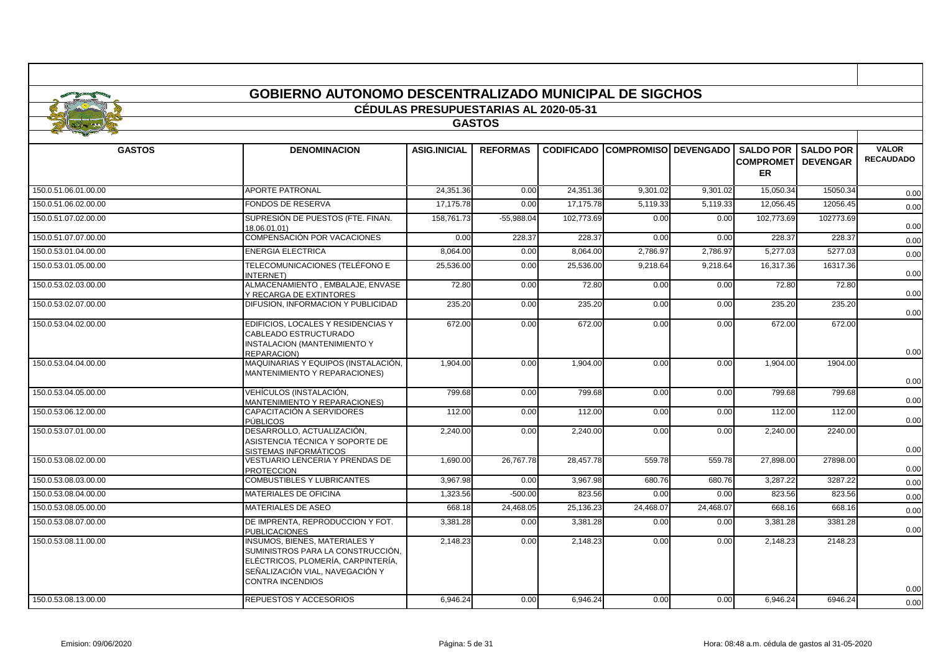|                      | <b>GOBIERNO AUTONOMO DESCENTRALIZADO MUNICIPAL DE SIGCHOS</b>                                                                                                                 |                                       |                 |            |                                        |           |                  |                            |                                  |
|----------------------|-------------------------------------------------------------------------------------------------------------------------------------------------------------------------------|---------------------------------------|-----------------|------------|----------------------------------------|-----------|------------------|----------------------------|----------------------------------|
|                      |                                                                                                                                                                               | CÉDULAS PRESUPUESTARIAS AL 2020-05-31 |                 |            |                                        |           |                  |                            |                                  |
|                      |                                                                                                                                                                               |                                       | <b>GASTOS</b>   |            |                                        |           |                  |                            |                                  |
| <b>GASTOS</b>        | <b>DENOMINACION</b>                                                                                                                                                           | <b>ASIG.INICIAL</b>                   | <b>REFORMAS</b> |            | <b>CODIFICADO COMPROMISO DEVENGADO</b> |           | <b>SALDO POR</b> | <b>SALDO POR</b>           | <b>VALOR</b><br><b>RECAUDADO</b> |
|                      |                                                                                                                                                                               |                                       |                 |            |                                        |           | <b>ER</b>        | <b>COMPROMET  DEVENGAR</b> |                                  |
| 150.0.51.06.01.00.00 | <b>APORTE PATRONAL</b>                                                                                                                                                        | 24,351.36                             | 0.00            | 24.351.36  | 9,301.02                               | 9,301.02  | 15,050.34        | 15050.34                   | 0.00                             |
| 150.0.51.06.02.00.00 | <b>FONDOS DE RESERVA</b>                                                                                                                                                      | 17,175.78                             | 0.00            | 17.175.78  | 5,119.33                               | 5,119.33  | 12,056.45        | 12056.45                   | 0.00                             |
| 150.0.51.07.02.00.00 | SUPRESIÓN DE PUESTOS (FTE, FINAN.<br>18.06.01.01)                                                                                                                             | 158,761.73                            | -55.988.04      | 102.773.69 | 0.00                                   | 0.00      | 102.773.69       | 102773.69                  | 0.00                             |
| 150.0.51.07.07.00.00 | COMPENSACIÓN POR VACACIONES                                                                                                                                                   | 0.00                                  | 228.37          | 228.37     | 0.00                                   | 0.00      | 228.37           | 228.37                     | 0.00                             |
| 150.0.53.01.04.00.00 | <b>ENERGIA ELECTRICA</b>                                                                                                                                                      | 8,064.00                              | 0.00            | 8.064.00   | 2,786.97                               | 2,786.97  | 5.277.03         | 5277.03                    | 0.00                             |
| 150.0.53.01.05.00.00 | TELECOMUNICACIONES (TELÉFONO E<br>INTERNET)                                                                                                                                   | 25,536.00                             | 0.00            | 25,536.00  | 9,218.64                               | 9,218.64  | 16,317.36        | 16317.36                   | 0.00                             |
| 150.0.53.02.03.00.00 | ALMACENAMIENTO, EMBALAJE, ENVASE<br>Y RECARGA DE EXTINTORES                                                                                                                   | 72.80                                 | 0.00            | 72.80      | 0.00                                   | 0.00      | 72.80            | 72.80                      | 0.00                             |
| 150.0.53.02.07.00.00 | DIFUSION, INFORMACION Y PUBLICIDAD                                                                                                                                            | 235.20                                | 0.00            | 235.20     | 0.00                                   | 0.00      | 235.20           | 235.20                     | 0.00                             |
| 150.0.53.04.02.00.00 | EDIFICIOS, LOCALES Y RESIDENCIAS Y<br>CABLEADO ESTRUCTURADO<br><b>INSTALACION (MANTENIMIENTO Y</b><br><b>REPARACION)</b>                                                      | 672.00                                | 0.00            | 672.00     | 0.00                                   | 0.00      | 672.00           | 672.00                     | 0.00                             |
| 150.0.53.04.04.00.00 | MAQUINARIAS Y EQUIPOS (INSTALACIÓN,<br>MANTENIMIENTO Y REPARACIONES)                                                                                                          | 1,904.00                              | 0.00            | 1,904.00   | 0.00                                   | 0.00      | 1,904.00         | 1904.00                    | 0.00                             |
| 150.0.53.04.05.00.00 | VEHÍCULOS (INSTALACIÓN,<br>MANTENIMIENTO Y REPARACIONES)                                                                                                                      | 799.68                                | 0.00            | 799.68     | 0.00                                   | 0.00      | 799.68           | 799.68                     | 0.00                             |
| 150.0.53.06.12.00.00 | CAPACITACIÓN A SERVIDORES<br>PÚBLICOS                                                                                                                                         | 112.00                                | 0.00            | 112.00     | 0.00                                   | 0.00      | 112.00           | 112.00                     | 0.00                             |
| 150.0.53.07.01.00.00 | DESARROLLO, ACTUALIZACIÓN,<br>ASISTENCIA TÉCNICA Y SOPORTE DE<br>SISTEMAS INFORMÁTICOS                                                                                        | 2,240.00                              | 0.00            | 2.240.00   | 0.00                                   | 0.00      | 2.240.00         | 2240.00                    | 0.00                             |
| 150.0.53.08.02.00.00 | VESTUARIO LENCERIA Y PRENDAS DE<br><b>PROTECCION</b>                                                                                                                          | 1,690.00                              | 26,767.78       | 28,457.78  | 559.78                                 | 559.78    | 27,898.00        | 27898.00                   | 0.00                             |
| 150.0.53.08.03.00.00 | <b>COMBUSTIBLES Y LUBRICANTES</b>                                                                                                                                             | 3,967.98                              | 0.00            | 3,967.98   | 680.76                                 | 680.76    | 3,287.22         | 3287.22                    | 0.00                             |
| 150.0.53.08.04.00.00 | MATERIALES DE OFICINA                                                                                                                                                         | 1.323.56                              | $-500.00$       | 823.56     | 0.00                                   | 0.00      | 823.56           | 823.56                     | 0.00                             |
| 150.0.53.08.05.00.00 | <b>MATERIALES DE ASEO</b>                                                                                                                                                     | 668.18                                | 24,468.05       | 25,136.23  | 24,468.07                              | 24,468.07 | 668.16           | 668.16                     | 0.00                             |
| 150.0.53.08.07.00.00 | DE IMPRENTA, REPRODUCCION Y FOT.<br><b>PUBLICACIONES</b>                                                                                                                      | 3,381.28                              | 0.00            | 3,381.28   | 0.00                                   | 0.00      | 3,381.28         | 3381.28                    | 0.00                             |
| 150.0.53.08.11.00.00 | <b>INSUMOS, BIENES, MATERIALES Y</b><br>SUMINISTROS PARA LA CONSTRUCCIÓN.<br>ELÉCTRICOS, PLOMERÍA, CARPINTERÍA,<br>SEÑALIZACIÓN VIAL. NAVEGACIÓN Y<br><b>CONTRA INCENDIOS</b> | 2.148.23                              | 0.00            | 2.148.23   | 0.00                                   | 0.00      | 2.148.23         | 2148.23                    | 0.00                             |
| 150.0.53.08.13.00.00 | REPUESTOS Y ACCESORIOS                                                                                                                                                        | 6,946.24                              | 0.00            | 6,946.24   | 0.00                                   | 0.00      | 6,946.24         | 6946.24                    | 0.00                             |

-F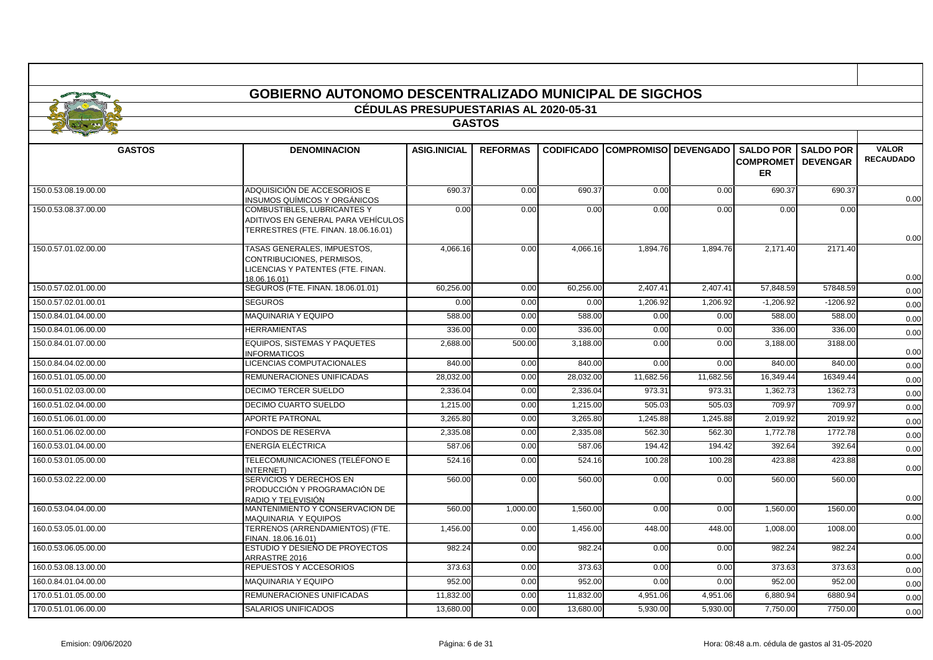|                      | GOBIERNO AUTONOMO DESCENTRALIZADO MUNICIPAL DE SIGCHOS                                                           |                                              |                 |                   |                               |           |                                                    |                                     |                                  |  |
|----------------------|------------------------------------------------------------------------------------------------------------------|----------------------------------------------|-----------------|-------------------|-------------------------------|-----------|----------------------------------------------------|-------------------------------------|----------------------------------|--|
|                      |                                                                                                                  | <b>CÉDULAS PRESUPUESTARIAS AL 2020-05-31</b> |                 |                   |                               |           |                                                    |                                     |                                  |  |
|                      |                                                                                                                  |                                              | <b>GASTOS</b>   |                   |                               |           |                                                    |                                     |                                  |  |
|                      |                                                                                                                  |                                              |                 |                   |                               |           |                                                    |                                     |                                  |  |
| <b>GASTOS</b>        | <b>DENOMINACION</b>                                                                                              | <b>ASIG.INICIAL</b>                          | <b>REFORMAS</b> | <b>CODIFICADO</b> | <b>ICOMPROMISOI DEVENGADO</b> |           | <b>SALDO POR</b><br><b>COMPROMETI</b><br><b>ER</b> | <b>SALDO POR</b><br><b>DEVENGAR</b> | <b>VALOR</b><br><b>RECAUDADO</b> |  |
| 150.0.53.08.19.00.00 | ADQUISICIÓN DE ACCESORIOS E<br><b>INSUMOS QUÍMICOS Y ORGÁNICOS</b>                                               | 690.37                                       | 0.00            | 690.37            | 0.00                          | 0.00      | 690.37                                             | 690.37                              | 0.00                             |  |
| 150.0.53.08.37.00.00 | <b>COMBUSTIBLES, LUBRICANTES Y</b><br>ADITIVOS EN GENERAL PARA VEHÍCULOS<br>TERRESTRES (FTE. FINAN. 18.06.16.01) | 0.00                                         | 0.00            | 0.00              | 0.00                          | 0.00      | 0.00                                               | 0.00                                | 0.00                             |  |
| 150.0.57.01.02.00.00 | TASAS GENERALES, IMPUESTOS,<br>CONTRIBUCIONES, PERMISOS,<br>LICENCIAS Y PATENTES (FTE. FINAN.<br>18.06.16.01)    | 4.066.16                                     | 0.00            | 4,066.16          | 1.894.76                      | 1.894.76  | 2.171.40                                           | 2171.40                             | 0.00                             |  |
| 150.0.57.02.01.00.00 | SEGUROS (FTE. FINAN. 18.06.01.01)                                                                                | 60,256.00                                    | 0.00            | 60,256.00         | 2,407.41                      | 2,407.41  | 57,848.59                                          | 57848.59                            | 0.00                             |  |
| 150.0.57.02.01.00.01 | <b>SEGUROS</b>                                                                                                   | 0.00                                         | 0.00            | 0.00              | 1.206.92                      | 1.206.92  | $-1.206.92$                                        | $-1206.92$                          | 0.00                             |  |
| 150.0.84.01.04.00.00 | MAQUINARIA Y EQUIPO                                                                                              | 588.00                                       | 0.00            | 588.00            | 0.00                          | 0.00      | 588.00                                             | 588.00                              | 0.00                             |  |
| 150.0.84.01.06.00.00 | <b>HERRAMIENTAS</b>                                                                                              | 336.00                                       | 0.00            | 336.00            | 0.00                          | 0.00      | 336.00                                             | 336.00                              | 0.00                             |  |
| 150.0.84.01.07.00.00 | <b>EQUIPOS, SISTEMAS Y PAQUETES</b><br><b>INFORMATICOS</b>                                                       | 2,688.00                                     | 500.00          | 3,188.00          | 0.00                          | 0.00      | 3,188.00                                           | 3188.00                             | 0.00                             |  |
| 150.0.84.04.02.00.00 | LICENCIAS COMPUTACIONALES                                                                                        | 840.00                                       | 0.00            | 840.00            | 0.00                          | 0.00      | 840.00                                             | 840.00                              | 0.00                             |  |
| 160.0.51.01.05.00.00 | REMUNERACIONES UNIFICADAS                                                                                        | 28,032.00                                    | 0.00            | 28,032.0          | 11,682.56                     | 11,682.56 | 16,349.44                                          | 16349.44                            | 0.00                             |  |
| 160.0.51.02.03.00.00 | <b>DECIMO TERCER SUELDO</b>                                                                                      | 2,336.04                                     | 0.00            | 2,336.04          | 973.31                        | 973.31    | 1,362.73                                           | 1362.73                             | 0.00                             |  |
| 160.0.51.02.04.00.00 | <b>DECIMO CUARTO SUELDO</b>                                                                                      | 1.215.00                                     | 0.00            | 1,215.00          | 505.03                        | 505.03    | 709.97                                             | 709.97                              | 0.00                             |  |
| 160.0.51.06.01.00.00 | <b>APORTE PATRONAL</b>                                                                                           | 3,265.80                                     | 0.00            | 3,265.80          | 1,245.88                      | 1,245.88  | 2,019.92                                           | 2019.92                             | 0.00                             |  |
| 160.0.51.06.02.00.00 | <b>FONDOS DE RESERVA</b>                                                                                         | 2,335.08                                     | 0.00            | 2,335.08          | 562.30                        | 562.30    | 1,772.78                                           | 1772.78                             | 0.00                             |  |
| 160.0.53.01.04.00.00 | ENERGÍA ELÉCTRICA                                                                                                | 587.06                                       | 0.00            | 587.06            | 194.42                        | 194.42    | 392.64                                             | 392.64                              | 0.00                             |  |
| 160.0.53.01.05.00.00 | TELECOMUNICACIONES (TELÉFONO E<br>INTERNET)                                                                      | 524.16                                       | 0.00            | 524.16            | 100.28                        | 100.28    | 423.88                                             | 423.88                              | 0.00                             |  |
| 160.0.53.02.22.00.00 | SERVICIOS Y DERECHOS EN<br>PRODUCCIÓN Y PROGRAMACIÓN DE<br>RADIO Y TELEVISIÓN                                    | 560.00                                       | 0.00            | 560.00            | 0.00                          | 0.00      | 560.00                                             | 560.00                              | 0.00                             |  |
| 160.0.53.04.04.00.00 | MANTENIMIENTO Y CONSERVACION DE<br>MAQUINARIA Y EQUIPOS                                                          | 560.00                                       | 1,000.00        | 1,560.00          | 0.00                          | 0.00      | 1,560.00                                           | 1560.00                             | 0.00                             |  |
| 160.0.53.05.01.00.00 | TERRENOS (ARRENDAMIENTOS) (FTE.<br>FINAN. 18.06.16.01)                                                           | 1,456.00                                     | 0.00            | 1,456.00          | 448.00                        | 448.00    | 1,008.00                                           | 1008.00                             | 0.00                             |  |
| 160.0.53.06.05.00.00 | ESTUDIO Y DESIEÑO DE PROYECTOS<br>ARRASTRE 2016                                                                  | 982.24                                       | 0.00            | 982.24            | 0.00                          | 0.00      | 982.24                                             | 982.24                              | 0.00                             |  |
| 160.0.53.08.13.00.00 | REPUESTOS Y ACCESORIOS                                                                                           | 373.63                                       | 0.00            | 373.63            | 0.00                          | 0.00      | 373.63                                             | 373.63                              | 0.00                             |  |
| 160.0.84.01.04.00.00 | <b>MAQUINARIA Y EQUIPO</b>                                                                                       | 952.00                                       | 0.00            | 952.00            | 0.00                          | 0.00      | 952.00                                             | 952.00                              | 0.00                             |  |
| 170.0.51.01.05.00.00 | REMUNERACIONES UNIFICADAS                                                                                        | 11,832.00                                    | 0.00            | 11,832.00         | 4,951.06                      | 4,951.06  | 6.880.94                                           | 6880.94                             | 0.00                             |  |
| 170.0.51.01.06.00.00 | <b>SALARIOS UNIFICADOS</b>                                                                                       | 13,680.00                                    | 0.00            | 13,680.00         | 5,930.00                      | 5,930.00  | 7,750.00                                           | 7750.00                             | 0.00                             |  |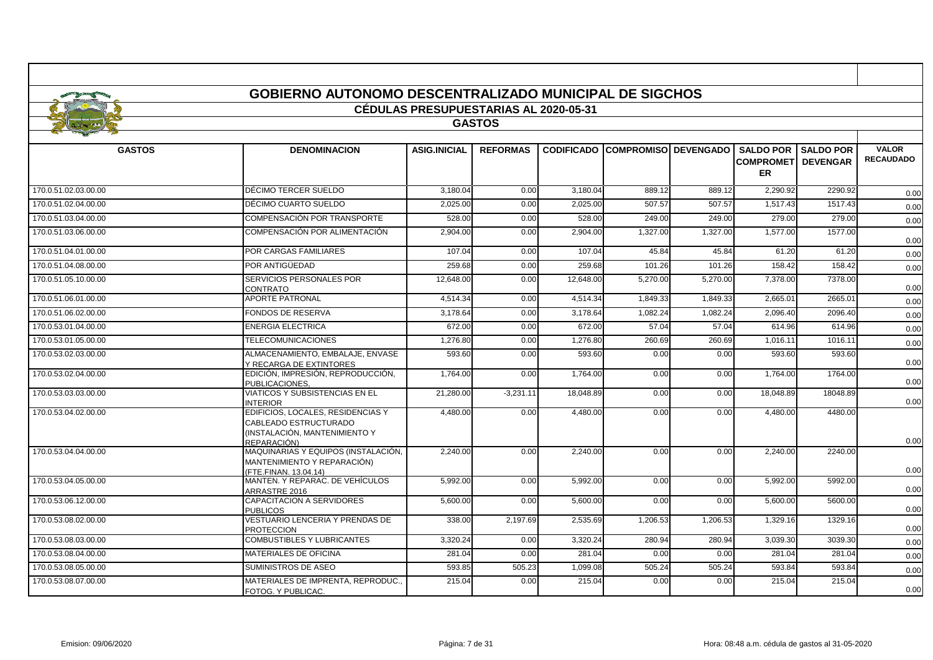|                      |                                                                                                            | CÉDULAS PRESUPUESTARIAS AL 2020-05-31 |                 |           |                                        |          |                                      |                                     |                                  |
|----------------------|------------------------------------------------------------------------------------------------------------|---------------------------------------|-----------------|-----------|----------------------------------------|----------|--------------------------------------|-------------------------------------|----------------------------------|
|                      |                                                                                                            |                                       | <b>GASTOS</b>   |           |                                        |          |                                      |                                     |                                  |
| <b>GASTOS</b>        | <b>DENOMINACION</b>                                                                                        | <b>ASIG.INICIAL</b>                   | <b>REFORMAS</b> |           | <b>CODIFICADO COMPROMISO DEVENGADO</b> |          | <b>SALDO POR</b><br><b>COMPROMET</b> | <b>SALDO POR</b><br><b>DEVENGAR</b> | <b>VALOR</b><br><b>RECAUDADO</b> |
|                      |                                                                                                            |                                       |                 |           |                                        |          | <b>ER</b>                            |                                     |                                  |
| 170.0.51.02.03.00.00 | DÉCIMO TERCER SUELDO                                                                                       | 3.180.04                              | 0.00            | 3.180.04  | 889.12                                 | 889.12   | 2.290.92                             | 2290.92                             | 0.00                             |
| 170.0.51.02.04.00.00 | DÉCIMO CUARTO SUELDO                                                                                       | 2.025.00                              | 0.00            | 2.025.00  | 507.57                                 | 507.57   | 1,517.43                             | 1517.43                             | 0.00                             |
| 170.0.51.03.04.00.00 | COMPENSACIÓN POR TRANSPORTE                                                                                | 528.00                                | 0.00            | 528.00    | 249.00                                 | 249.00   | 279.00                               | 279.00                              | 0.00                             |
| 170.0.51.03.06.00.00 | COMPENSACIÓN POR ALIMENTACIÓN                                                                              | 2,904.00                              | 0.00            | 2,904.00  | 1,327.00                               | 1,327.00 | 1,577.00                             | 1577.00                             | 0.00                             |
| 170.0.51.04.01.00.00 | POR CARGAS FAMILIARES                                                                                      | 107.04                                | 0.00            | 107.04    | 45.84                                  | 45.84    | 61.20                                | 61.20                               | 0.00                             |
| 170.0.51.04.08.00.00 | POR ANTIGÜEDAD                                                                                             | 259.68                                | 0.00            | 259.68    | 101.26                                 | 101.26   | 158.42                               | 158.42                              | 0.00                             |
| 170.0.51.05.10.00.00 | SERVICIOS PERSONALES POR<br><b>CONTRATO</b>                                                                | 12.648.00                             | 0.00            | 12.648.00 | 5,270.00                               | 5,270.00 | 7,378.00                             | 7378.00                             | 0.00                             |
| 170.0.51.06.01.00.00 | <b>APORTE PATRONAL</b>                                                                                     | 4,514.34                              | 0.00            | 4,514.34  | 1,849.33                               | 1,849.33 | 2,665.01                             | 2665.01                             | 0.00                             |
| 170.0.51.06.02.00.00 | <b>FONDOS DE RESERVA</b>                                                                                   | 3.178.64                              | 0.00            | 3,178.64  | 1,082.24                               | 1,082.24 | 2,096.40                             | 2096.40                             | 0.00                             |
| 170.0.53.01.04.00.00 | <b>ENERGIA ELECTRICA</b>                                                                                   | 672.00                                | 0.00            | 672.00    | 57.04                                  | 57.04    | 614.96                               | 614.96                              | 0.00                             |
| 170.0.53.01.05.00.00 | <b>TELECOMUNICACIONES</b>                                                                                  | 1,276.80                              | 0.00            | 1,276.80  | 260.69                                 | 260.69   | 1,016.11                             | 1016.11                             | 0.00                             |
| 170.0.53.02.03.00.00 | ALMACENAMIENTO, EMBALAJE, ENVASE<br>Y RECARGA DE EXTINTORES                                                | 593.60                                | 0.00            | 593.60    | 0.00                                   | 0.00     | 593.60                               | 593.60                              | 0.00                             |
| 170.0.53.02.04.00.00 | EDICIÓN, IMPRESIÓN, REPRODUCCIÓN,<br>PUBLICACIONES.                                                        | 1,764.00                              | 0.00            | 1,764.00  | 0.00                                   | 0.00     | 1,764.00                             | 1764.00                             | 0.00                             |
| 170.0.53.03.03.00.00 | <b>VIATICOS Y SUBSISTENCIAS EN EL</b><br><b>INTERIOR</b>                                                   | 21,280.00                             | $-3,231.11$     | 18,048.89 | 0.00                                   | 0.00     | 18,048.89                            | 18048.89                            | 0.00                             |
| 170.0.53.04.02.00.00 | EDIFICIOS, LOCALES, RESIDENCIAS Y<br>CABLEADO ESTRUCTURADO<br>(INSTALACIÓN, MANTENIMIENTO Y<br>REPARACIÓN) | 4,480.00                              | 0.00            | 4,480.00  | 0.00                                   | 0.00     | 4,480.00                             | 4480.00                             | 0.00                             |
| 170.0.53.04.04.00.00 | MAQUINARIAS Y EQUIPOS (INSTALACIÓN,<br>MANTENIMIENTO Y REPARACIÓN)<br>(FTE.FINAN. 13.04.14)                | 2,240.00                              | 0.00            | 2,240.00  | 0.00                                   | 0.00     | 2,240.00                             | 2240.00                             | 0.00                             |
| 170.0.53.04.05.00.00 | MANTEN, Y REPARAC, DE VEHÍCULOS<br>ARRASTRE 2016                                                           | 5,992.00                              | 0.00            | 5,992.00  | 0.00                                   | 0.00     | 5,992.00                             | 5992.00                             | 0.00                             |
| 170.0.53.06.12.00.00 | <b>CAPACITACION A SERVIDORES</b><br><b>PUBLICOS</b>                                                        | 5,600.00                              | 0.00            | 5,600.00  | 0.00                                   | 0.00     | 5,600.00                             | 5600.00                             | 0.00                             |
| 170.0.53.08.02.00.00 | <b>VESTUARIO LENCERIA Y PRENDAS DE</b><br><b>PROTECCION</b>                                                | 338.00                                | 2,197.69        | 2,535.69  | 1,206.53                               | 1,206.53 | 1,329.16                             | 1329.16                             | 0.00                             |
| 170.0.53.08.03.00.00 | <b>COMBUSTIBLES Y LUBRICANTES</b>                                                                          | 3,320.24                              | 0.00            | 3,320.24  | 280.94                                 | 280.94   | 3,039.30                             | 3039.30                             | 0.00                             |
| 170.0.53.08.04.00.00 | <b>MATERIALES DE OFICINA</b>                                                                               | 281.04                                | 0.00            | 281.04    | 0.00                                   | 0.00     | 281.04                               | 281.04                              | 0.00                             |
| 170.0.53.08.05.00.00 | <b>SUMINISTROS DE ASEO</b>                                                                                 | 593.85                                | 505.23          | 1,099.08  | 505.24                                 | 505.24   | 593.84                               | 593.84                              | 0.00                             |
| 170.0.53.08.07.00.00 | MATERIALES DE IMPRENTA, REPRODUC.<br>FOTOG. Y PUBLICAC.                                                    | 215.04                                | 0.00            | 215.04    | 0.00                                   | 0.00     | 215.04                               | 215.04                              | 0.00                             |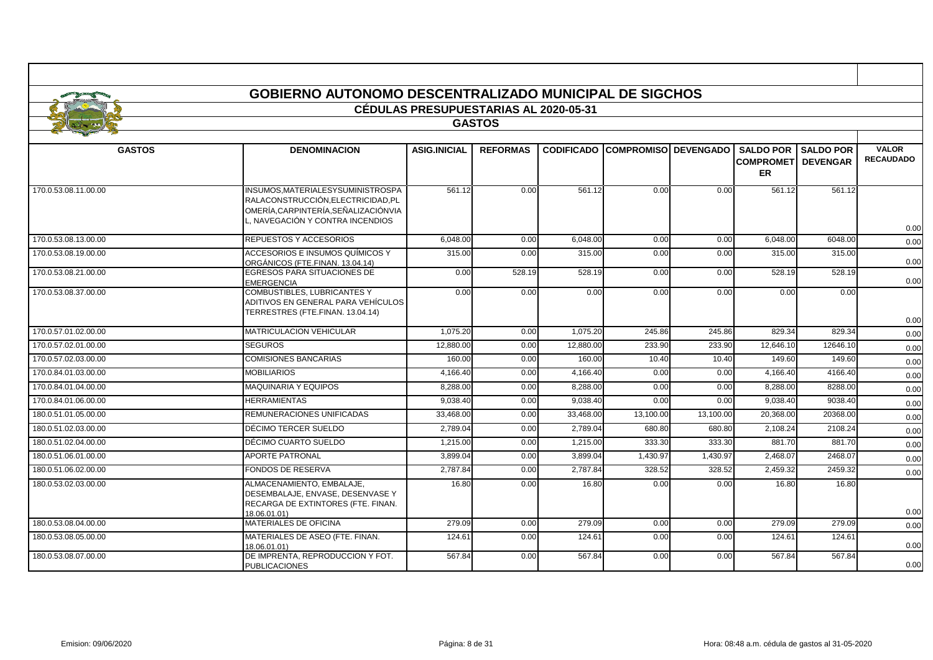|                      | <b>GOBIERNO AUTONOMO DESCENTRALIZADO MUNICIPAL DE SIGCHOS</b>                                                                                 |                                              |                 |                   |                              |           |                               |                                                 |                                  |
|----------------------|-----------------------------------------------------------------------------------------------------------------------------------------------|----------------------------------------------|-----------------|-------------------|------------------------------|-----------|-------------------------------|-------------------------------------------------|----------------------------------|
|                      |                                                                                                                                               | <b>CÉDULAS PRESUPUESTARIAS AL 2020-05-31</b> |                 |                   |                              |           |                               |                                                 |                                  |
|                      |                                                                                                                                               |                                              | <b>GASTOS</b>   |                   |                              |           |                               |                                                 |                                  |
|                      |                                                                                                                                               |                                              |                 |                   |                              |           |                               |                                                 |                                  |
| <b>GASTOS</b>        | <b>DENOMINACION</b>                                                                                                                           | <b>ASIG.INICIAL</b>                          | <b>REFORMAS</b> | <b>CODIFICADO</b> | <b>COMPROMISOI DEVENGADO</b> |           | <b>COMPROMET</b><br><b>ER</b> | <b>SALDO POR I SALDO POR</b><br><b>DEVENGAR</b> | <b>VALOR</b><br><b>RECAUDADO</b> |
| 170.0.53.08.11.00.00 | INSUMOS.MATERIALESYSUMINISTROSPA<br>RALACONSTRUCCIÓN.ELECTRICIDAD.PL<br>OMERÍA.CARPINTERÍA.SEÑALIZACIÓNVIA<br>. NAVEGACIÓN Y CONTRA INCENDIOS | 561.12                                       | 0.00            | 561.12            | 0.00                         | 0.00      | 561.12                        | 561.12                                          |                                  |
| 170.0.53.08.13.00.00 | REPUESTOS Y ACCESORIOS                                                                                                                        | 6.048.00                                     | 0.00            | 6,048.00          | 0.00                         | 0.00      | 6,048.00                      | 6048.00                                         | 0.00<br>0.00                     |
| 170.0.53.08.19.00.00 | ACCESORIOS E INSUMOS QUÍMICOS Y<br>ORGÁNICOS (FTE.FINAN, 13.04.14)                                                                            | 315.00                                       | 0.00            | 315.00            | 0.00                         | 0.00      | 315.00                        | 315.00                                          | 0.00                             |
| 170.0.53.08.21.00.00 | <b>EGRESOS PARA SITUACIONES DE</b><br><b>EMERGENCIA</b>                                                                                       | 0.00                                         | 528.19          | 528.19            | 0.00                         | 0.00      | 528.19                        | 528.19                                          | 0.00                             |
| 170.0.53.08.37.00.00 | COMBUSTIBLES, LUBRICANTES Y<br>ADITIVOS EN GENERAL PARA VEHÍCULOS<br>TERRESTRES (FTE.FINAN. 13.04.14)                                         | 0.00                                         | 0.00            | 0.00              | 0.00                         | 0.00      | 0.00                          | 0.00                                            | 0.00                             |
| 170.0.57.01.02.00.00 | <b>MATRICULACION VEHICULAR</b>                                                                                                                | 1,075.20                                     | 0.00            | 1,075.20          | 245.86                       | 245.86    | 829.34                        | 829.34                                          | 0.00                             |
| 170.0.57.02.01.00.00 | <b>SEGUROS</b>                                                                                                                                | 12,880.00                                    | 0.00            | 12,880.00         | 233.90                       | 233.90    | 12,646.10                     | 12646.10                                        | 0.00                             |
| 170.0.57.02.03.00.00 | <b>COMISIONES BANCARIAS</b>                                                                                                                   | 160.00                                       | 0.00            | 160.00            | 10.40                        | 10.40     | 149.60                        | 149.60                                          | 0.00                             |
| 170.0.84.01.03.00.00 | <b>MOBILIARIOS</b>                                                                                                                            | 4,166.40                                     | 0.00            | 4,166.40          | 0.00                         | 0.00      | 4,166.40                      | 4166.40                                         | 0.00                             |
| 170.0.84.01.04.00.00 | MAQUINARIA Y EQUIPOS                                                                                                                          | 8.288.00                                     | 0.00            | 8.288.00          | 0.00                         | 0.00      | 8.288.00                      | 8288.00                                         | 0.00                             |
| 170.0.84.01.06.00.00 | <b>HERRAMIENTAS</b>                                                                                                                           | 9.038.40                                     | 0.00            | 9.038.40          | 0.00                         | 0.00      | 9.038.40                      | 9038.40                                         | 0.00                             |
| 180.0.51.01.05.00.00 | REMUNERACIONES UNIFICADAS                                                                                                                     | 33,468.00                                    | 0.00            | 33,468.00         | 13,100.00                    | 13,100.00 | 20,368.00                     | 20368.00                                        | 0.00                             |
| 180.0.51.02.03.00.00 | DÉCIMO TERCER SUELDO                                                                                                                          | 2,789.04                                     | 0.00            | 2,789.04          | 680.80                       | 680.80    | 2,108.24                      | 2108.24                                         | 0.00                             |
| 180.0.51.02.04.00.00 | DÉCIMO CUARTO SUELDO                                                                                                                          | 1,215.00                                     | 0.00            | 1,215.00          | 333.30                       | 333.30    | 881.70                        | 881.70                                          | 0.00                             |
| 180.0.51.06.01.00.00 | <b>APORTE PATRONAL</b>                                                                                                                        | 3,899.04                                     | 0.00            | 3,899.04          | 1,430.97                     | 1,430.97  | 2,468.0                       | 2468.07                                         | 0.00                             |
| 180.0.51.06.02.00.00 | <b>FONDOS DE RESERVA</b>                                                                                                                      | 2,787.84                                     | 0.00            | 2,787.84          | 328.52                       | 328.52    | 2,459.32                      | 2459.32                                         | 0.00                             |
| 180.0.53.02.03.00.00 | ALMACENAMIENTO, EMBALAJE.<br>DESEMBALAJE, ENVASE, DESENVASE Y<br>RECARGA DE EXTINTORES (FTE, FINAN,<br>18.06.01.01)                           | 16.80                                        | 0.00            | 16.80             | 0.00                         | 0.00      | 16.80                         | 16.80                                           | 0.00                             |
| 180.0.53.08.04.00.00 | MATERIALES DE OFICINA                                                                                                                         | 279.09                                       | 0.00            | 279.09            | 0.00                         | 0.00      | 279.09                        | 279.09                                          | 0.00                             |
| 180.0.53.08.05.00.00 | MATERIALES DE ASEO (FTE. FINAN.<br>18.06.01.01)                                                                                               | 124.61                                       | 0.00            | 124.61            | 0.00                         | 0.00      | 124.61                        | 124.61                                          | 0.00                             |
| 180.0.53.08.07.00.00 | DE IMPRENTA, REPRODUCCION Y FOT.<br><b>PUBLICACIONES</b>                                                                                      | 567.84                                       | 0.00            | 567.84            | 0.00                         | 0.00      | 567.84                        | 567.84                                          | 0.00                             |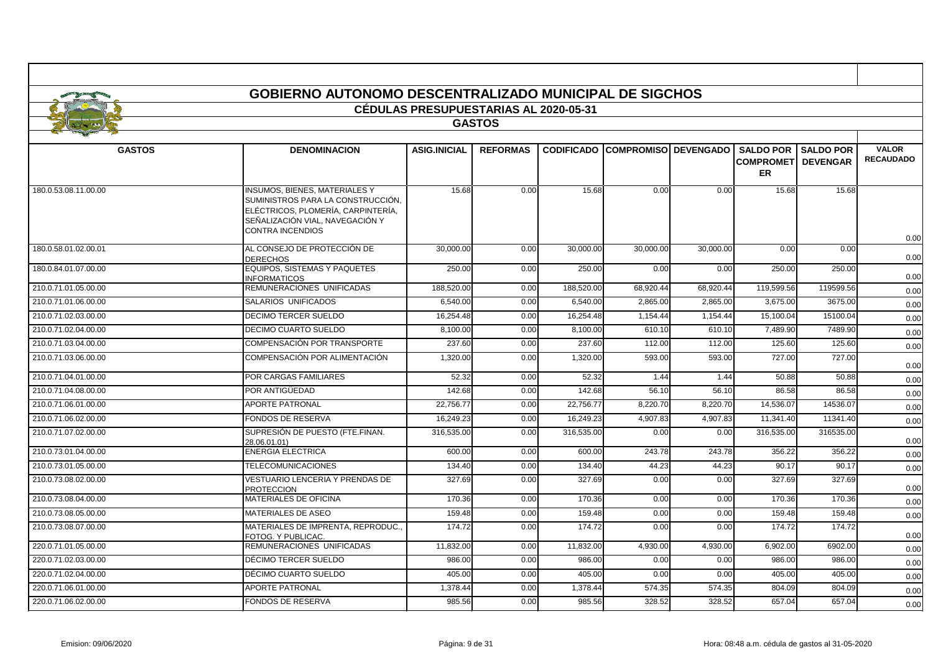|                      | <b>GOBIERNO AUTONOMO DESCENTRALIZADO MUNICIPAL DE SIGCHOS</b>                                                                                                                 |                                              |                 |            |                                        |           |                                |                                                 |                                  |
|----------------------|-------------------------------------------------------------------------------------------------------------------------------------------------------------------------------|----------------------------------------------|-----------------|------------|----------------------------------------|-----------|--------------------------------|-------------------------------------------------|----------------------------------|
|                      |                                                                                                                                                                               | <b>CÉDULAS PRESUPUESTARIAS AL 2020-05-31</b> |                 |            |                                        |           |                                |                                                 |                                  |
|                      |                                                                                                                                                                               |                                              | <b>GASTOS</b>   |            |                                        |           |                                |                                                 |                                  |
|                      |                                                                                                                                                                               |                                              |                 |            |                                        |           |                                |                                                 |                                  |
| <b>GASTOS</b>        | <b>DENOMINACION</b>                                                                                                                                                           | <b>ASIG.INICIAL</b>                          | <b>REFORMAS</b> |            | <b>CODIFICADO COMPROMISO DEVENGADO</b> |           | <b>COMPROMETI</b><br><b>ER</b> | <b>SALDO POR I SALDO POR</b><br><b>DEVENGAR</b> | <b>VALOR</b><br><b>RECAUDADO</b> |
| 180.0.53.08.11.00.00 | <b>INSUMOS, BIENES, MATERIALES Y</b><br>SUMINISTROS PARA LA CONSTRUCCIÓN,<br>ELÉCTRICOS, PLOMERÍA, CARPINTERÍA,<br>SEÑALIZACIÓN VIAL, NAVEGACIÓN Y<br><b>CONTRA INCENDIOS</b> | 15.68                                        | 0.00            | 15.68      | 0.00                                   | 0.00      | 15.68                          | 15.68                                           | 0.00                             |
| 180.0.58.01.02.00.01 | AL CONSEJO DE PROTECCIÓN DE<br><b>DERECHOS</b>                                                                                                                                | 30,000.00                                    | 0.00            | 30,000.00  | 30,000.00                              | 30,000.00 | 0.00                           | 0.00                                            | 0.00                             |
| 180.0.84.01.07.00.00 | <b>EQUIPOS, SISTEMAS Y PAQUETES</b><br><b>INFORMATICOS</b>                                                                                                                    | 250.00                                       | 0.00            | 250.00     | 0.00                                   | 0.00      | 250.00                         | 250.00                                          | 0.00                             |
| 210.0.71.01.05.00.00 | REMUNERACIONES UNIFICADAS                                                                                                                                                     | 188,520.00                                   | 0.00            | 188,520.00 | 68,920.44                              | 68,920.44 | 119,599.56                     | 119599.56                                       | 0.00                             |
| 210.0.71.01.06.00.00 | <b>SALARIOS UNIFICADOS</b>                                                                                                                                                    | 6.540.00                                     | 0.00            | 6,540.00   | 2,865.00                               | 2,865.00  | 3,675.00                       | 3675.00                                         | 0.00                             |
| 210.0.71.02.03.00.00 | <b>DECIMO TERCER SUELDO</b>                                                                                                                                                   | 16,254.48                                    | 0.00            | 16,254.48  | 1,154.44                               | 1,154.44  | 15,100.04                      | 15100.04                                        | 0.00                             |
| 210.0.71.02.04.00.00 | <b>DECIMO CUARTO SUELDO</b>                                                                                                                                                   | 8,100.00                                     | 0.00            | 8,100.00   | 610.10                                 | 610.10    | 7,489.90                       | 7489.90                                         | 0.00                             |
| 210.0.71.03.04.00.00 | COMPENSACIÓN POR TRANSPORTE                                                                                                                                                   | 237.60                                       | 0.00            | 237.60     | 112.00                                 | 112.00    | 125.60                         | 125.60                                          | 0.00                             |
| 210.0.71.03.06.00.00 | COMPENSACIÓN POR ALIMENTACIÓN                                                                                                                                                 | 1.320.00                                     | 0.00            | 1.320.00   | 593.00                                 | 593.00    | 727.00                         | 727.00                                          | 0.00                             |
| 210.0.71.04.01.00.00 | POR CARGAS FAMILIARES                                                                                                                                                         | 52.32                                        | 0.00            | 52.32      | 1.44                                   | 1.44      | 50.88                          | 50.88                                           | 0.00                             |
| 210.0.71.04.08.00.00 | POR ANTIGÜEDAD                                                                                                                                                                | 142.68                                       | 0.00            | 142.68     | 56.10                                  | 56.10     | 86.58                          | 86.58                                           | 0.00                             |
| 210.0.71.06.01.00.00 | <b>APORTE PATRONAL</b>                                                                                                                                                        | 22,756.77                                    | 0.00            | 22,756.77  | 8,220.70                               | 8,220.70  | 14,536.07                      | 14536.07                                        | 0.00                             |
| 210.0.71.06.02.00.00 | <b>FONDOS DE RESERVA</b>                                                                                                                                                      | 16,249.23                                    | 0.00            | 16,249.23  | 4,907.83                               | 4,907.83  | 11,341.40                      | 11341.40                                        | 0.00                             |
| 210.0.71.07.02.00.00 | SUPRESIÓN DE PUESTO (FTE FINAN.<br>28.06.01.01)                                                                                                                               | 316,535.00                                   | 0.00            | 316,535.00 | 0.00                                   | 0.00      | 316,535.00                     | 316535.00                                       | 0.00                             |
| 210.0.73.01.04.00.00 | <b>ENERGIA ELECTRICA</b>                                                                                                                                                      | 600.00                                       | 0.00            | 600.00     | 243.78                                 | 243.78    | 356.22                         | 356.22                                          | 0.00                             |
| 210.0.73.01.05.00.00 | <b>TELECOMUNICACIONES</b>                                                                                                                                                     | 134.40                                       | 0.00            | 134.40     | 44.23                                  | 44.23     | 90.17                          | 90.17                                           | 0.00                             |
| 210.0.73.08.02.00.00 | <b>VESTUARIO LENCERIA Y PRENDAS DE</b><br><b>PROTECCION</b>                                                                                                                   | 327.69                                       | 0.00            | 327.69     | 0.00                                   | 0.00      | 327.69                         | 327.69                                          | 0.00                             |
| 210.0.73.08.04.00.00 | <b>MATERIALES DE OFICINA</b>                                                                                                                                                  | 170.36                                       | 0.00            | 170.36     | 0.00                                   | 0.00      | 170.36                         | 170.36                                          | 0.00                             |
| 210.0.73.08.05.00.00 | MATERIALES DE ASEO                                                                                                                                                            | 159.48                                       | 0.00            | 159.48     | 0.00                                   | 0.00      | 159.48                         | 159.48                                          | 0.00                             |
| 210.0.73.08.07.00.00 | MATERIALES DE IMPRENTA, REPRODUC<br>FOTOG. Y PUBLICAC.                                                                                                                        | 174.72                                       | 0.00            | 174.72     | 0.00                                   | 0.00      | 174.72                         | 174.72                                          | 0.00                             |
| 220.0.71.01.05.00.00 | REMUNERACIONES UNIFICADAS                                                                                                                                                     | 11,832.00                                    | 0.00            | 11,832.00  | 4,930.00                               | 4,930.00  | 6,902.00                       | 6902.00                                         | 0.00                             |
| 220.0.71.02.03.00.00 | DÉCIMO TERCER SUELDO                                                                                                                                                          | 986.00                                       | 0.00            | 986.00     | 0.00                                   | 0.00      | 986.00                         | 986.00                                          | 0.00                             |
| 220.0.71.02.04.00.00 | DÉCIMO CUARTO SUELDO                                                                                                                                                          | 405.00                                       | 0.00            | 405.00     | 0.00                                   | 0.00      | 405.00                         | 405.00                                          | 0.00                             |
| 220.0.71.06.01.00.00 | <b>APORTE PATRONAL</b>                                                                                                                                                        | 1.378.44                                     | 0.00            | 1.378.44   | 574.35                                 | 574.35    | 804.09                         | 804.09                                          | 0.00                             |
| 220.0.71.06.02.00.00 | <b>FONDOS DE RESERVA</b>                                                                                                                                                      | 985.56                                       | 0.00            | 985.56     | 328.52                                 | 328.52    | 657.04                         | 657.04                                          | 0.00                             |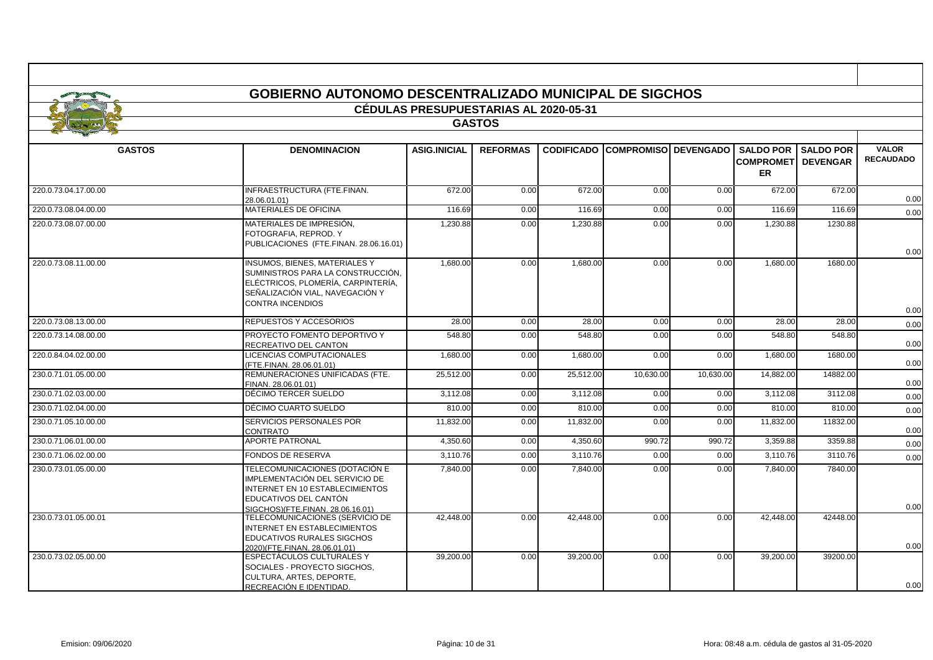|                      | <b>GOBIERNO AUTONOMO DESCENTRALIZADO MUNICIPAL DE SIGCHOS</b>                                                                                                                 |                                              |                 |           |                                        |           |                                                   |                                     |                                  |
|----------------------|-------------------------------------------------------------------------------------------------------------------------------------------------------------------------------|----------------------------------------------|-----------------|-----------|----------------------------------------|-----------|---------------------------------------------------|-------------------------------------|----------------------------------|
|                      |                                                                                                                                                                               | <b>CÉDULAS PRESUPUESTARIAS AL 2020-05-31</b> |                 |           |                                        |           |                                                   |                                     |                                  |
|                      |                                                                                                                                                                               |                                              | <b>GASTOS</b>   |           |                                        |           |                                                   |                                     |                                  |
| <b>GASTOS</b>        | <b>DENOMINACION</b>                                                                                                                                                           | <b>ASIG.INICIAL</b>                          | <b>REFORMAS</b> |           | <b>CODIFICADO COMPROMISO DEVENGADO</b> |           | <b>SALDO POR</b><br><b>COMPROMET</b><br><b>ER</b> | <b>SALDO POR</b><br><b>DEVENGAR</b> | <b>VALOR</b><br><b>RECAUDADO</b> |
| 220.0.73.04.17.00.00 | INFRAESTRUCTURA (FTE.FINAN.<br>28.06.01.01)                                                                                                                                   | 672.00                                       | 0.00            | 672.00    | 0.00                                   | 0.00      | 672.00                                            | 672.00                              | 0.00                             |
| 220.0.73.08.04.00.00 | <b>MATERIALES DE OFICINA</b>                                                                                                                                                  | 116.69                                       | 0.00            | 116.69    | 0.00                                   | 0.00      | 116.69                                            | 116.69                              | 0.00                             |
| 220.0.73.08.07.00.00 | MATERIALES DE IMPRESIÓN.<br>FOTOGRAFIA, REPROD. Y<br>PUBLICACIONES (FTE.FINAN. 28.06.16.01)                                                                                   | 1,230.88                                     | 0.00            | 1,230.88  | 0.00                                   | 0.00      | 1,230.88                                          | 1230.88                             | 0.00                             |
| 220.0.73.08.11.00.00 | <b>INSUMOS, BIENES, MATERIALES Y</b><br>SUMINISTROS PARA LA CONSTRUCCIÓN,<br>ELÉCTRICOS. PLOMERÍA. CARPINTERÍA.<br>SEÑALIZACIÓN VIAL, NAVEGACIÓN Y<br><b>CONTRA INCENDIOS</b> | 1,680.00                                     | 0.00            | 1,680.00  | 0.00                                   | 0.00      | 1,680.00                                          | 1680.00                             | 0.00                             |
| 220.0.73.08.13.00.00 | REPUESTOS Y ACCESORIOS                                                                                                                                                        | 28.00                                        | 0.00            | 28.00     | 0.00                                   | 0.00      | 28.00                                             | 28.00                               | 0.00                             |
| 220.0.73.14.08.00.00 | PROYECTO FOMENTO DEPORTIVO Y<br>RECREATIVO DEL CANTON                                                                                                                         | 548.80                                       | 0.00            | 548.80    | 0.00                                   | 0.00      | 548.80                                            | 548.80                              | 0.00                             |
| 220.0.84.04.02.00.00 | LICENCIAS COMPUTACIONALES<br>(FTE.FINAN. 28.06.01.01)                                                                                                                         | 1,680.00                                     | 0.00            | 1,680.00  | 0.00                                   | 0.00      | 1,680.00                                          | 1680.00                             | 0.00                             |
| 230.0.71.01.05.00.00 | REMUNERACIONES UNIFICADAS (FTE.<br>FINAN. 28.06.01.01)                                                                                                                        | 25,512.00                                    | 0.00            | 25,512.00 | 10,630.00                              | 10,630.00 | 14.882.00                                         | 14882.00                            | 0.00                             |
| 230.0.71.02.03.00.00 | DÉCIMO TERCER SUELDO                                                                                                                                                          | 3,112.08                                     | 0.00            | 3,112.08  | 0.00                                   | 0.00      | 3,112.08                                          | 3112.08                             | 0.00                             |
| 230.0.71.02.04.00.00 | DÉCIMO CUARTO SUELDO                                                                                                                                                          | 810.00                                       | 0.00            | 810.00    | 0.00                                   | 0.00      | 810.00                                            | 810.00                              | 0.00                             |
| 230.0.71.05.10.00.00 | SERVICIOS PERSONALES POR<br>CONTRATO                                                                                                                                          | 11,832.00                                    | 0.00            | 11,832.00 | 0.00                                   | 0.00      | 11,832.00                                         | 11832.00                            | 0.00                             |
| 230.0.71.06.01.00.00 | <b>APORTE PATRONAL</b>                                                                                                                                                        | 4.350.60                                     | 0.00            | 4.350.60  | 990.72                                 | 990.72    | 3.359.88                                          | 3359.88                             | 0.00                             |
| 230.0.71.06.02.00.00 | <b>FONDOS DE RESERVA</b>                                                                                                                                                      | 3,110.76                                     | 0.00            | 3,110.76  | 0.00                                   | 0.00      | 3,110.76                                          | 3110.76                             | 0.00                             |
| 230.0.73.01.05.00.00 | TELECOMUNICACIONES (DOTACIÓN E<br>IMPLEMENTACIÓN DEL SERVICIO DE<br><b>INTERNET EN 10 ESTABLECIMIENTOS</b><br>EDUCATIVOS DEL CANTÓN<br>SIGCHOS)(FTE.FINAN, 28.06.16.01)       | 7,840.00                                     | 0.00            | 7.840.00  | 0.00                                   | 0.00      | 7.840.00                                          | 7840.00                             | 0.00                             |
| 230.0.73.01.05.00.01 | TELECOMUNICACIONES (SERVICIO DE<br><b>INTERNET EN ESTABLECIMIENTOS</b><br>EDUCATIVOS RURALES SIGCHOS<br>2020)(FTE.FINAN. 28.06.01.01)                                         | 42.448.00                                    | 0.00            | 42.448.00 | 0.00                                   | 0.00      | 42.448.00                                         | 42448.00                            | 0.00                             |
| 230.0.73.02.05.00.00 | ESPECTÁCULOS CULTURALES Y<br>SOCIALES - PROYECTO SIGCHOS,<br>CULTURA, ARTES, DEPORTE,<br>RECREACIÓN E IDENTIDAD.                                                              | 39,200.00                                    | 0.00            | 39,200.00 | 0.00                                   | 0.00      | 39,200.00                                         | 39200.00                            | 0.00                             |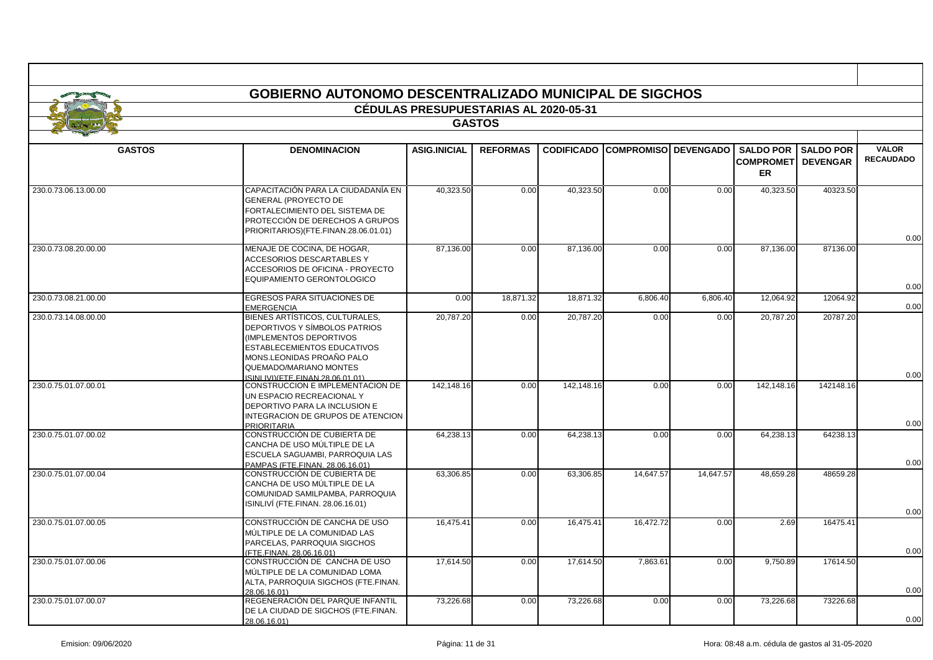| <b>GOBIERNO AUTONOMO DESCENTRALIZADO MUNICIPAL DE SIGCHOS</b><br>CÉDULAS PRESUPUESTARIAS AL 2020-05-31 |                                                                                                                                                                                                                             |                     |                 |                   |           |                             |                               |                              |                  |  |  |
|--------------------------------------------------------------------------------------------------------|-----------------------------------------------------------------------------------------------------------------------------------------------------------------------------------------------------------------------------|---------------------|-----------------|-------------------|-----------|-----------------------------|-------------------------------|------------------------------|------------------|--|--|
|                                                                                                        |                                                                                                                                                                                                                             |                     |                 |                   |           |                             |                               |                              |                  |  |  |
| <b>GASTOS</b>                                                                                          | <b>DENOMINACION</b>                                                                                                                                                                                                         | <b>ASIG.INICIAL</b> | <b>REFORMAS</b> | <b>CODIFICADO</b> |           | <b>COMPROMISO DEVENGADO</b> |                               | <b>SALDO POR I SALDO POR</b> | <b>VALOR</b>     |  |  |
|                                                                                                        |                                                                                                                                                                                                                             |                     |                 |                   |           |                             | <b>COMPROMET</b><br><b>ER</b> | <b>DEVENGAR</b>              | <b>RECAUDADO</b> |  |  |
| 230.0.73.06.13.00.00                                                                                   | CAPACITACIÓN PARA LA CIUDADANÍA EN<br><b>GENERAL (PROYECTO DE</b><br>FORTALECIMIENTO DEL SISTEMA DE<br>PROTECCIÓN DE DERECHOS A GRUPOS<br>PRIORITARIOS)(FTE.FINAN.28.06.01.01)                                              | 40,323.50           | 0.00            | 40,323.50         | 0.00      | 0.00                        | 40,323.50                     | 40323.50                     | 0.00             |  |  |
| 230.0.73.08.20.00.00                                                                                   | MENAJE DE COCINA, DE HOGAR,<br><b>ACCESORIOS DESCARTABLES Y</b><br>ACCESORIOS DE OFICINA - PROYECTO<br>EQUIPAMIENTO GERONTOLOGICO                                                                                           | 87,136.00           | 0.00            | 87,136.00         | 0.00      | 0.00                        | 87,136.00                     | 87136.00                     | 0.00             |  |  |
| 230.0.73.08.21.00.00                                                                                   | EGRESOS PARA SITUACIONES DE<br><b>EMERGENCIA</b>                                                                                                                                                                            | 0.00                | 18,871.32       | 18,871.32         | 6,806.40  | 6,806.40                    | 12,064.92                     | 12064.92                     | 0.00             |  |  |
| 230.0.73.14.08.00.00                                                                                   | BIENES ARTÍSTICOS, CULTURALES,<br>DEPORTIVOS Y SÍMBOLOS PATRIOS<br>IMPLEMENTOS DEPORTIVOS<br><b>ESTABLECEMIENTOS EDUCATIVOS</b><br>MONS LEONIDAS PROAÑO PALO<br>QUEMADO/MARIANO MONTES<br>SINI IVI) (FTE FINAN 28.06.01.01) | 20,787.20           | 0.00            | 20,787.20         | 0.00      | 0.00                        | 20,787.20                     | 20787.20                     | 0.00             |  |  |
| 230.0.75.01.07.00.01                                                                                   | CONSTRUCCION E IMPLEMENTACION DE<br>UN ESPACIO RECREACIONAL Y<br>DEPORTIVO PARA LA INCLUSION E<br>INTEGRACION DE GRUPOS DE ATENCION<br><b>PRIORITARIA</b>                                                                   | 142,148.16          | 0.00            | 142,148.16        | 0.00      | 0.00                        | 142,148.16                    | 142148.16                    | 0.00             |  |  |
| 230.0.75.01.07.00.02                                                                                   | CONSTRUCCIÓN DE CUBIERTA DE<br>CANCHA DE USO MÚLTIPLE DE LA<br>ESCUELA SAGUAMBI, PARROQUIA LAS<br>PAMPAS (FTE.FINAN. 28.06.16.01)                                                                                           | 64,238.13           | 0.00            | 64,238.13         | 0.00      | 0.00                        | 64,238.13                     | 64238.13                     | 0.00             |  |  |
| 230.0.75.01.07.00.04                                                                                   | CONSTRUCCIÓN DE CUBIERTA DE<br>CANCHA DE USO MÚLTIPLE DE LA<br>COMUNIDAD SAMILPAMBA, PARROQUIA<br>ISINLIVÍ (FTE.FINAN. 28.06.16.01)                                                                                         | 63,306.85           | 0.00            | 63.306.85         | 14.647.57 | 14.647.57                   | 48.659.28                     | 48659.28                     | 0.00             |  |  |
| 230.0.75.01.07.00.05                                                                                   | CONSTRUCCIÓN DE CANCHA DE USO<br>MÚLTIPLE DE LA COMUNIDAD LAS<br>PARCELAS, PARROQUIA SIGCHOS<br>(FTE.FINAN. 28.06.16.01)                                                                                                    | 16,475.41           | 0.00            | 16,475.41         | 16,472.72 | 0.00                        | 2.69                          | 16475.41                     | 0.00             |  |  |
| 230.0.75.01.07.00.06                                                                                   | CONSTRUCCIÓN DE CANCHA DE USO<br>MÚLTIPLE DE LA COMUNIDAD LOMA<br>ALTA, PARROQUIA SIGCHOS (FTE.FINAN.<br>28.06.16.01)                                                                                                       | 17,614.50           | 0.00            | 17,614.50         | 7,863.61  | 0.00                        | 9,750.89                      | 17614.50                     | 0.00             |  |  |
| 230.0.75.01.07.00.07                                                                                   | REGENERACIÓN DEL PARQUE INFANTIL<br>DE LA CIUDAD DE SIGCHOS (FTE.FINAN.<br>28.06.16.01)                                                                                                                                     | 73,226.68           | 0.00            | 73,226.68         | 0.00      | 0.00                        | 73,226.68                     | 73226.68                     | 0.00             |  |  |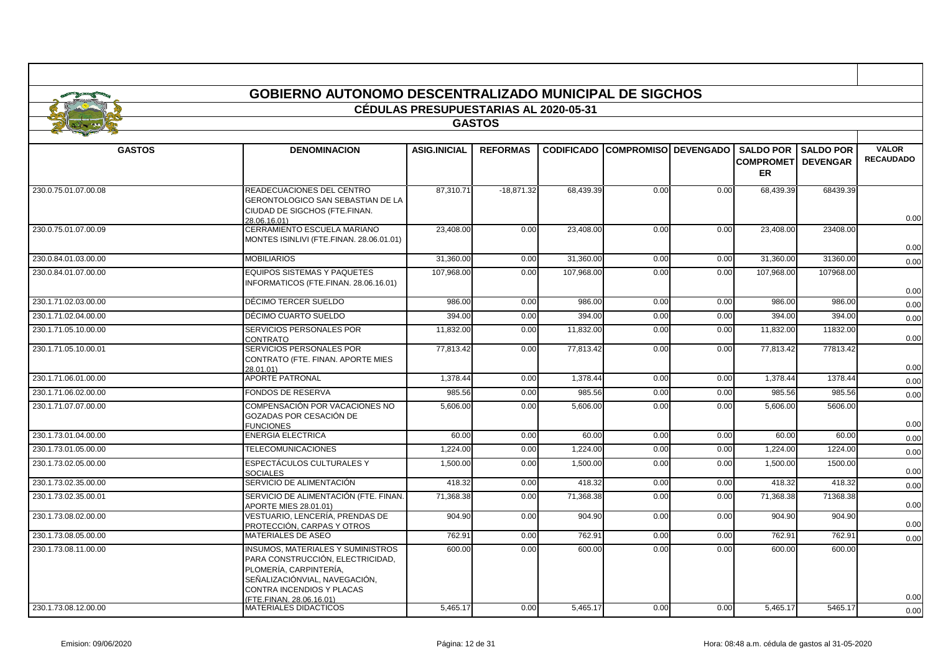| <b>GASTOS</b><br><b>GASTOS</b><br><b>DENOMINACION</b><br><b>REFORMAS</b><br><b>CODIFICADO COMPROMISO DEVENGADO</b><br><b>SALDO POR</b><br><b>ASIG.INICIAL</b><br><b>SALDO POR</b><br><b>COMPROMETI DEVENGAR</b><br><b>ER</b><br>READECUACIONES DEL CENTRO<br>87.310.71<br>$-18,871.32$<br>68,439.39<br>0.00<br>0.00<br>68,439.39<br>68439.39<br>230.0.75.01.07.00.08<br>GERONTOLOGICO SAN SEBASTIAN DE LA<br>CIUDAD DE SIGCHOS (FTE.FINAN.<br>28.06.16.01)<br>CERRAMIENTO ESCUELA MARIANO<br>230.0.75.01.07.00.09<br>23,408.00<br>0.00<br>23,408.00<br>0.00<br>0.00<br>23,408.00<br>23408.00<br>MONTES ISINLIVI (FTE.FINAN. 28.06.01.01)<br>230.0.84.01.03.00.00<br><b>MOBILIARIOS</b><br>31,360.00<br>0.00<br>31,360.00<br>0.00<br>0.00<br>31,360.00<br>31360.00<br><b>EQUIPOS SISTEMAS Y PAQUETES</b><br>107,968.00<br>107,968.00<br>107,968.00<br>107968.00<br>230.0.84.01.07.00.00<br>0.00<br>0.00<br>0.00<br>NFORMATICOS (FTE.FINAN. 28.06.16.01)<br>DÉCIMO TERCER SUELDO<br>230.1.71.02.03.00.00<br>986.00<br>0.00<br>986.00<br>0.00<br>0.00<br>986.00<br>986.00<br>DÉCIMO CUARTO SUELDO<br>0.00<br>394.00<br>0.00<br>230.1.71.02.04.00.00<br>394.00<br>0.00<br>394.00<br>394.00<br>SERVICIOS PERSONALES POR<br>11,832.00<br>11,832.00<br>11,832.00<br>11832.00<br>230.1.71.05.10.00.00<br>0.00<br>0.00<br>0.00<br>CONTRATO<br>SERVICIOS PERSONALES POR<br>77,813.42<br>230.1.71.05.10.00.01<br>77,813.42<br>0.00<br>0.00<br>0.00<br>77,813.42<br>77813.42<br>CONTRATO (FTE. FINAN. APORTE MIES<br>28.01.01)<br><b>APORTE PATRONAL</b><br>230.1.71.06.01.00.00<br>1.378.44<br>0.00<br>1.378.44<br>0.00<br>0.00<br>1.378.44<br>1378.44<br>230.1.71.06.02.00.00<br><b>FONDOS DE RESERVA</b><br>985.56<br>0.00<br>985.56<br>0.00<br>985.56<br>985.56<br>0.00<br>230.1.71.07.07.00.00<br>COMPENSACIÓN POR VACACIONES NO<br>5,606.00<br>0.00<br>5,606.00<br>0.00<br>0.00<br>5,606.00<br>5606.00<br>GOZADAS POR CESACIÓN DE<br><b>FUNCIONES</b><br><b>ENERGIA ELECTRICA</b><br>230.1.73.01.04.00.00<br>0.00<br>60.00<br>0.00<br>0.00<br>60.00<br>60.00<br>60.00<br><b>TELECOMUNICACIONES</b><br>1,224.00<br>230.1.73.01.05.00.00<br>1,224.00<br>0.00<br>0.00<br>0.00<br>1,224.00<br>1224.00<br>ESPECTÁCULOS CULTURALES Y<br>230.1.73.02.05.00.00<br>1,500.00<br>0.00<br>1,500.00<br>0.00<br>0.00<br>1,500.00<br>1500.00<br><b>SOCIALES</b><br>230.1.73.02.35.00.00<br>SERVICIO DE ALIMENTACIÓN<br>0.00<br>418.32<br>0.00<br>418.32<br>0.00<br>418.32<br>418.32<br>230.1.73.02.35.00.01<br>SERVICIO DE ALIMENTACIÓN (FTE. FINAN.)<br>71,368.38<br>0.00<br>71,368.38<br>0.00<br>0.00<br>71,368.38<br>71368.38<br>APORTE MIES 28.01.01)<br>230.1.73.08.02.00.00<br>VESTUARIO, LENCERÍA, PRENDAS DE<br>904.90<br>904.90<br>0.00<br>0.00<br>0.00<br>904.90<br>904.90<br>PROTECCIÓN, CARPAS Y OTROS<br><b>MATERIALES DE ASEO</b><br>762.91<br>230.1.73.08.05.00.00<br>762.91<br>0.00<br>0.00<br>0.00<br>762.91<br>762.91<br><b>INSUMOS, MATERIALES Y SUMINISTROS</b><br>230.1.73.08.11.00.00<br>600.00<br>0.00<br>600.00<br>0.00<br>0.00<br>600.00<br>600.00<br>PARA CONSTRUCCIÓN, ELECTRICIDAD,<br>PLOMERÍA, CARPINTERÍA,<br>SEÑALIZACIÓNVIAL, NAVEGACIÓN,<br>CONTRA INCENDIOS Y PLACAS<br>FTE.FINAN. 28.06.16.01)<br>0.00 |                      |                              | <b>CÉDULAS PRESUPUESTARIAS AL 2020-05-31</b> |          |      |      |          |         |                                  |
|-----------------------------------------------------------------------------------------------------------------------------------------------------------------------------------------------------------------------------------------------------------------------------------------------------------------------------------------------------------------------------------------------------------------------------------------------------------------------------------------------------------------------------------------------------------------------------------------------------------------------------------------------------------------------------------------------------------------------------------------------------------------------------------------------------------------------------------------------------------------------------------------------------------------------------------------------------------------------------------------------------------------------------------------------------------------------------------------------------------------------------------------------------------------------------------------------------------------------------------------------------------------------------------------------------------------------------------------------------------------------------------------------------------------------------------------------------------------------------------------------------------------------------------------------------------------------------------------------------------------------------------------------------------------------------------------------------------------------------------------------------------------------------------------------------------------------------------------------------------------------------------------------------------------------------------------------------------------------------------------------------------------------------------------------------------------------------------------------------------------------------------------------------------------------------------------------------------------------------------------------------------------------------------------------------------------------------------------------------------------------------------------------------------------------------------------------------------------------------------------------------------------------------------------------------------------------------------------------------------------------------------------------------------------------------------------------------------------------------------------------------------------------------------------------------------------------------------------------------------------------------------------------------------------------------------------------------------------------------------------------------------------------------------------------------------------------------------------------------------------------------------------------------------------------------------------------------------------------|----------------------|------------------------------|----------------------------------------------|----------|------|------|----------|---------|----------------------------------|
|                                                                                                                                                                                                                                                                                                                                                                                                                                                                                                                                                                                                                                                                                                                                                                                                                                                                                                                                                                                                                                                                                                                                                                                                                                                                                                                                                                                                                                                                                                                                                                                                                                                                                                                                                                                                                                                                                                                                                                                                                                                                                                                                                                                                                                                                                                                                                                                                                                                                                                                                                                                                                                                                                                                                                                                                                                                                                                                                                                                                                                                                                                                                                                                                                       |                      |                              |                                              |          |      |      |          |         |                                  |
|                                                                                                                                                                                                                                                                                                                                                                                                                                                                                                                                                                                                                                                                                                                                                                                                                                                                                                                                                                                                                                                                                                                                                                                                                                                                                                                                                                                                                                                                                                                                                                                                                                                                                                                                                                                                                                                                                                                                                                                                                                                                                                                                                                                                                                                                                                                                                                                                                                                                                                                                                                                                                                                                                                                                                                                                                                                                                                                                                                                                                                                                                                                                                                                                                       |                      |                              |                                              |          |      |      |          |         | <b>VALOR</b><br><b>RECAUDADO</b> |
|                                                                                                                                                                                                                                                                                                                                                                                                                                                                                                                                                                                                                                                                                                                                                                                                                                                                                                                                                                                                                                                                                                                                                                                                                                                                                                                                                                                                                                                                                                                                                                                                                                                                                                                                                                                                                                                                                                                                                                                                                                                                                                                                                                                                                                                                                                                                                                                                                                                                                                                                                                                                                                                                                                                                                                                                                                                                                                                                                                                                                                                                                                                                                                                                                       |                      |                              |                                              |          |      |      |          |         |                                  |
|                                                                                                                                                                                                                                                                                                                                                                                                                                                                                                                                                                                                                                                                                                                                                                                                                                                                                                                                                                                                                                                                                                                                                                                                                                                                                                                                                                                                                                                                                                                                                                                                                                                                                                                                                                                                                                                                                                                                                                                                                                                                                                                                                                                                                                                                                                                                                                                                                                                                                                                                                                                                                                                                                                                                                                                                                                                                                                                                                                                                                                                                                                                                                                                                                       |                      |                              |                                              |          |      |      |          |         | 0.00                             |
|                                                                                                                                                                                                                                                                                                                                                                                                                                                                                                                                                                                                                                                                                                                                                                                                                                                                                                                                                                                                                                                                                                                                                                                                                                                                                                                                                                                                                                                                                                                                                                                                                                                                                                                                                                                                                                                                                                                                                                                                                                                                                                                                                                                                                                                                                                                                                                                                                                                                                                                                                                                                                                                                                                                                                                                                                                                                                                                                                                                                                                                                                                                                                                                                                       |                      |                              |                                              |          |      |      |          |         | 0.00                             |
|                                                                                                                                                                                                                                                                                                                                                                                                                                                                                                                                                                                                                                                                                                                                                                                                                                                                                                                                                                                                                                                                                                                                                                                                                                                                                                                                                                                                                                                                                                                                                                                                                                                                                                                                                                                                                                                                                                                                                                                                                                                                                                                                                                                                                                                                                                                                                                                                                                                                                                                                                                                                                                                                                                                                                                                                                                                                                                                                                                                                                                                                                                                                                                                                                       |                      |                              |                                              |          |      |      |          |         | 0.00                             |
|                                                                                                                                                                                                                                                                                                                                                                                                                                                                                                                                                                                                                                                                                                                                                                                                                                                                                                                                                                                                                                                                                                                                                                                                                                                                                                                                                                                                                                                                                                                                                                                                                                                                                                                                                                                                                                                                                                                                                                                                                                                                                                                                                                                                                                                                                                                                                                                                                                                                                                                                                                                                                                                                                                                                                                                                                                                                                                                                                                                                                                                                                                                                                                                                                       |                      |                              |                                              |          |      |      |          |         | 0.00                             |
|                                                                                                                                                                                                                                                                                                                                                                                                                                                                                                                                                                                                                                                                                                                                                                                                                                                                                                                                                                                                                                                                                                                                                                                                                                                                                                                                                                                                                                                                                                                                                                                                                                                                                                                                                                                                                                                                                                                                                                                                                                                                                                                                                                                                                                                                                                                                                                                                                                                                                                                                                                                                                                                                                                                                                                                                                                                                                                                                                                                                                                                                                                                                                                                                                       |                      |                              |                                              |          |      |      |          |         | 0.00                             |
|                                                                                                                                                                                                                                                                                                                                                                                                                                                                                                                                                                                                                                                                                                                                                                                                                                                                                                                                                                                                                                                                                                                                                                                                                                                                                                                                                                                                                                                                                                                                                                                                                                                                                                                                                                                                                                                                                                                                                                                                                                                                                                                                                                                                                                                                                                                                                                                                                                                                                                                                                                                                                                                                                                                                                                                                                                                                                                                                                                                                                                                                                                                                                                                                                       |                      |                              |                                              |          |      |      |          |         | 0.00                             |
|                                                                                                                                                                                                                                                                                                                                                                                                                                                                                                                                                                                                                                                                                                                                                                                                                                                                                                                                                                                                                                                                                                                                                                                                                                                                                                                                                                                                                                                                                                                                                                                                                                                                                                                                                                                                                                                                                                                                                                                                                                                                                                                                                                                                                                                                                                                                                                                                                                                                                                                                                                                                                                                                                                                                                                                                                                                                                                                                                                                                                                                                                                                                                                                                                       |                      |                              |                                              |          |      |      |          |         | 0.00                             |
|                                                                                                                                                                                                                                                                                                                                                                                                                                                                                                                                                                                                                                                                                                                                                                                                                                                                                                                                                                                                                                                                                                                                                                                                                                                                                                                                                                                                                                                                                                                                                                                                                                                                                                                                                                                                                                                                                                                                                                                                                                                                                                                                                                                                                                                                                                                                                                                                                                                                                                                                                                                                                                                                                                                                                                                                                                                                                                                                                                                                                                                                                                                                                                                                                       |                      |                              |                                              |          |      |      |          |         | 0.00                             |
|                                                                                                                                                                                                                                                                                                                                                                                                                                                                                                                                                                                                                                                                                                                                                                                                                                                                                                                                                                                                                                                                                                                                                                                                                                                                                                                                                                                                                                                                                                                                                                                                                                                                                                                                                                                                                                                                                                                                                                                                                                                                                                                                                                                                                                                                                                                                                                                                                                                                                                                                                                                                                                                                                                                                                                                                                                                                                                                                                                                                                                                                                                                                                                                                                       |                      |                              |                                              |          |      |      |          |         | 0.00                             |
|                                                                                                                                                                                                                                                                                                                                                                                                                                                                                                                                                                                                                                                                                                                                                                                                                                                                                                                                                                                                                                                                                                                                                                                                                                                                                                                                                                                                                                                                                                                                                                                                                                                                                                                                                                                                                                                                                                                                                                                                                                                                                                                                                                                                                                                                                                                                                                                                                                                                                                                                                                                                                                                                                                                                                                                                                                                                                                                                                                                                                                                                                                                                                                                                                       |                      |                              |                                              |          |      |      |          |         | 0.00                             |
|                                                                                                                                                                                                                                                                                                                                                                                                                                                                                                                                                                                                                                                                                                                                                                                                                                                                                                                                                                                                                                                                                                                                                                                                                                                                                                                                                                                                                                                                                                                                                                                                                                                                                                                                                                                                                                                                                                                                                                                                                                                                                                                                                                                                                                                                                                                                                                                                                                                                                                                                                                                                                                                                                                                                                                                                                                                                                                                                                                                                                                                                                                                                                                                                                       |                      |                              |                                              |          |      |      |          |         | 0.00                             |
|                                                                                                                                                                                                                                                                                                                                                                                                                                                                                                                                                                                                                                                                                                                                                                                                                                                                                                                                                                                                                                                                                                                                                                                                                                                                                                                                                                                                                                                                                                                                                                                                                                                                                                                                                                                                                                                                                                                                                                                                                                                                                                                                                                                                                                                                                                                                                                                                                                                                                                                                                                                                                                                                                                                                                                                                                                                                                                                                                                                                                                                                                                                                                                                                                       |                      |                              |                                              |          |      |      |          |         | 0.00                             |
|                                                                                                                                                                                                                                                                                                                                                                                                                                                                                                                                                                                                                                                                                                                                                                                                                                                                                                                                                                                                                                                                                                                                                                                                                                                                                                                                                                                                                                                                                                                                                                                                                                                                                                                                                                                                                                                                                                                                                                                                                                                                                                                                                                                                                                                                                                                                                                                                                                                                                                                                                                                                                                                                                                                                                                                                                                                                                                                                                                                                                                                                                                                                                                                                                       |                      |                              |                                              |          |      |      |          |         | 0.00                             |
|                                                                                                                                                                                                                                                                                                                                                                                                                                                                                                                                                                                                                                                                                                                                                                                                                                                                                                                                                                                                                                                                                                                                                                                                                                                                                                                                                                                                                                                                                                                                                                                                                                                                                                                                                                                                                                                                                                                                                                                                                                                                                                                                                                                                                                                                                                                                                                                                                                                                                                                                                                                                                                                                                                                                                                                                                                                                                                                                                                                                                                                                                                                                                                                                                       |                      |                              |                                              |          |      |      |          |         | 0.00                             |
|                                                                                                                                                                                                                                                                                                                                                                                                                                                                                                                                                                                                                                                                                                                                                                                                                                                                                                                                                                                                                                                                                                                                                                                                                                                                                                                                                                                                                                                                                                                                                                                                                                                                                                                                                                                                                                                                                                                                                                                                                                                                                                                                                                                                                                                                                                                                                                                                                                                                                                                                                                                                                                                                                                                                                                                                                                                                                                                                                                                                                                                                                                                                                                                                                       |                      |                              |                                              |          |      |      |          |         | 0.00                             |
|                                                                                                                                                                                                                                                                                                                                                                                                                                                                                                                                                                                                                                                                                                                                                                                                                                                                                                                                                                                                                                                                                                                                                                                                                                                                                                                                                                                                                                                                                                                                                                                                                                                                                                                                                                                                                                                                                                                                                                                                                                                                                                                                                                                                                                                                                                                                                                                                                                                                                                                                                                                                                                                                                                                                                                                                                                                                                                                                                                                                                                                                                                                                                                                                                       |                      |                              |                                              |          |      |      |          |         | 0.00                             |
|                                                                                                                                                                                                                                                                                                                                                                                                                                                                                                                                                                                                                                                                                                                                                                                                                                                                                                                                                                                                                                                                                                                                                                                                                                                                                                                                                                                                                                                                                                                                                                                                                                                                                                                                                                                                                                                                                                                                                                                                                                                                                                                                                                                                                                                                                                                                                                                                                                                                                                                                                                                                                                                                                                                                                                                                                                                                                                                                                                                                                                                                                                                                                                                                                       |                      |                              |                                              |          |      |      |          |         | 0.00                             |
|                                                                                                                                                                                                                                                                                                                                                                                                                                                                                                                                                                                                                                                                                                                                                                                                                                                                                                                                                                                                                                                                                                                                                                                                                                                                                                                                                                                                                                                                                                                                                                                                                                                                                                                                                                                                                                                                                                                                                                                                                                                                                                                                                                                                                                                                                                                                                                                                                                                                                                                                                                                                                                                                                                                                                                                                                                                                                                                                                                                                                                                                                                                                                                                                                       |                      |                              |                                              |          |      |      |          |         | 0.00                             |
|                                                                                                                                                                                                                                                                                                                                                                                                                                                                                                                                                                                                                                                                                                                                                                                                                                                                                                                                                                                                                                                                                                                                                                                                                                                                                                                                                                                                                                                                                                                                                                                                                                                                                                                                                                                                                                                                                                                                                                                                                                                                                                                                                                                                                                                                                                                                                                                                                                                                                                                                                                                                                                                                                                                                                                                                                                                                                                                                                                                                                                                                                                                                                                                                                       |                      |                              |                                              |          |      |      |          |         |                                  |
|                                                                                                                                                                                                                                                                                                                                                                                                                                                                                                                                                                                                                                                                                                                                                                                                                                                                                                                                                                                                                                                                                                                                                                                                                                                                                                                                                                                                                                                                                                                                                                                                                                                                                                                                                                                                                                                                                                                                                                                                                                                                                                                                                                                                                                                                                                                                                                                                                                                                                                                                                                                                                                                                                                                                                                                                                                                                                                                                                                                                                                                                                                                                                                                                                       | 230.1.73.08.12.00.00 | <b>MATERIALES DIDACTICOS</b> | 5,465.17                                     | 5,465.17 | 0.00 | 0.00 | 5,465.17 | 5465.17 | 0.00<br>0.00                     |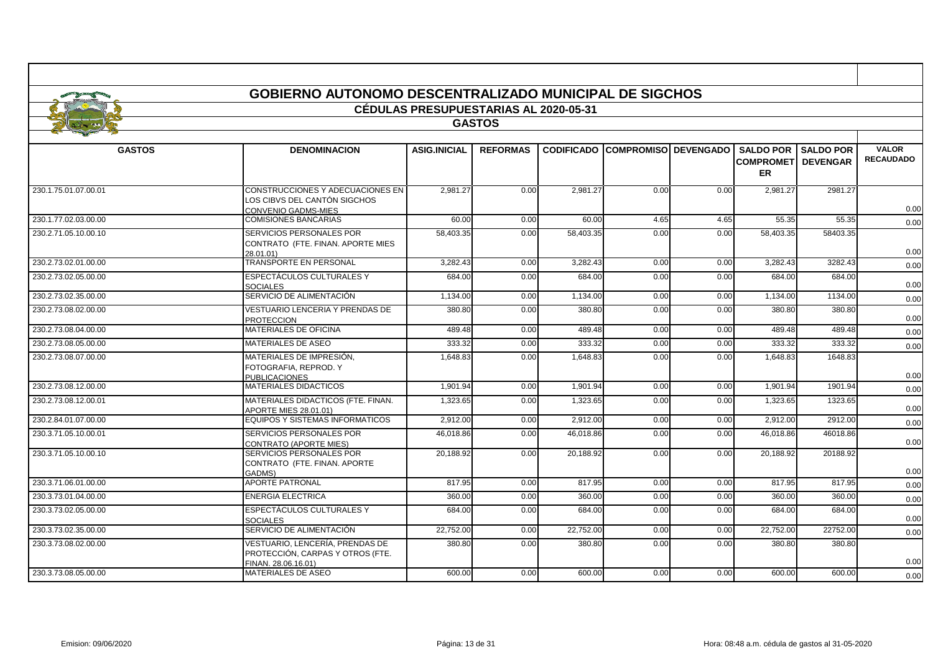|                      | <b>GOBIERNO AUTONOMO DESCENTRALIZADO MUNICIPAL DE SIGCHOS</b>                              |                                       |                 |           |                                        |      |                                                             |                  |                                  |
|----------------------|--------------------------------------------------------------------------------------------|---------------------------------------|-----------------|-----------|----------------------------------------|------|-------------------------------------------------------------|------------------|----------------------------------|
|                      |                                                                                            | CÉDULAS PRESUPUESTARIAS AL 2020-05-31 |                 |           |                                        |      |                                                             |                  |                                  |
|                      |                                                                                            |                                       | <b>GASTOS</b>   |           |                                        |      |                                                             |                  |                                  |
|                      |                                                                                            |                                       |                 |           |                                        |      |                                                             |                  |                                  |
| <b>GASTOS</b>        | <b>DENOMINACION</b>                                                                        | <b>ASIG.INICIAL</b>                   | <b>REFORMAS</b> |           | <b>CODIFICADO COMPROMISO DEVENGADO</b> |      | <b>SALDO POR</b><br><b>COMPROMETI DEVENGAR</b><br><b>ER</b> | <b>SALDO POR</b> | <b>VALOR</b><br><b>RECAUDADO</b> |
| 230.1.75.01.07.00.01 | CONSTRUCCIONES Y ADECUACIONES EN<br>LOS CIBVS DEL CANTÓN SIGCHOS<br>CONVENIO GADMS-MIES    | 2.981.27                              | 0.00            | 2,981.27  | 0.00                                   | 0.00 | 2,981.27                                                    | 2981.27          | 0.00                             |
| 230.1.77.02.03.00.00 | <b>COMISIONES BANCARIAS</b>                                                                | 60.00                                 | 0.00            | 60.00     | 4.65                                   | 4.65 | 55.35                                                       | 55.35            | 0.00                             |
| 230.2.71.05.10.00.10 | SERVICIOS PERSONALES POR<br>CONTRATO (FTE. FINAN. APORTE MIES<br>28.01.01)                 | 58,403.35                             | 0.00            | 58,403.35 | 0.00                                   | 0.00 | 58,403.35                                                   | 58403.35         | 0.00                             |
| 230.2.73.02.01.00.00 | <b>TRANSPORTE EN PERSONAL</b>                                                              | 3,282.43                              | 0.00            | 3,282.43  | 0.00                                   | 0.00 | 3,282.43                                                    | 3282.43          | 0.00                             |
| 230.2.73.02.05.00.00 | <b>ESPECTÁCULOS CULTURALES Y</b><br><b>SOCIALES</b>                                        | 684.00                                | 0.00            | 684.00    | 0.00                                   | 0.00 | 684.00                                                      | 684.00           | 0.00                             |
| 230.2.73.02.35.00.00 | SERVICIO DE ALIMENTACIÓN                                                                   | 1,134.00                              | 0.00            | 1,134.00  | 0.00                                   | 0.00 | 1,134.00                                                    | 1134.00          | 0.00                             |
| 230.2.73.08.02.00.00 | <b>VESTUARIO LENCERIA Y PRENDAS DE</b><br><b>PROTECCION</b>                                | 380.80                                | 0.00            | 380.80    | 0.00                                   | 0.00 | 380.80                                                      | 380.80           | 0.00                             |
| 230.2.73.08.04.00.00 | <b>MATERIALES DE OFICINA</b>                                                               | 489.48                                | 0.00            | 489.48    | 0.00                                   | 0.00 | 489.48                                                      | 489.48           | 0.00                             |
| 230.2.73.08.05.00.00 | <b>MATERIALES DE ASEO</b>                                                                  | 333.32                                | 0.00            | 333.32    | 0.00                                   | 0.00 | 333.32                                                      | 333.32           | 0.00                             |
| 230.2.73.08.07.00.00 | MATERIALES DE IMPRESIÓN,<br>FOTOGRAFIA, REPROD, Y<br><b>PUBLICACIONES</b>                  | 1,648.83                              | 0.00            | 1,648.83  | 0.00                                   | 0.00 | 1,648.83                                                    | 1648.83          | 0.00                             |
| 230.2.73.08.12.00.00 | <b>MATERIALES DIDACTICOS</b>                                                               | 1,901.94                              | 0.00            | 1,901.94  | 0.00                                   | 0.00 | 1,901.94                                                    | 1901.94          | 0.00                             |
| 230.2.73.08.12.00.01 | MATERIALES DIDACTICOS (FTE, FINAN,<br>APORTE MIES 28.01.01)                                | 1,323.65                              | 0.00            | 1,323.65  | 0.00                                   | 0.00 | 1,323.65                                                    | 1323.65          | 0.00                             |
| 230.2.84.01.07.00.00 | EQUIPOS Y SISTEMAS INFORMATICOS                                                            | 2,912.00                              | 0.00            | 2,912.00  | 0.00                                   | 0.00 | 2,912.00                                                    | 2912.00          | 0.00                             |
| 230.3.71.05.10.00.01 | SERVICIOS PERSONALES POR<br><b>CONTRATO (APORTE MIES)</b>                                  | 46,018.86                             | 0.00            | 46,018.86 | 0.00                                   | 0.00 | 46,018.86                                                   | 46018.86         | 0.00                             |
| 230.3.71.05.10.00.10 | SERVICIOS PERSONALES POR<br>CONTRATO (FTE. FINAN. APORTE<br>GADMS)                         | 20.188.92                             | 0.00            | 20,188.92 | 0.00                                   | 0.00 | 20.188.92                                                   | 20188.92         | 0.00                             |
| 230.3.71.06.01.00.00 | <b>APORTE PATRONAL</b>                                                                     | 817.95                                | 0.00            | 817.95    | 0.00                                   | 0.00 | 817.95                                                      | 817.95           | 0.00                             |
| 230.3.73.01.04.00.00 | <b>ENERGIA ELECTRICA</b>                                                                   | 360.00                                | 0.00            | 360.00    | 0.00                                   | 0.00 | 360.00                                                      | 360.00           | 0.00                             |
| 230.3.73.02.05.00.00 | ESPECTÁCULOS CULTURALES Y<br><b>SOCIALES</b>                                               | 684.00                                | 0.00            | 684.00    | 0.00                                   | 0.00 | 684.00                                                      | 684.00           | 0.00                             |
| 230.3.73.02.35.00.00 | SERVICIO DE ALIMENTACIÓN                                                                   | 22.752.00                             | 0.00            | 22.752.00 | 0.00                                   | 0.00 | 22,752.00                                                   | 22752.00         | 0.00                             |
| 230.3.73.08.02.00.00 | VESTUARIO. LENCERÍA. PRENDAS DE<br>PROTECCIÓN, CARPAS Y OTROS (FTE.<br>FINAN. 28.06.16.01) | 380.80                                | 0.00            | 380.80    | 0.00                                   | 0.00 | 380.80                                                      | 380.80           | 0.00                             |
| 230.3.73.08.05.00.00 | MATERIALES DE ASEO                                                                         | 600.00                                | 0.00            | 600.00    | 0.00                                   | 0.00 | 600.00                                                      | 600.00           | 0.00                             |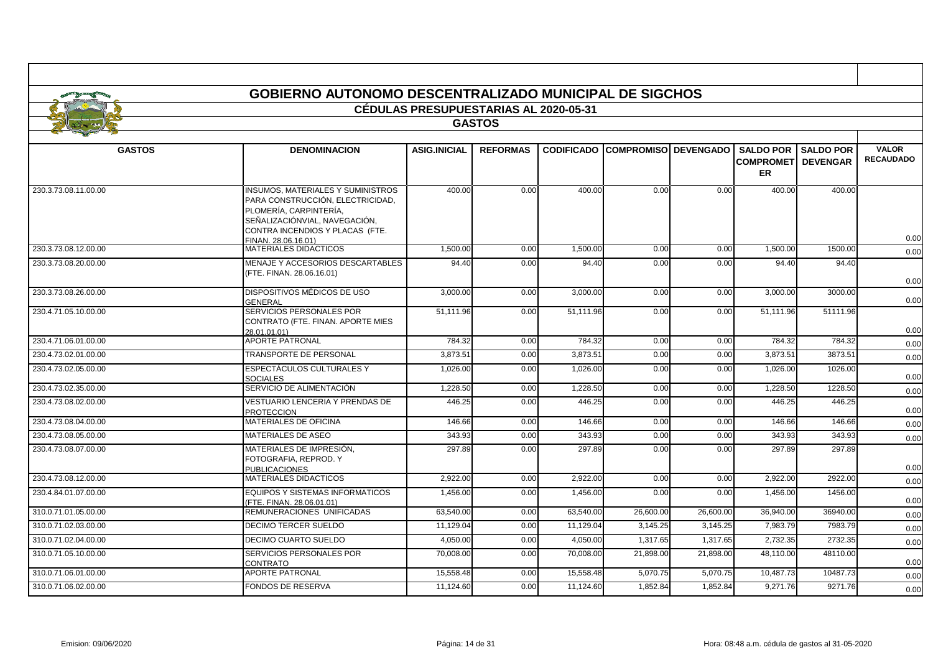|                      | <b>GOBIERNO AUTONOMO DESCENTRALIZADO MUNICIPAL DE SIGCHOS</b>                                                                                                              |                                              |                 |                   |                             |           |                                         |                              |                                  |  |
|----------------------|----------------------------------------------------------------------------------------------------------------------------------------------------------------------------|----------------------------------------------|-----------------|-------------------|-----------------------------|-----------|-----------------------------------------|------------------------------|----------------------------------|--|
|                      |                                                                                                                                                                            | <b>CÉDULAS PRESUPUESTARIAS AL 2020-05-31</b> |                 |                   |                             |           |                                         |                              |                                  |  |
|                      |                                                                                                                                                                            |                                              | <b>GASTOS</b>   |                   |                             |           |                                         |                              |                                  |  |
|                      |                                                                                                                                                                            |                                              |                 |                   |                             |           |                                         |                              |                                  |  |
| <b>GASTOS</b>        | <b>DENOMINACION</b>                                                                                                                                                        | <b>ASIG.INICIAL</b>                          | <b>REFORMAS</b> | <b>CODIFICADO</b> | <b>COMPROMISO DEVENGADO</b> |           | <b>COMPROMETI DEVENGAR</b><br><b>ER</b> | <b>SALDO POR I SALDO POR</b> | <b>VALOR</b><br><b>RECAUDADO</b> |  |
| 230.3.73.08.11.00.00 | <b>INSUMOS, MATERIALES Y SUMINISTROS</b><br>PARA CONSTRUCCIÓN, ELECTRICIDAD,<br>PLOMERÍA, CARPINTERÍA,<br>SEÑALIZACIÓNVIAL, NAVEGACIÓN.<br>CONTRA INCENDIOS Y PLACAS (FTE. | 400.00                                       | 0.00            | 400.00            | 0.00                        | 0.00      | 400.00                                  | 400.00                       | 0.00                             |  |
| 230.3.73.08.12.00.00 | FINAN, 28.06.16.01)<br>MATERIALES DIDACTICOS                                                                                                                               | 1,500.00                                     | 0.00            | 1,500.00          | 0.00                        | 0.00      | 1,500.00                                | 1500.00                      | 0.00                             |  |
| 230.3.73.08.20.00.00 | MENAJE Y ACCESORIOS DESCARTABLES                                                                                                                                           | 94.40                                        | 0.00            | 94.40             | 0.00                        | 0.00      | 94.40                                   | 94.40                        |                                  |  |
|                      | (FTE. FINAN. 28.06.16.01)                                                                                                                                                  |                                              |                 |                   |                             |           |                                         |                              | 0.00                             |  |
| 230.3.73.08.26.00.00 | DISPOSITIVOS MÉDICOS DE USO<br>GENERAL                                                                                                                                     | 3.000.00                                     | 0.00            | 3.000.00          | 0.00                        | 0.00      | 3,000.00                                | 3000.00                      | 0.00                             |  |
| 230.4.71.05.10.00.00 | SERVICIOS PERSONALES POR<br>CONTRATO (FTE. FINAN. APORTE MIES<br>28.01.01.01)                                                                                              | 51.111.96                                    | 0.00            | 51.111.96         | 0.00                        | 0.00      | 51.111.96                               | 51111.96                     | 0.00                             |  |
| 230.4.71.06.01.00.00 | <b>APORTE PATRONAL</b>                                                                                                                                                     | 784.32                                       | 0.00            | 784.32            | 0.00                        | 0.00      | 784.32                                  | 784.32                       | 0.00                             |  |
| 230.4.73.02.01.00.00 | <b>TRANSPORTE DE PERSONAL</b>                                                                                                                                              | 3,873.51                                     | 0.00            | 3,873.51          | 0.00                        | 0.00      | 3,873.51                                | 3873.51                      | 0.00                             |  |
| 230.4.73.02.05.00.00 | ESPECTÁCULOS CULTURALES Y<br><b>SOCIALES</b>                                                                                                                               | 1,026.00                                     | 0.00            | 1,026.00          | 0.00                        | 0.00      | 1,026.00                                | 1026.00                      | 0.00                             |  |
| 230.4.73.02.35.00.00 | SERVICIO DE ALIMENTACIÓN                                                                                                                                                   | 1.228.50                                     | 0.00            | 1.228.50          | 0.00                        | 0.00      | 1.228.50                                | 1228.50                      | 0.00                             |  |
| 230.4.73.08.02.00.00 | VESTUARIO LENCERIA Y PRENDAS DE<br><b>PROTECCION</b>                                                                                                                       | 446.25                                       | 0.00            | 446.25            | 0.00                        | 0.00      | 446.25                                  | 446.25                       | 0.00                             |  |
| 230.4.73.08.04.00.00 | MATERIALES DE OFICINA                                                                                                                                                      | 146.66                                       | 0.00            | 146.66            | 0.00                        | 0.00      | 146.66                                  | 146.66                       | 0.00                             |  |
| 230.4.73.08.05.00.00 | MATERIALES DE ASEO                                                                                                                                                         | 343.93                                       | 0.00            | 343.93            | 0.00                        | 0.00      | 343.93                                  | 343.93                       | 0.00                             |  |
| 230.4.73.08.07.00.00 | MATERIALES DE IMPRESIÓN.<br>FOTOGRAFIA, REPROD. Y<br><b>PUBLICACIONES</b>                                                                                                  | 297.89                                       | 0.00            | 297.89            | 0.00                        | 0.00      | 297.89                                  | 297.89                       | 0.00                             |  |
| 230.4.73.08.12.00.00 | MATERIALES DIDACTICOS                                                                                                                                                      | 2.922.00                                     | 0.00            | 2.922.00          | 0.00                        | 0.00      | 2.922.00                                | 2922.00                      | 0.00                             |  |
| 230.4.84.01.07.00.00 | EQUIPOS Y SISTEMAS INFORMATICOS<br>(FTE. FINAN. 28.06.01.01)                                                                                                               | 1,456.00                                     | 0.00            | 1,456.00          | 0.00                        | 0.00      | 1,456.00                                | 1456.00                      | 0.00                             |  |
| 310.0.71.01.05.00.00 | REMUNERACIONES UNIFICADAS                                                                                                                                                  | 63,540.00                                    | 0.00            | 63,540.00         | 26,600.00                   | 26,600.00 | 36,940.00                               | 36940.00                     | 0.00                             |  |
| 310.0.71.02.03.00.00 | DECIMO TERCER SUELDO                                                                                                                                                       | 11,129.04                                    | 0.00            | 11,129.04         | 3,145.25                    | 3,145.25  | 7,983.79                                | 7983.79                      | 0.00                             |  |
| 310.0.71.02.04.00.00 | <b>DECIMO CUARTO SUELDO</b>                                                                                                                                                | 4,050.00                                     | 0.00            | 4,050.00          | 1,317.65                    | 1,317.65  | 2,732.35                                | 2732.35                      | 0.00                             |  |
| 310.0.71.05.10.00.00 | SERVICIOS PERSONALES POR<br>CONTRATO                                                                                                                                       | 70,008.00                                    | 0.00            | 70,008.00         | 21,898.00                   | 21,898.00 | 48,110.00                               | 48110.00                     | 0.00                             |  |
| 310.0.71.06.01.00.00 | <b>APORTE PATRONAL</b>                                                                                                                                                     | 15,558.48                                    | 0.00            | 15,558.48         | 5,070.75                    | 5,070.75  | 10,487.73                               | 10487.73                     | 0.00                             |  |
| 310.0.71.06.02.00.00 | FONDOS DE RESERVA                                                                                                                                                          | 11.124.60                                    | 0.00            | 11.124.60         | 1.852.84                    | 1.852.84  | 9.271.76                                | 9271.76                      | 0.00                             |  |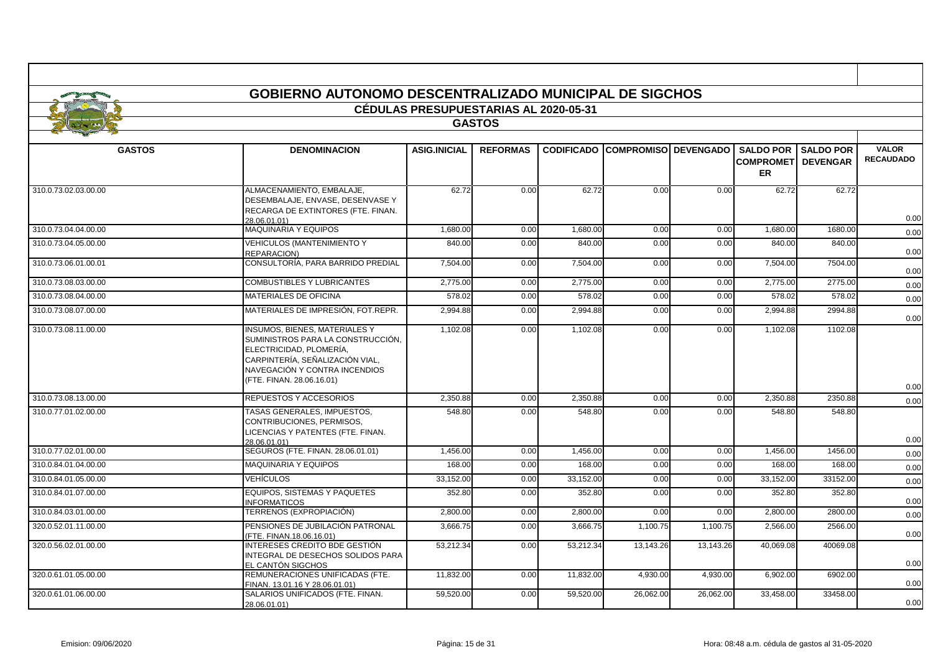|                      | <b>GOBIERNO AUTONOMO DESCENTRALIZADO MUNICIPAL DE SIGCHOS</b>                                                                                                                                         |                                              |                 |                   |                             |           |                                                   |                                     |                                  |  |
|----------------------|-------------------------------------------------------------------------------------------------------------------------------------------------------------------------------------------------------|----------------------------------------------|-----------------|-------------------|-----------------------------|-----------|---------------------------------------------------|-------------------------------------|----------------------------------|--|
|                      |                                                                                                                                                                                                       | <b>CÉDULAS PRESUPUESTARIAS AL 2020-05-31</b> |                 |                   |                             |           |                                                   |                                     |                                  |  |
|                      |                                                                                                                                                                                                       |                                              | <b>GASTOS</b>   |                   |                             |           |                                                   |                                     |                                  |  |
|                      |                                                                                                                                                                                                       |                                              |                 |                   |                             |           |                                                   |                                     |                                  |  |
| <b>GASTOS</b>        | <b>DENOMINACION</b>                                                                                                                                                                                   | <b>ASIG.INICIAL</b>                          | <b>REFORMAS</b> | <b>CODIFICADO</b> | <b>COMPROMISO DEVENGADO</b> |           | <b>SALDO POR</b><br><b>COMPROMET</b><br><b>ER</b> | <b>SALDO POR</b><br><b>DEVENGAR</b> | <b>VALOR</b><br><b>RECAUDADO</b> |  |
| 310.0.73.02.03.00.00 | ALMACENAMIENTO. EMBALAJE.<br>DESEMBALAJE, ENVASE, DESENVASE Y<br>RECARGA DE EXTINTORES (FTE. FINAN.<br>28.06.01.01)                                                                                   | 62.72                                        | 0.00            | 62.72             | 0.00                        | 0.00      | 62.72                                             | 62.72                               | 0.00                             |  |
| 310.0.73.04.04.00.00 | <b>MAQUINARIA Y EQUIPOS</b>                                                                                                                                                                           | 1,680.00                                     | 0.00            | 1,680.00          | 0.00                        | 0.00      | 1,680.00                                          | 1680.00                             | 0.00                             |  |
| 310.0.73.04.05.00.00 | <b>VEHICULOS (MANTENIMIENTO Y</b><br>REPARACION)                                                                                                                                                      | 840.00                                       | 0.00            | 840.00            | 0.00                        | 0.00      | 840.00                                            | 840.00                              | 0.00                             |  |
| 310.0.73.06.01.00.01 | CONSULTORÍA, PARA BARRIDO PREDIAL                                                                                                                                                                     | 7,504.00                                     | 0.00            | 7,504.00          | 0.00                        | 0.00      | 7,504.00                                          | 7504.00                             | 0.00                             |  |
| 310.0.73.08.03.00.00 | COMBUSTIBLES Y LUBRICANTES                                                                                                                                                                            | 2,775.00                                     | 0.00            | 2,775.00          | 0.00                        | 0.00      | 2,775.00                                          | 2775.00                             | 0.00                             |  |
| 310.0.73.08.04.00.00 | MATERIALES DE OFICINA                                                                                                                                                                                 | 578.02                                       | 0.00            | 578.02            | 0.00                        | 0.00      | 578.02                                            | 578.02                              | 0.00                             |  |
| 310.0.73.08.07.00.00 | MATERIALES DE IMPRESIÓN, FOT.REPR.                                                                                                                                                                    | 2,994.88                                     | 0.00            | 2,994.88          | 0.00                        | 0.00      | 2,994.88                                          | 2994.88                             | 0.00                             |  |
| 310.0.73.08.11.00.00 | <b>INSUMOS, BIENES, MATERIALES Y</b><br>SUMINISTROS PARA LA CONSTRUCCIÓN.<br>ELECTRICIDAD, PLOMERÍA,<br>CARPINTERÍA, SEÑALIZACIÓN VIAL,<br>NAVEGACIÓN Y CONTRA INCENDIOS<br>(FTE. FINAN. 28.06.16.01) | 1,102.08                                     | 0.00            | 1,102.08          | 0.00                        | 0.00      | 1,102.08                                          | 1102.08                             | 0.00                             |  |
| 310.0.73.08.13.00.00 | REPUESTOS Y ACCESORIOS                                                                                                                                                                                | 2,350.88                                     | 0.00            | 2,350.88          | 0.00                        | 0.00      | 2,350.88                                          | 2350.88                             | 0.00                             |  |
| 310.0.77.01.02.00.00 | TASAS GENERALES, IMPUESTOS,<br>CONTRIBUCIONES, PERMISOS,<br>LICENCIAS Y PATENTES (FTE. FINAN.<br>28.06.01.01)                                                                                         | 548.80                                       | 0.00            | 548.80            | 0.00                        | 0.00      | 548.80                                            | 548.80                              | 0.00                             |  |
| 310.0.77.02.01.00.00 | SEGUROS (FTE. FINAN. 28.06.01.01)                                                                                                                                                                     | $\overline{1,}456.00$                        | 0.00            | 1,456.00          | 0.00                        | 0.00      | 1,456.00                                          | 1456.00                             | 0.00                             |  |
| 310.0.84.01.04.00.00 | <b>MAQUINARIA Y EQUIPOS</b>                                                                                                                                                                           | 168.00                                       | 0.00            | 168.00            | 0.00                        | 0.00      | 168.00                                            | 168.00                              | 0.00                             |  |
| 310.0.84.01.05.00.00 | VEHÍCULOS                                                                                                                                                                                             | 33,152.00                                    | 0.00            | 33,152.00         | 0.00                        | 0.00      | 33,152.00                                         | 33152.00                            | 0.00                             |  |
| 310.0.84.01.07.00.00 | EQUIPOS, SISTEMAS Y PAQUETES<br><b>INFORMATICOS</b>                                                                                                                                                   | 352.80                                       | 0.00            | 352.80            | 0.00                        | 0.00      | 352.80                                            | 352.80                              | 0.00                             |  |
| 310.0.84.03.01.00.00 | TERRENOS (EXPROPIACIÓN)                                                                                                                                                                               | 2.800.00                                     | 0.00            | 2.800.00          | 0.00                        | 0.00      | 2.800.00                                          | 2800.00                             | 0.00                             |  |
| 320.0.52.01.11.00.00 | PENSIONES DE JUBILACIÓN PATRONAL<br>(FTE. FINAN.18.06.16.01)                                                                                                                                          | 3,666.75                                     | 0.00            | 3,666.75          | 1,100.75                    | 1,100.75  | 2,566.00                                          | 2566.00                             | 0.00                             |  |
| 320.0.56.02.01.00.00 | INTERESES CREDITO BDE GESTIÓN<br>INTEGRAL DE DESECHOS SOLIDOS PARA<br>EL CANTÓN SIGCHOS                                                                                                               | 53,212.34                                    | 0.00            | 53,212.34         | 13,143.26                   | 13,143.26 | 40,069.08                                         | 40069.08                            | 0.00                             |  |
| 320.0.61.01.05.00.00 | REMUNERACIONES UNIFICADAS (FTE.<br>FINAN. 13.01.16 Y 28.06.01.01)                                                                                                                                     | 11,832.00                                    | 0.00            | 11,832.00         | 4,930.00                    | 4,930.00  | 6,902.00                                          | 6902.00                             | 0.00                             |  |
| 320.0.61.01.06.00.00 | SALARIOS UNIFICADOS (FTE. FINAN.<br>28.06.01.01)                                                                                                                                                      | 59,520.00                                    | 0.00            | 59,520.00         | 26,062.00                   | 26,062.00 | 33,458.00                                         | 33458.00                            | 0.00                             |  |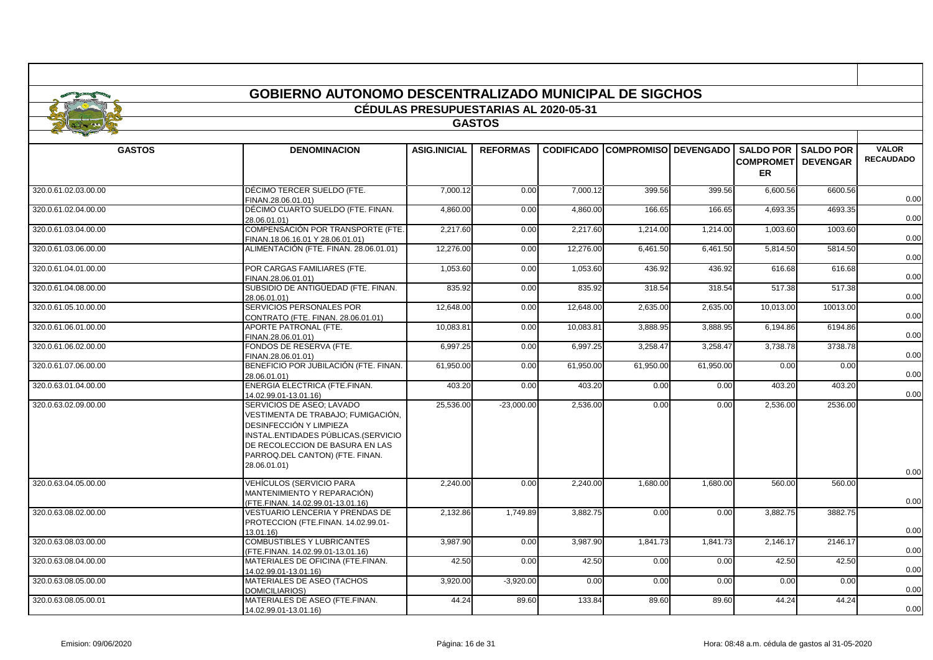|                      | <b>GOBIERNO AUTONOMO DESCENTRALIZADO MUNICIPAL DE SIGCHOS</b>                                                                                                                                                           |                                              |                 |           |                                        |           |                                        |                              |                                  |
|----------------------|-------------------------------------------------------------------------------------------------------------------------------------------------------------------------------------------------------------------------|----------------------------------------------|-----------------|-----------|----------------------------------------|-----------|----------------------------------------|------------------------------|----------------------------------|
|                      |                                                                                                                                                                                                                         | <b>CÉDULAS PRESUPUESTARIAS AL 2020-05-31</b> |                 |           |                                        |           |                                        |                              |                                  |
|                      |                                                                                                                                                                                                                         |                                              | <b>GASTOS</b>   |           |                                        |           |                                        |                              |                                  |
|                      |                                                                                                                                                                                                                         |                                              |                 |           |                                        |           |                                        |                              |                                  |
| <b>GASTOS</b>        | <b>DENOMINACION</b>                                                                                                                                                                                                     | <b>ASIG.INICIAL</b>                          | <b>REFORMAS</b> |           | <b>CODIFICADO COMPROMISO DEVENGADO</b> |           | <b>COMPROMET DEVENGAR</b><br><b>ER</b> | <b>SALDO POR I SALDO POR</b> | <b>VALOR</b><br><b>RECAUDADO</b> |
| 320.0.61.02.03.00.00 | DÉCIMO TERCER SUELDO (FTE.<br>FINAN.28.06.01.01)                                                                                                                                                                        | 7.000.12                                     | 0.00            | 7,000.12  | 399.56                                 | 399.56    | 6,600.56                               | 6600.56                      | 0.00                             |
| 320.0.61.02.04.00.00 | DÉCIMO CUARTO SUELDO (FTE. FINAN.<br>28.06.01.01)                                                                                                                                                                       | 4,860.00                                     | 0.00            | 4,860.00  | 166.65                                 | 166.65    | 4,693.35                               | 4693.35                      | 0.00                             |
| 320.0.61.03.04.00.00 | COMPENSACIÓN POR TRANSPORTE (FTE.<br>FINAN.18.06.16.01 Y 28.06.01.01)                                                                                                                                                   | 2,217.60                                     | 0.00            | 2,217.60  | 1,214.00                               | 1,214.00  | 1,003.60                               | 1003.60                      | 0.00                             |
| 320.0.61.03.06.00.00 | ALIMENTACIÓN (FTE. FINAN. 28.06.01.01)                                                                                                                                                                                  | 12,276.00                                    | 0.00            | 12,276.00 | 6,461.50                               | 6,461.50  | 5,814.50                               | 5814.50                      | 0.00                             |
| 320.0.61.04.01.00.00 | POR CARGAS FAMILIARES (FTE.<br>FINAN.28.06.01.01)                                                                                                                                                                       | 1,053.60                                     | 0.00            | 1,053.60  | 436.92                                 | 436.92    | 616.68                                 | 616.68                       | 0.00                             |
| 320.0.61.04.08.00.00 | SUBSIDIO DE ANTIGÜEDAD (FTE. FINAN.<br>28.06.01.01)                                                                                                                                                                     | 835.92                                       | 0.00            | 835.92    | 318.54                                 | 318.54    | 517.38                                 | 517.38                       | 0.00                             |
| 320.0.61.05.10.00.00 | SERVICIOS PERSONALES POR<br>CONTRATO (FTE. FINAN. 28.06.01.01)                                                                                                                                                          | 12,648.00                                    | 0.00            | 12,648.00 | 2,635.00                               | 2,635.00  | 10,013.00                              | 10013.00                     | 0.00                             |
| 320.0.61.06.01.00.00 | APORTE PATRONAL (FTE.<br>FINAN.28.06.01.01)                                                                                                                                                                             | 10,083.81                                    | 0.00            | 10,083.81 | 3,888.95                               | 3,888.95  | 6,194.86                               | 6194.86                      | 0.00                             |
| 320.0.61.06.02.00.00 | FONDOS DE RESERVA (FTE.<br>FINAN.28.06.01.01)                                                                                                                                                                           | 6,997.25                                     | 0.00            | 6,997.25  | 3,258.47                               | 3,258.47  | 3,738.78                               | 3738.78                      | 0.00                             |
| 320.0.61.07.06.00.00 | BENEFICIO POR JUBILACIÓN (FTE. FINAN.<br>28.06.01.01)<br>ENERGIA ELECTRICA (FTE.FINAN.                                                                                                                                  | 61,950.00                                    | 0.00            | 61,950.00 | 61,950.00                              | 61,950.00 | 0.00                                   | 0.00                         | 0.00                             |
| 320.0.63.01.04.00.00 | 14.02.99.01-13.01.16)                                                                                                                                                                                                   | 403.20                                       | 0.00            | 403.20    | 0.00                                   | 0.00      | 403.20                                 | 403.20                       | 0.00                             |
| 320.0.63.02.09.00.00 | SERVICIOS DE ASEO: LAVADO<br>VESTIMENTA DE TRABAJO; FUMIGACIÓN,<br>DESINFECCIÓN Y LIMPIEZA<br>INSTAL.ENTIDADES PÚBLICAS.(SERVICIO<br>DE RECOLECCION DE BASURA EN LAS<br>PARROQ.DEL CANTON) (FTE. FINAN.<br>28.06.01.01) | 25.536.00                                    | $-23.000.00$    | 2.536.00  | 0.00                                   | 0.00      | 2.536.00                               | 2536.00                      | 0.00                             |
| 320.0.63.04.05.00.00 | VEHÍCULOS (SERVICIO PARA<br>MANTENIMIENTO Y REPARACIÓN)<br>(FTE.FINAN. 14.02.99.01-13.01.16)                                                                                                                            | 2.240.00                                     | 0.00            | 2,240.00  | 1,680.00                               | 1,680.00  | 560.00                                 | 560.00                       | 0.00                             |
| 320.0.63.08.02.00.00 | <b>VESTUARIO LENCERIA Y PRENDAS DE</b><br>PROTECCION (FTE.FINAN. 14.02.99.01-<br>13.01.16)                                                                                                                              | 2,132.86                                     | 1,749.89        | 3,882.75  | 0.00                                   | 0.00      | 3,882.75                               | 3882.75                      | 0.00                             |
| 320.0.63.08.03.00.00 | <b>COMBUSTIBLES Y LUBRICANTES</b><br>(FTE.FINAN. 14.02.99.01-13.01.16)                                                                                                                                                  | 3,987.90                                     | 0.00            | 3,987.90  | 1,841.73                               | 1,841.73  | 2,146.17                               | 2146.17                      | 0.00                             |
| 320.0.63.08.04.00.00 | MATERIALES DE OFICINA (FTE.FINAN.<br>14.02.99.01-13.01.16)                                                                                                                                                              | 42.50                                        | 0.00            | 42.50     | 0.00                                   | 0.00      | 42.50                                  | 42.50                        | 0.00                             |
| 320.0.63.08.05.00.00 | MATERIALES DE ASEO (TACHOS<br><b>DOMICILIARIOS)</b>                                                                                                                                                                     | 3,920.00                                     | $-3,920.00$     | 0.00      | 0.00                                   | 0.00      | 0.00                                   | 0.00                         | 0.00                             |
| 320.0.63.08.05.00.01 | MATERIALES DE ASEO (FTE.FINAN.<br>14.02.99.01-13.01.16)                                                                                                                                                                 | 44.24                                        | 89.60           | 133.84    | 89.60                                  | 89.60     | 44.24                                  | 44.24                        | 0.00                             |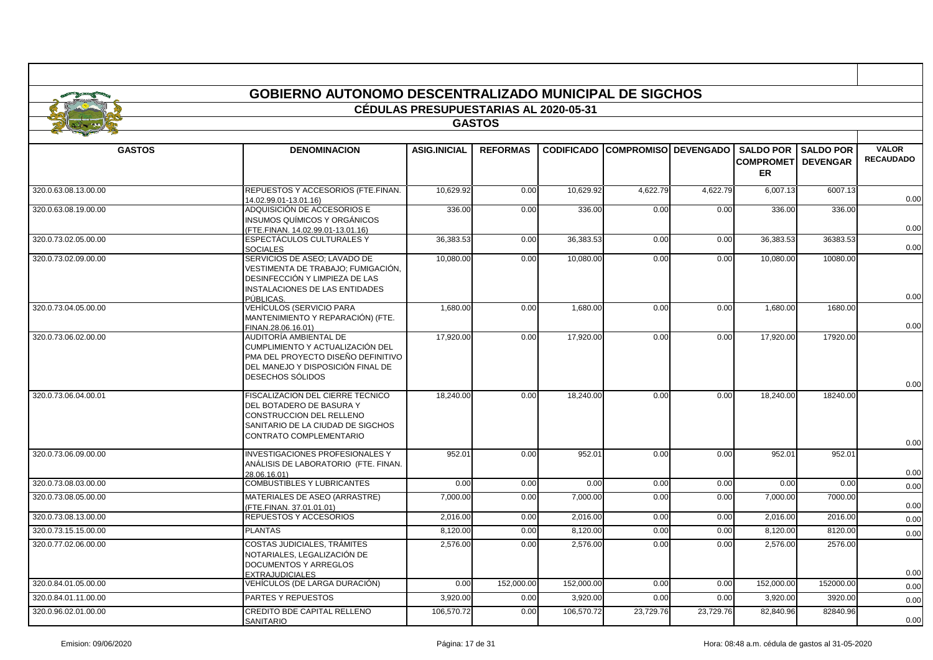|                      | <b>GOBIERNO AUTONOMO DESCENTRALIZADO MUNICIPAL DE SIGCHOS</b>                                                                                             |                                              |                 |                   |                              |           |                                                   |                                     |                                  |  |  |
|----------------------|-----------------------------------------------------------------------------------------------------------------------------------------------------------|----------------------------------------------|-----------------|-------------------|------------------------------|-----------|---------------------------------------------------|-------------------------------------|----------------------------------|--|--|
|                      |                                                                                                                                                           | <b>CÉDULAS PRESUPUESTARIAS AL 2020-05-31</b> |                 |                   |                              |           |                                                   |                                     |                                  |  |  |
|                      |                                                                                                                                                           |                                              | <b>GASTOS</b>   |                   |                              |           |                                                   |                                     |                                  |  |  |
|                      |                                                                                                                                                           |                                              |                 |                   |                              |           |                                                   |                                     |                                  |  |  |
| <b>GASTOS</b>        | <b>DENOMINACION</b>                                                                                                                                       | <b>ASIG.INICIAL</b>                          | <b>REFORMAS</b> | <b>CODIFICADO</b> | <b>COMPROMISOI DEVENGADO</b> |           | <b>SALDO POR</b><br><b>COMPROMET</b><br><b>ER</b> | <b>SALDO POR</b><br><b>DEVENGAR</b> | <b>VALOR</b><br><b>RECAUDADO</b> |  |  |
| 320.0.63.08.13.00.00 | REPUESTOS Y ACCESORIOS (FTE.FINAN.<br>14.02.99.01-13.01.16)                                                                                               | 10,629.92                                    | 0.00            | 10,629.92         | 4,622.79                     | 4,622.79  | 6,007.13                                          | 6007.13                             | 0.00                             |  |  |
| 320.0.63.08.19.00.00 | ADQUISICIÓN DE ACCESORIOS E<br>INSUMOS QUÍMICOS Y ORGÁNICOS<br>(FTE.FINAN. 14.02.99.01-13.01.16)                                                          | 336.00                                       | 0.00            | 336.00            | 0.00                         | 0.00      | 336.00                                            | 336.00                              | 0.00                             |  |  |
| 320.0.73.02.05.00.00 | ESPECTÁCULOS CULTURALES Y<br><b>SOCIALES</b>                                                                                                              | 36,383.53                                    | 0.00            | 36,383.53         | 0.00                         | 0.00      | 36,383.53                                         | 36383.53                            | 0.00                             |  |  |
| 320.0.73.02.09.00.00 | SERVICIOS DE ASEO: LAVADO DE<br>VESTIMENTA DE TRABAJO; FUMIGACIÓN,<br>DESINFECCIÓN Y LIMPIEZA DE LAS<br>INSTALACIONES DE LAS ENTIDADES                    | 10,080.00                                    | 0.00            | 10,080.00         | 0.00                         | 0.00      | 10.080.00                                         | 10080.00                            |                                  |  |  |
|                      | PÚBLICAS.                                                                                                                                                 |                                              |                 |                   |                              |           |                                                   |                                     | 0.00                             |  |  |
| 320.0.73.04.05.00.00 | VEHÍCULOS (SERVICIO PARA<br>MANTENIMIENTO Y REPARACIÓN) (FTE.<br>FINAN.28.06.16.01)                                                                       | 1,680.00                                     | 0.00            | 1,680.00          | 0.00                         | 0.00      | 1,680.00                                          | 1680.00                             | 0.00                             |  |  |
| 320.0.73.06.02.00.00 | AUDITORÍA AMBIENTAL DE<br>CUMPLIMIENTO Y ACTUALIZACIÓN DEL<br>PMA DEL PROYECTO DISEÑO DEFINITIVO<br>DEL MANEJO Y DISPOSICIÓN FINAL DE<br>DESECHOS SÓLIDOS | 17.920.00                                    | 0.00            | 17.920.00         | 0.00                         | 0.00      | 17.920.00                                         | 17920.00                            |                                  |  |  |
| 320.0.73.06.04.00.01 | FISCALIZACION DEL CIERRE TECNICO<br>DEL BOTADERO DE BASURA Y<br>CONSTRUCCION DEL RELLENO<br>SANITARIO DE LA CIUDAD DE SIGCHOS<br>CONTRATO COMPLEMENTARIO  | 18.240.00                                    | 0.00            | 18,240.00         | 0.00                         | 0.00      | 18,240.00                                         | 18240.00                            | 0.00<br>0.00                     |  |  |
| 320.0.73.06.09.00.00 | <b>INVESTIGACIONES PROFESIONALES Y</b><br>ANÁLISIS DE LABORATORIO (FTE. FINAN.                                                                            | 952.01                                       | 0.00            | 952.01            | 0.00                         | 0.00      | 952.01                                            | 952.01                              | 0.00                             |  |  |
| 320.0.73.08.03.00.00 | 28.06.16.01)<br><b>COMBUSTIBLES Y LUBRICANTES</b>                                                                                                         | 0.00                                         | 0.00            | 0.00              | 0.00                         | 0.00      | 0.00                                              | 0.00                                | 0.00                             |  |  |
| 320.0.73.08.05.00.00 | MATERIALES DE ASEO (ARRASTRE)<br>(FTE.FINAN. 37.01.01.01)                                                                                                 | 7.000.00                                     | 0.00            | 7,000.00          | 0.00                         | 0.00      | 7,000.00                                          | 7000.00                             | 0.00                             |  |  |
| 320.0.73.08.13.00.00 | REPUESTOS Y ACCESORIOS                                                                                                                                    | 2,016.00                                     | 0.00            | 2,016.00          | 0.00                         | 0.00      | 2,016.00                                          | 2016.00                             | 0.00                             |  |  |
| 320.0.73.15.15.00.00 | <b>PLANTAS</b>                                                                                                                                            | 8,120.00                                     | 0.00            | 8,120.00          | 0.00                         | 0.00      | 8,120.00                                          | 8120.00                             | 0.00                             |  |  |
| 320.0.77.02.06.00.00 | COSTAS JUDICIALES, TRÁMITES<br>NOTARIALES, LEGALIZACIÓN DE<br><b>DOCUMENTOS Y ARREGLOS</b><br><b>EXTRAJUDICIALES</b>                                      | 2,576.00                                     | 0.00            | 2.576.00          | 0.00                         | 0.00      | 2.576.00                                          | 2576.00                             | 0.00                             |  |  |
| 320.0.84.01.05.00.00 | VEHÍCULOS (DE LARGA DURACIÓN)                                                                                                                             | 0.00                                         | 152.000.00      | 152.000.00        | 0.00                         | 0.00      | 152,000.00                                        | 152000.00                           | 0.00                             |  |  |
| 320.0.84.01.11.00.00 | PARTES Y REPUESTOS                                                                                                                                        | 3,920.00                                     | 0.00            | 3,920.00          | 0.00                         | 0.00      | 3,920.00                                          | 3920.0                              | 0.00                             |  |  |
| 320.0.96.02.01.00.00 | CREDITO BDE CAPITAL RELLENO<br>SANITARIO                                                                                                                  | 106,570.72                                   | 0.00            | 106,570.72        | 23,729.76                    | 23,729.76 | 82,840.96                                         | 82840.96                            | 0.00                             |  |  |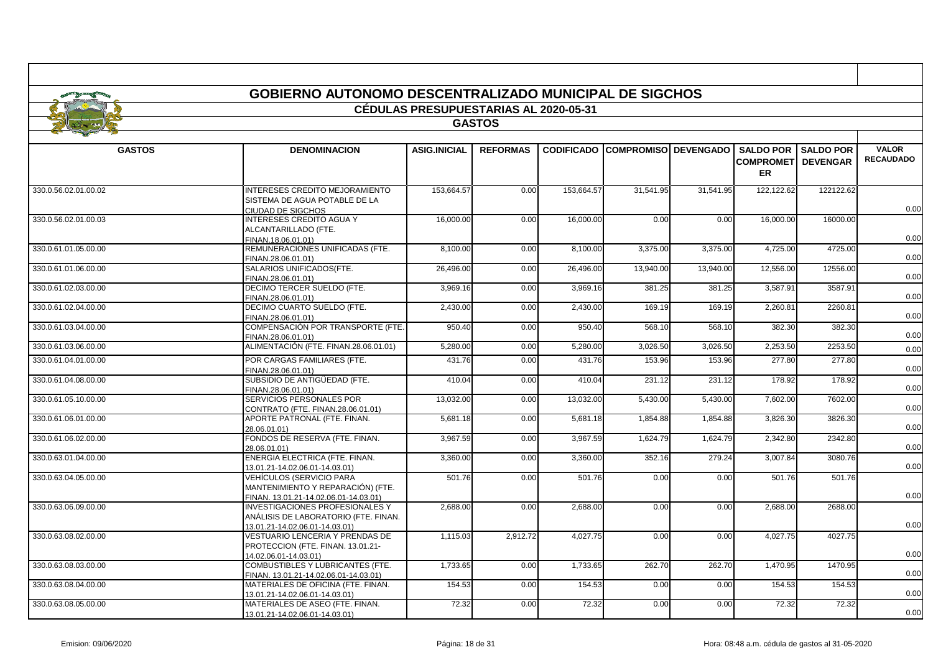| <b>GOBIERNO AUTONOMO DESCENTRALIZADO MUNICIPAL DE SIGCHOS</b> |                                                                                                                  |                                              |                 |                   |                             |           |                  |                           |                  |  |  |  |
|---------------------------------------------------------------|------------------------------------------------------------------------------------------------------------------|----------------------------------------------|-----------------|-------------------|-----------------------------|-----------|------------------|---------------------------|------------------|--|--|--|
|                                                               |                                                                                                                  | <b>CÉDULAS PRESUPUESTARIAS AL 2020-05-31</b> |                 |                   |                             |           |                  |                           |                  |  |  |  |
|                                                               |                                                                                                                  |                                              |                 |                   |                             |           |                  |                           |                  |  |  |  |
|                                                               |                                                                                                                  |                                              | <b>GASTOS</b>   |                   |                             |           |                  |                           |                  |  |  |  |
| <b>GASTOS</b>                                                 | <b>DENOMINACION</b>                                                                                              | <b>ASIG.INICIAL</b>                          | <b>REFORMAS</b> | <b>CODIFICADO</b> | <b>COMPROMISO DEVENGADO</b> |           | <b>SALDO POR</b> | <b>SALDO POR</b>          | <b>VALOR</b>     |  |  |  |
|                                                               |                                                                                                                  |                                              |                 |                   |                             |           | <b>ER</b>        | <b>COMPROMET DEVENGAR</b> | <b>RECAUDADO</b> |  |  |  |
| 330.0.56.02.01.00.02                                          | <b>INTERESES CREDITO MEJORAMIENTO</b><br>SISTEMA DE AGUA POTABLE DE LA<br>CIUDAD DE SIGCHOS                      | 153,664.57                                   | 0.00            | 153,664.57        | 31,541.95                   | 31,541.95 | 122,122.62       | 122122.62                 | 0.00             |  |  |  |
| 330.0.56.02.01.00.03                                          | <b>INTERESES CREDITO AGUA Y</b><br>ALCANTARILLADO (FTE.<br>FINAN.18.06.01.01)                                    | 16,000.00                                    | 0.00            | 16,000.00         | 0.00                        | 0.00      | 16,000.00        | 16000.00                  | 0.00             |  |  |  |
| 330.0.61.01.05.00.00                                          | REMUNERACIONES UNIFICADAS (FTE.<br>FINAN.28.06.01.01)                                                            | 8,100.00                                     | 0.00            | 8,100.00          | 3,375.00                    | 3,375.00  | 4,725.00         | 4725.00                   | 0.00             |  |  |  |
| 330.0.61.01.06.00.00                                          | SALARIOS UNIFICADOS(FTE.<br>FINAN.28.06.01.01)                                                                   | 26,496.00                                    | 0.00            | 26,496.00         | 13,940.00                   | 13.940.00 | 12,556.00        | 12556.00                  | 0.00             |  |  |  |
| 330.0.61.02.03.00.00                                          | DECIMO TERCER SUELDO (FTE.<br>FINAN.28.06.01.01)                                                                 | 3,969.16                                     | 0.00            | 3,969.16          | 381.25                      | 381.25    | 3,587.91         | 3587.91                   | 0.00             |  |  |  |
| 330.0.61.02.04.00.00                                          | DECIMO CUARTO SUELDO (FTE.<br>FINAN.28.06.01.01)                                                                 | 2.430.00                                     | 0.00            | 2.430.00          | 169.19                      | 169.19    | 2.260.81         | 2260.81                   | 0.00             |  |  |  |
| 330.0.61.03.04.00.00                                          | COMPENSACIÓN POR TRANSPORTE (FTE.<br>FINAN.28.06.01.01)                                                          | 950.40                                       | 0.00            | 950.40            | 568.10                      | 568.10    | 382.30           | 382.30                    | 0.00             |  |  |  |
| 330.0.61.03.06.00.00                                          | ALIMENTACIÓN (FTE. FINAN.28.06.01.01)                                                                            | 5,280.00                                     | 0.00            | 5,280.00          | 3,026.50                    | 3,026.50  | 2,253.50         | 2253.50                   | 0.00             |  |  |  |
| 330.0.61.04.01.00.00                                          | POR CARGAS FAMILIARES (FTE.<br>FINAN.28.06.01.01)                                                                | 431.76                                       | 0.00            | 431.76            | 153.96                      | 153.96    | 277.80           | 277.80                    | 0.00             |  |  |  |
| 330.0.61.04.08.00.00                                          | SUBSIDIO DE ANTIGÜEDAD (FTE.<br>FINAN.28.06.01.01)                                                               | 410.04                                       | 0.00            | 410.04            | 231.12                      | 231.12    | 178.92           | 178.92                    | 0.00             |  |  |  |
| 330.0.61.05.10.00.00                                          | SERVICIOS PERSONALES POR<br>CONTRATO (FTE. FINAN.28.06.01.01)                                                    | 13.032.00                                    | 0.00            | 13.032.00         | 5,430.00                    | 5.430.00  | 7,602.00         | 7602.00                   | 0.00             |  |  |  |
| 330.0.61.06.01.00.00                                          | APORTE PATRONAL (FTE. FINAN.<br>28.06.01.01)                                                                     | 5,681.18                                     | 0.00            | 5,681.18          | 1,854.88                    | 1,854.88  | 3,826.30         | 3826.30                   | 0.00             |  |  |  |
| 330.0.61.06.02.00.00                                          | FONDOS DE RESERVA (FTE. FINAN.<br>28.06.01.01)                                                                   | 3.967.59                                     | 0.00            | 3.967.59          | 1.624.79                    | 1.624.79  | 2.342.80         | 2342.80                   | 0.00             |  |  |  |
| 330.0.63.01.04.00.00                                          | ENERGIA ELECTRICA (FTE. FINAN.<br>13.01.21-14.02.06.01-14.03.01)                                                 | 3,360.00                                     | 0.00            | 3,360.00          | 352.16                      | 279.24    | 3,007.84         | 3080.76                   | 0.00             |  |  |  |
| 330.0.63.04.05.00.00                                          | <b>VEHÍCULOS (SERVICIO PARA</b><br>MANTENIMIENTO Y REPARACIÓN) (FTE.<br>FINAN. 13.01.21-14.02.06.01-14.03.01)    | 501.76                                       | 0.00            | 501.76            | 0.00                        | 0.00      | 501.76           | 501.76                    | 0.00             |  |  |  |
| 330.0.63.06.09.00.00                                          | <b>INVESTIGACIONES PROFESIONALES Y</b><br>ANÁLISIS DE LABORATORIO (FTE. FINAN.<br>13.01.21-14.02.06.01-14.03.01) | 2,688.00                                     | 0.00            | 2,688.00          | 0.00                        | 0.00      | 2.688.00         | 2688.00                   | 0.00             |  |  |  |
| 330.0.63.08.02.00.00                                          | VESTUARIO LENCERIA Y PRENDAS DE<br>PROTECCION (FTE. FINAN. 13.01.21-<br>14.02.06.01-14.03.01)                    | 1,115.03                                     | 2,912.72        | 4,027.75          | 0.00                        | 0.00      | 4,027.75         | 4027.75                   | 0.00             |  |  |  |
| 330.0.63.08.03.00.00                                          | COMBUSTIBLES Y LUBRICANTES (FTE.<br>FINAN. 13.01.21-14.02.06.01-14.03.01)                                        | 1.733.65                                     | 0.00            | 1,733.65          | 262.70                      | 262.70    | 1.470.95         | 1470.95                   | 0.00             |  |  |  |
| 330.0.63.08.04.00.00                                          | MATERIALES DE OFICINA (FTE. FINAN.<br>13.01.21-14.02.06.01-14.03.01)                                             | 154.53                                       | 0.00            | 154.53            | 0.00                        | 0.00      | 154.53           | 154.53                    | 0.00             |  |  |  |
| 330.0.63.08.05.00.00                                          | MATERIALES DE ASEO (FTE. FINAN.<br>13.01.21-14.02.06.01-14.03.01)                                                | 72.32                                        | 0.00            | 72.32             | 0.00                        | 0.00      | 72.32            | 72.32                     | 0.00             |  |  |  |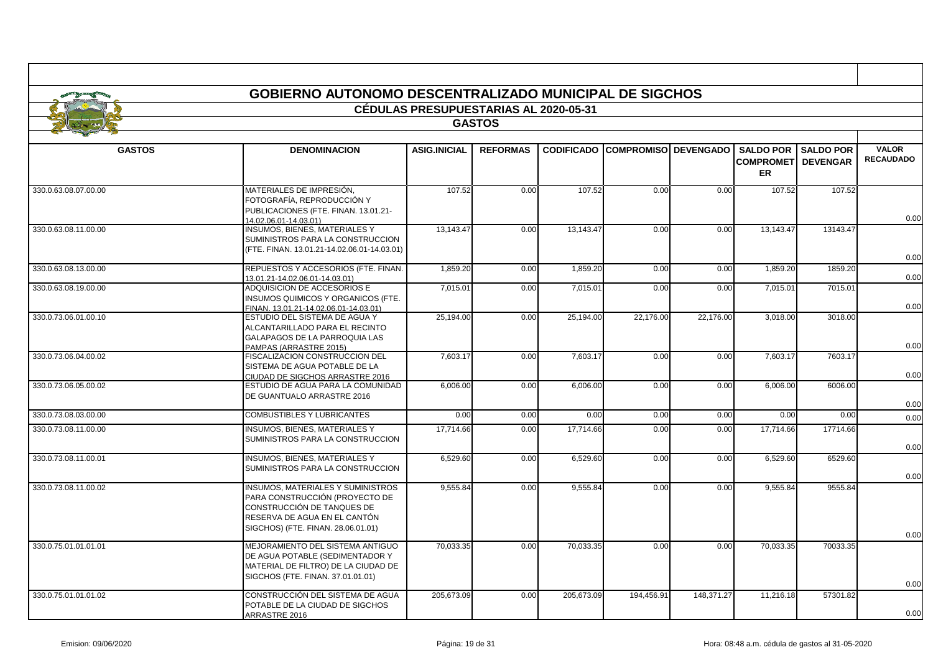|                      | GOBIERNO AUTONOMO DESCENTRALIZADO MUNICIPAL DE SIGCHOS                                                                                                                         | <b>CÉDULAS PRESUPUESTARIAS AL 2020-05-31</b> |                 |            |                                        |            |                                                            |                  |                                  |
|----------------------|--------------------------------------------------------------------------------------------------------------------------------------------------------------------------------|----------------------------------------------|-----------------|------------|----------------------------------------|------------|------------------------------------------------------------|------------------|----------------------------------|
|                      |                                                                                                                                                                                |                                              | <b>GASTOS</b>   |            |                                        |            |                                                            |                  |                                  |
|                      |                                                                                                                                                                                |                                              |                 |            |                                        |            |                                                            |                  |                                  |
| <b>GASTOS</b>        | <b>DENOMINACION</b>                                                                                                                                                            | <b>ASIG.INICIAL</b>                          | <b>REFORMAS</b> |            | <b>CODIFICADO COMPROMISO DEVENGADO</b> |            | <b>SALDO POR</b><br><b>COMPROMET DEVENGAR</b><br><b>ER</b> | <b>SALDO POR</b> | <b>VALOR</b><br><b>RECAUDADO</b> |
| 330.0.63.08.07.00.00 | MATERIALES DE IMPRESIÓN.<br>FOTOGRAFÍA, REPRODUCCIÓN Y<br>PUBLICACIONES (FTE. FINAN. 13.01.21-<br>14.02.06.01-14.03.01)                                                        | 107.52                                       | 0.00            | 107.52     | 0.00                                   | 0.00       | 107.52                                                     | 107.52           | 0.00                             |
| 330.0.63.08.11.00.00 | <b>INSUMOS, BIENES, MATERIALES Y</b><br>SUMINISTROS PARA LA CONSTRUCCION<br>(FTE, FINAN, 13.01.21-14.02.06.01-14.03.01)                                                        | 13.143.47                                    | 0.00            | 13,143.47  | 0.00                                   | 0.00       | 13.143.47                                                  | 13143.47         | 0.00                             |
| 330.0.63.08.13.00.00 | REPUESTOS Y ACCESORIOS (FTE. FINAN.)<br>13.01.21-14.02.06.01-14.03.01)                                                                                                         | 1,859.20                                     | 0.00            | 1,859.20   | 0.00                                   | 0.00       | 1,859.20                                                   | 1859.20          | 0.00                             |
| 330.0.63.08.19.00.00 | ADQUISICION DE ACCESORIOS E<br>INSUMOS QUIMICOS Y ORGANICOS (FTE.<br>FINAN. 13.01.21-14.02.06.01-14.03.01)                                                                     | 7,015.01                                     | 0.00            | 7,015.01   | 0.00                                   | 0.00       | 7,015.01                                                   | 7015.01          | 0.00                             |
| 330.0.73.06.01.00.10 | ESTUDIO DEL SISTEMA DE AGUA Y<br>ALCANTARILLADO PARA EL RECINTO<br>GALAPAGOS DE LA PARROQUIA LAS<br>PAMPAS (ARRASTRE 2015)                                                     | 25,194.00                                    | 0.00            | 25,194.00  | 22,176.00                              | 22,176.00  | 3,018.00                                                   | 3018.00          | 0.00                             |
| 330.0.73.06.04.00.02 | FISCALIZACION CONSTRUCCION DEL<br>SISTEMA DE AGUA POTABLE DE LA<br>CIUDAD DE SIGCHOS ARRASTRE 2016                                                                             | 7.603.17                                     | 0.00            | 7,603.17   | 0.00                                   | 0.00       | 7.603.17                                                   | 7603.17          | 0.00                             |
| 330.0.73.06.05.00.02 | ESTUDIO DE AGUA PARA LA COMUNIDAD<br>DE GUANTUALO ARRASTRE 2016                                                                                                                | 6.006.00                                     | 0.00            | 6,006.00   | 0.00                                   | 0.00       | 6.006.00                                                   | 6006.00          | 0.00                             |
| 330.0.73.08.03.00.00 | COMBUSTIBLES Y LUBRICANTES                                                                                                                                                     | 0.00                                         | 0.00            | 0.00       | 0.00                                   | 0.00       | 0.00                                                       | 0.00             | 0.00                             |
| 330.0.73.08.11.00.00 | <b>INSUMOS, BIENES, MATERIALES Y</b><br>SUMINISTROS PARA LA CONSTRUCCION                                                                                                       | 17,714.66                                    | 0.00            | 17,714.66  | 0.00                                   | 0.00       | 17,714.66                                                  | 17714.66         | 0.00                             |
| 330.0.73.08.11.00.01 | <b>INSUMOS, BIENES, MATERIALES Y</b><br>SUMINISTROS PARA LA CONSTRUCCION                                                                                                       | 6,529.60                                     | 0.00            | 6,529.60   | 0.00                                   | 0.00       | 6,529.60                                                   | 6529.60          | 0.00                             |
| 330.0.73.08.11.00.02 | <b>INSUMOS, MATERIALES Y SUMINISTROS</b><br>PARA CONSTRUCCIÓN (PROYECTO DE<br>CONSTRUCCIÓN DE TANQUES DE<br>RESERVA DE AGUA EN EL CANTÓN<br>SIGCHOS) (FTE. FINAN. 28.06.01.01) | 9,555.84                                     | 0.00            | 9,555.84   | 0.00                                   | 0.00       | 9,555.84                                                   | 9555.84          | 0.00                             |
| 330.0.75.01.01.01.01 | MEJORAMIENTO DEL SISTEMA ANTIGUO<br>DE AGUA POTABLE (SEDIMENTADOR Y<br>MATERIAL DE FILTRO) DE LA CIUDAD DE<br>SIGCHOS (FTE. FINAN. 37.01.01.01)                                | 70,033.35                                    | 0.00            | 70,033.35  | 0.00                                   | 0.00       | 70,033.35                                                  | 70033.35         | 0.00                             |
| 330.0.75.01.01.01.02 | CONSTRUCCIÓN DEL SISTEMA DE AGUA<br>POTABLE DE LA CIUDAD DE SIGCHOS<br>ARRASTRE 2016                                                                                           | 205.673.09                                   | 0.00            | 205.673.09 | 194.456.91                             | 148.371.27 | 11.216.18                                                  | 57301.82         | 0.00                             |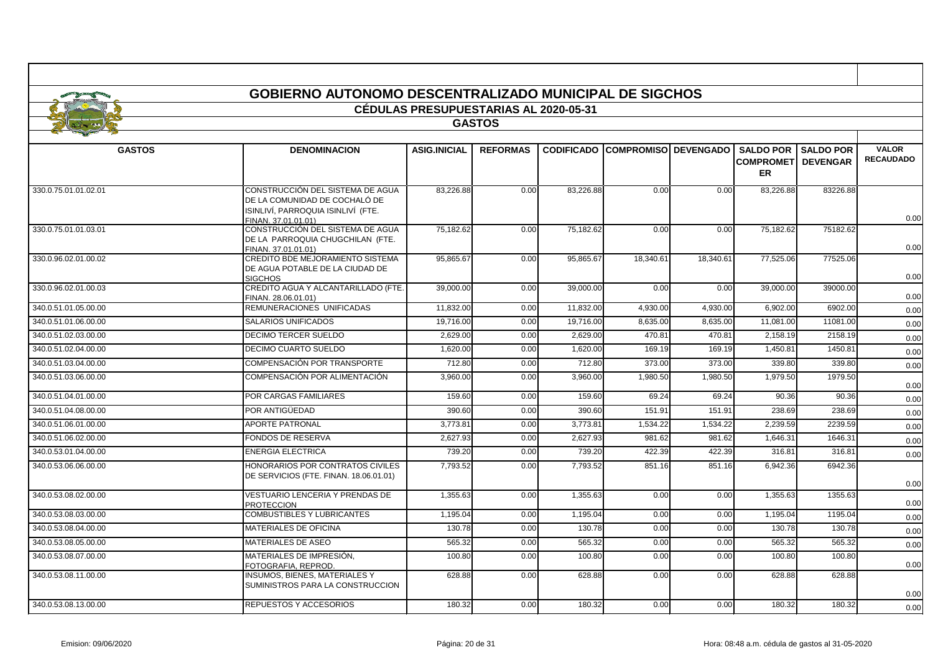|                      | GOBIERNO AUTONOMO DESCENTRALIZADO MUNICIPAL DE SIGCHOS                                                                         |                                              |                 |           |                                        |           |                                |                                                 |                                  |  |
|----------------------|--------------------------------------------------------------------------------------------------------------------------------|----------------------------------------------|-----------------|-----------|----------------------------------------|-----------|--------------------------------|-------------------------------------------------|----------------------------------|--|
|                      |                                                                                                                                | <b>CÉDULAS PRESUPUESTARIAS AL 2020-05-31</b> |                 |           |                                        |           |                                |                                                 |                                  |  |
|                      |                                                                                                                                |                                              | <b>GASTOS</b>   |           |                                        |           |                                |                                                 |                                  |  |
|                      |                                                                                                                                |                                              |                 |           |                                        |           |                                |                                                 |                                  |  |
| <b>GASTOS</b>        | <b>DENOMINACION</b>                                                                                                            | <b>ASIG.INICIAL</b>                          | <b>REFORMAS</b> |           | <b>CODIFICADO COMPROMISO DEVENGADO</b> |           | <b>COMPROMETI</b><br><b>ER</b> | <b>SALDO POR I SALDO POR</b><br><b>DEVENGAR</b> | <b>VALOR</b><br><b>RECAUDADO</b> |  |
| 330.0.75.01.01.02.01 | CONSTRUCCIÓN DEL SISTEMA DE AGUA<br>DE LA COMUNIDAD DE COCHALÓ DE<br>ISINLIVÍ, PARROQUIA ISINLIVÍ (FTE.<br>FINAN. 37.01.01.01) | 83,226.88                                    | 0.00            | 83,226.88 | 0.00                                   | 0.00      | 83,226.88                      | 83226.88                                        | 0.00                             |  |
| 330.0.75.01.01.03.01 | CONSTRUCCIÓN DEL SISTEMA DE AGUA<br>DE LA PARROQUIA CHUGCHILAN (FTE.<br>FINAN. 37.01.01.01)                                    | 75.182.62                                    | 0.00            | 75.182.62 | 0.00                                   | 0.00      | 75.182.62                      | 75182.62                                        | 0.00                             |  |
| 330.0.96.02.01.00.02 | CREDITO BDE MEJORAMIENTO SISTEMA<br>DE AGUA POTABLE DE LA CIUDAD DE<br><b>SIGCHOS</b>                                          | 95,865.67                                    | 0.00            | 95,865.67 | 18,340.61                              | 18,340.61 | 77,525.06                      | 77525.06                                        | 0.00                             |  |
| 330.0.96.02.01.00.03 | CREDITO AGUA Y ALCANTARILLADO (FTE.<br>FINAN. 28.06.01.01)                                                                     | 39,000.00                                    | 0.00            | 39,000.00 | 0.00                                   | 0.00      | 39,000.00                      | 39000.00                                        | 0.00                             |  |
| 340.0.51.01.05.00.00 | REMUNERACIONES UNIFICADAS                                                                                                      | 11.832.00                                    | 0.00            | 11,832.00 | 4,930.00                               | 4.930.00  | 6.902.00                       | 6902.00                                         | 0.00                             |  |
| 340.0.51.01.06.00.00 | SALARIOS UNIFICADOS                                                                                                            | 19.716.00                                    | 0.00            | 19.716.00 | 8.635.00                               | 8.635.00  | 11.081.00                      | 11081.00                                        | 0.00                             |  |
| 340.0.51.02.03.00.00 | DECIMO TERCER SUELDO                                                                                                           | 2,629.00                                     | 0.00            | 2,629.00  | 470.81                                 | 470.81    | 2,158.19                       | 2158.19                                         | 0.00                             |  |
| 340.0.51.02.04.00.00 | <b>DECIMO CUARTO SUELDO</b>                                                                                                    | 1,620.00                                     | 0.00            | 1,620.00  | 169.19                                 | 169.19    | 1,450.81                       | 1450.81                                         | 0.00                             |  |
| 340.0.51.03.04.00.00 | COMPENSACIÓN POR TRANSPORTE                                                                                                    | 712.80                                       | 0.00            | 712.80    | 373.00                                 | 373.00    | 339.80                         | 339.80                                          | 0.00                             |  |
| 340.0.51.03.06.00.00 | COMPENSACIÓN POR ALIMENTACIÓN                                                                                                  | 3,960.00                                     | 0.00            | 3,960.00  | 1,980.50                               | 1,980.50  | 1.979.50                       | 1979.50                                         | 0.00                             |  |
| 340.0.51.04.01.00.00 | POR CARGAS FAMILIARES                                                                                                          | 159.60                                       | 0.00            | 159.60    | 69.24                                  | 69.24     | 90.36                          | 90.36                                           | 0.00                             |  |
| 340.0.51.04.08.00.00 | POR ANTIGÜEDAD                                                                                                                 | 390.60                                       | 0.00            | 390.60    | 151.91                                 | 151.91    | 238.69                         | 238.69                                          | 0.00                             |  |
| 340.0.51.06.01.00.00 | <b>APORTE PATRONAL</b>                                                                                                         | 3.773.81                                     | 0.00            | 3.773.81  | 1.534.22                               | 1.534.22  | 2.239.59                       | 2239.59                                         | 0.00                             |  |
| 340.0.51.06.02.00.00 | FONDOS DE RESERVA                                                                                                              | 2,627.93                                     | 0.00            | 2,627.93  | 981.62                                 | 981.62    | 1,646.31                       | 1646.31                                         | 0.00                             |  |
| 340.0.53.01.04.00.00 | <b>ENERGIA ELECTRICA</b>                                                                                                       | 739.20                                       | 0.00            | 739.20    | 422.39                                 | 422.39    | 316.8'                         | 316.8'                                          | 0.00                             |  |
| 340.0.53.06.06.00.00 | HONORARIOS POR CONTRATOS CIVILES<br>DE SERVICIOS (FTE, FINAN, 18.06.01.01)                                                     | 7,793.52                                     | 0.00            | 7,793.52  | 851.16                                 | 851.16    | 6,942.36                       | 6942.36                                         | 0.00                             |  |
| 340.0.53.08.02.00.00 | <b>VESTUARIO LENCERIA Y PRENDAS DE</b><br><b>PROTECCION</b>                                                                    | 1,355.63                                     | 0.00            | 1,355.63  | 0.00                                   | 0.00      | 1,355.63                       | 1355.63                                         | 0.00                             |  |
| 340.0.53.08.03.00.00 | <b>COMBUSTIBLES Y LUBRICANTES</b>                                                                                              | 1.195.04                                     | 0.00            | 1,195.04  | 0.00                                   | 0.00      | 1,195.04                       | 1195.04                                         | 0.00                             |  |
| 340.0.53.08.04.00.00 | <b>MATERIALES DE OFICINA</b>                                                                                                   | 130.78                                       | 0.00            | 130.78    | 0.00                                   | 0.00      | 130.78                         | 130.78                                          | 0.00                             |  |
| 340.0.53.08.05.00.00 | MATERIALES DE ASEO                                                                                                             | 565.32                                       | 0.00            | 565.32    | 0.00                                   | 0.00      | 565.32                         | 565.32                                          | 0.00                             |  |
| 340.0.53.08.07.00.00 | MATERIALES DE IMPRESIÓN,<br>FOTOGRAFIA. REPROD.                                                                                | 100.80                                       | 0.00            | 100.80    | 0.00                                   | 0.00      | 100.80                         | 100.80                                          | 0.00                             |  |
| 340.0.53.08.11.00.00 | <b>INSUMOS, BIENES, MATERIALES Y</b><br>SUMINISTROS PARA LA CONSTRUCCION                                                       | 628.88                                       | 0.00            | 628.88    | 0.00                                   | 0.00      | 628.88                         | 628.88                                          | 0.00                             |  |
| 340.0.53.08.13.00.00 | REPUESTOS Y ACCESORIOS                                                                                                         | 180.32                                       | 0.00            | 180.32    | 0.00                                   | 0.00      | 180.32                         | 180.32                                          | 0.00                             |  |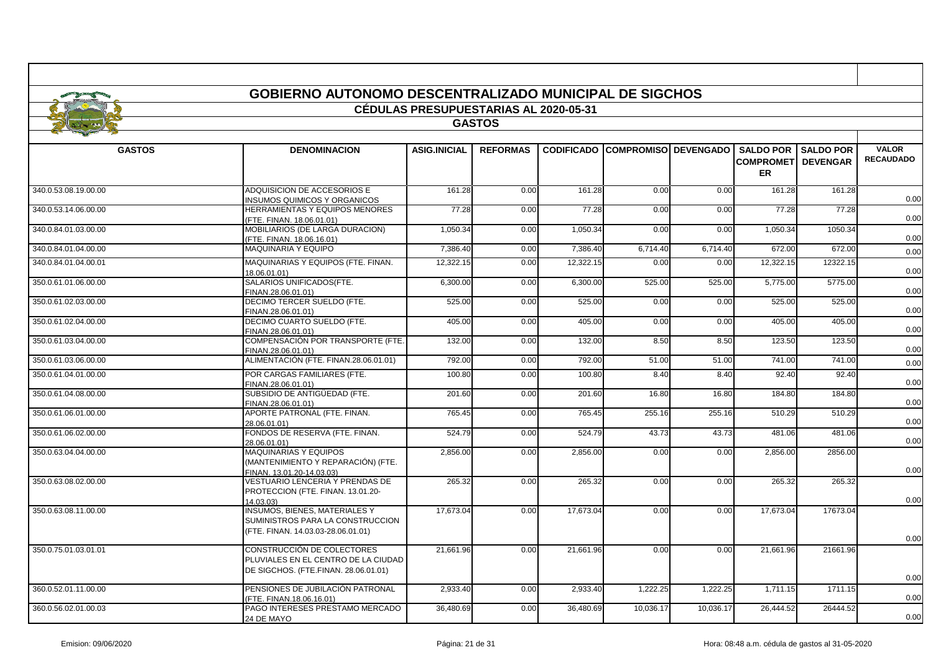|                      | GOBIERNO AUTONOMO DESCENTRALIZADO MUNICIPAL DE SIGCHOS                                                         | <b>CÉDULAS PRESUPUESTARIAS AL 2020-05-31</b> |                 |           |                                        |           |                                                             |                  |                                  |
|----------------------|----------------------------------------------------------------------------------------------------------------|----------------------------------------------|-----------------|-----------|----------------------------------------|-----------|-------------------------------------------------------------|------------------|----------------------------------|
|                      |                                                                                                                |                                              | <b>GASTOS</b>   |           |                                        |           |                                                             |                  |                                  |
| <b>GASTOS</b>        | <b>DENOMINACION</b>                                                                                            | <b>ASIG.INICIAL</b>                          | <b>REFORMAS</b> |           | <b>CODIFICADO COMPROMISO DEVENGADO</b> |           | <b>SALDO POR</b><br><b>COMPROMETI DEVENGAR</b><br><b>ER</b> | <b>SALDO POR</b> | <b>VALOR</b><br><b>RECAUDADO</b> |
| 340.0.53.08.19.00.00 | ADQUISICION DE ACCESORIOS E<br><b>INSUMOS QUIMICOS Y ORGANICOS</b>                                             | 161.28                                       | 0.00            | 161.28    | 0.00                                   | 0.00      | 161.28                                                      | 161.28           | 0.00                             |
| 340.0.53.14.06.00.00 | <b>HERRAMIENTAS Y EQUIPOS MENORES</b><br>(FTE. FINAN. 18.06.01.01)                                             | 77.28                                        | 0.00            | 77.28     | 0.00                                   | 0.00      | 77.28                                                       | 77.28            | 0.00                             |
| 340.0.84.01.03.00.00 | MOBILIARIOS (DE LARGA DURACION)<br>(FTE. FINAN. 18.06.16.01)                                                   | 1,050.34                                     | 0.00            | 1,050.34  | 0.00                                   | 0.00      | 1,050.34                                                    | 1050.34          | 0.00                             |
| 340.0.84.01.04.00.00 | <b>MAQUINARIA Y EQUIPO</b>                                                                                     | 7,386.40                                     | 0.00            | 7,386.40  | 6,714.40                               | 6,714.40  | 672.00                                                      | 672.00           | 0.00                             |
| 340.0.84.01.04.00.01 | MAQUINARIAS Y EQUIPOS (FTE. FINAN.<br>18.06.01.01)                                                             | 12,322.15                                    | 0.00            | 12,322.15 | 0.00                                   | 0.00      | 12,322.15                                                   | 12322.15         | 0.00                             |
| 350.0.61.01.06.00.00 | SALARIOS UNIFICADOS(FTE.<br>FINAN.28.06.01.01)                                                                 | 6,300.00                                     | 0.00            | 6,300.00  | 525.00                                 | 525.00    | 5,775.00                                                    | 5775.00          | 0.00                             |
| 350.0.61.02.03.00.00 | DECIMO TERCER SUELDO (FTE.<br>FINAN.28.06.01.01)                                                               | 525.00                                       | 0.00            | 525.00    | 0.00                                   | 0.00      | 525.00                                                      | 525.00           | 0.00                             |
| 350.0.61.02.04.00.00 | DECIMO CUARTO SUELDO (FTE.<br>FINAN.28.06.01.01)                                                               | 405.00                                       | 0.00            | 405.00    | 0.00                                   | 0.00      | 405.00                                                      | 405.00           | 0.00                             |
| 350.0.61.03.04.00.00 | COMPENSACIÓN POR TRANSPORTE (FTE.<br>FINAN.28.06.01.01)                                                        | 132.00                                       | 0.00            | 132.00    | 8.50                                   | 8.50      | 123.50                                                      | 123.50           | 0.00                             |
| 350.0.61.03.06.00.00 | ALIMENTACIÓN (FTE. FINAN.28.06.01.01)                                                                          | 792.00                                       | 0.00            | 792.00    | 51.00                                  | 51.00     | 741.00                                                      | 741.00           | 0.00                             |
| 350.0.61.04.01.00.00 | POR CARGAS FAMILIARES (FTE.<br>FINAN.28.06.01.01)                                                              | 100.80                                       | 0.00            | 100.80    | 8.40                                   | 8.40      | 92.40                                                       | 92.40            | 0.00                             |
| 350.0.61.04.08.00.00 | SUBSIDIO DE ANTIGÜEDAD (FTE.<br>FINAN.28.06.01.01)                                                             | 201.60                                       | 0.00            | 201.60    | 16.80                                  | 16.80     | 184.80                                                      | 184.80           | 0.00                             |
| 350.0.61.06.01.00.00 | APORTE PATRONAL (FTE, FINAN,<br>28.06.01.01)                                                                   | 765.45                                       | 0.00            | 765.45    | 255.16                                 | 255.16    | 510.29                                                      | 510.29           | 0.00                             |
| 350.0.61.06.02.00.00 | FONDOS DE RESERVA (FTE. FINAN.<br>28.06.01.01)                                                                 | 524.79                                       | 0.00            | 524.79    | 43.73                                  | 43.73     | 481.06                                                      | 481.06           | 0.00                             |
| 350.0.63.04.04.00.00 | <b>MAQUINARIAS Y EQUIPOS</b><br>(MANTENIMIENTO Y REPARACIÓN) (FTE.<br>FINAN. 13.01.20-14.03.03)                | 2,856.00                                     | 0.00            | 2,856.00  | 0.00                                   | 0.00      | 2,856.00                                                    | 2856.00          | 0.00                             |
| 350.0.63.08.02.00.00 | VESTUARIO LENCERIA Y PRENDAS DE<br>PROTECCION (FTE. FINAN. 13.01.20-<br>14.03.03)                              | 265.32                                       | 0.00            | 265.32    | 0.00                                   | 0.00      | 265.32                                                      | 265.32           | 0.00                             |
| 350.0.63.08.11.00.00 | <b>INSUMOS, BIENES, MATERIALES Y</b><br>SUMINISTROS PARA LA CONSTRUCCION<br>(FTE. FINAN. 14.03.03-28.06.01.01) | 17,673.04                                    | 0.00            | 17,673.04 | 0.00                                   | 0.00      | 17,673.04                                                   | 17673.04         | 0.00                             |
| 350.0.75.01.03.01.01 | CONSTRUCCIÓN DE COLECTORES<br>PLUVIALES EN EL CENTRO DE LA CIUDAD<br>DE SIGCHOS. (FTE.FINAN. 28.06.01.01)      | 21,661.96                                    | 0.00            | 21,661.96 | 0.00                                   | 0.00      | 21,661.96                                                   | 21661.96         | 0.00                             |
| 360.0.52.01.11.00.00 | PENSIONES DE JUBILACIÓN PATRONAL<br>(FTE, FINAN.18.06.16.01)                                                   | 2,933.40                                     | 0.00            | 2,933.40  | 1,222.25                               | 1,222.25  | 1,711.15                                                    | 1711.15          | 0.00                             |
| 360.0.56.02.01.00.03 | PAGO INTERESES PRESTAMO MERCADO<br>24 DE MAYO                                                                  | 36,480.69                                    | 0.00            | 36,480.69 | 10,036.17                              | 10,036.17 | 26,444.52                                                   | 26444.52         | 0.00                             |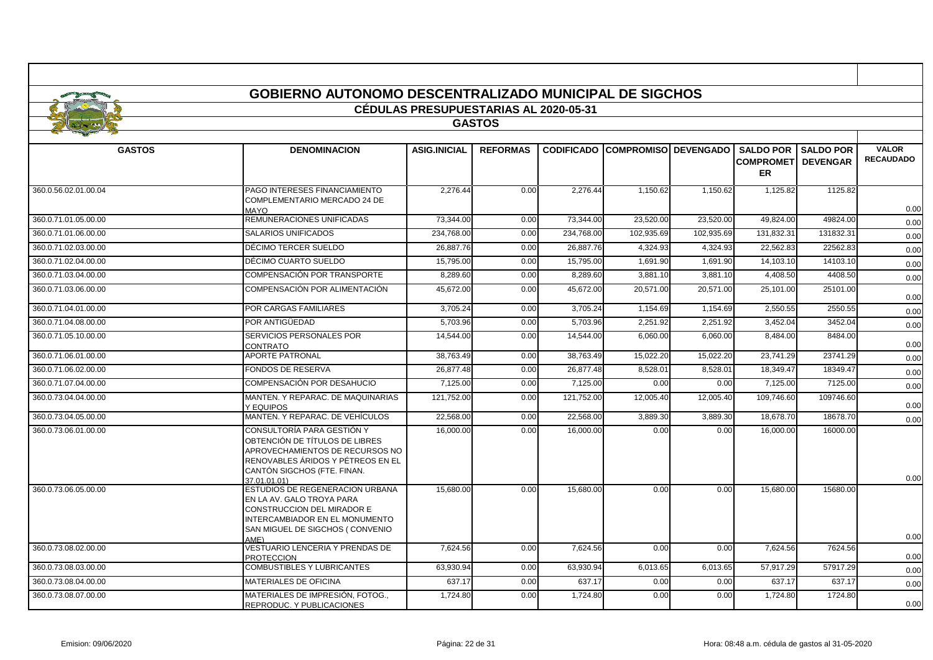|                      | <b>GOBIERNO AUTONOMO DESCENTRALIZADO MUNICIPAL DE SIGCHOS</b>                                                                                                                       |                                              |                 |                   |                             |            |                                                   |                                     |                  |  |  |
|----------------------|-------------------------------------------------------------------------------------------------------------------------------------------------------------------------------------|----------------------------------------------|-----------------|-------------------|-----------------------------|------------|---------------------------------------------------|-------------------------------------|------------------|--|--|
|                      |                                                                                                                                                                                     | <b>CÉDULAS PRESUPUESTARIAS AL 2020-05-31</b> |                 |                   |                             |            |                                                   |                                     |                  |  |  |
|                      |                                                                                                                                                                                     |                                              | <b>GASTOS</b>   |                   |                             |            |                                                   |                                     |                  |  |  |
|                      |                                                                                                                                                                                     |                                              |                 |                   |                             |            |                                                   |                                     | <b>VALOR</b>     |  |  |
| <b>GASTOS</b>        | <b>DENOMINACION</b>                                                                                                                                                                 | <b>ASIG.INICIAL</b>                          | <b>REFORMAS</b> | <b>CODIFICADO</b> | <b>COMPROMISO DEVENGADO</b> |            | <b>SALDO POR</b><br><b>COMPROMET</b><br><b>ER</b> | <b>SALDO POR</b><br><b>DEVENGAR</b> | <b>RECAUDADO</b> |  |  |
| 360.0.56.02.01.00.04 | PAGO INTERESES FINANCIAMIENTO<br>COMPLEMENTARIO MERCADO 24 DE<br><b>OYAM</b>                                                                                                        | 2.276.44                                     | 0.00            | 2.276.44          | 1.150.62                    | 1.150.62   | 1,125.82                                          | 1125.82                             | 0.00             |  |  |
| 360.0.71.01.05.00.00 | REMUNERACIONES UNIFICADAS                                                                                                                                                           | 73.344.00                                    | 0.00            | 73.344.00         | 23.520.00                   | 23,520.00  | 49.824.00                                         | 49824.00                            | 0.00             |  |  |
| 360.0.71.01.06.00.00 | <b>SALARIOS UNIFICADOS</b>                                                                                                                                                          | 234.768.00                                   | 0.00            | 234,768.00        | 102,935.69                  | 102,935.69 | 131,832.31                                        | 131832.31                           | 0.00             |  |  |
| 360.0.71.02.03.00.00 | DÉCIMO TERCER SUELDO                                                                                                                                                                | 26,887.76                                    | 0.00            | 26,887.76         | 4,324.93                    | 4,324.93   | 22,562.83                                         | 22562.83                            | 0.00             |  |  |
| 360.0.71.02.04.00.00 | DÉCIMO CUARTO SUELDO                                                                                                                                                                | 15,795.00                                    | 0.00            | 15,795.00         | 1,691.90                    | 1,691.90   | 14,103.10                                         | 14103.10                            | 0.00             |  |  |
| 360.0.71.03.04.00.00 | COMPENSACIÓN POR TRANSPORTE                                                                                                                                                         | 8,289.60                                     | 0.00            | 8,289.60          | 3,881.10                    | 3,881.10   | 4,408.50                                          | 4408.50                             | 0.00             |  |  |
| 360.0.71.03.06.00.00 | COMPENSACIÓN POR ALIMENTACIÓN                                                                                                                                                       | 45,672.00                                    | 0.00            | 45,672.00         | 20,571.00                   | 20,571.00  | 25,101.00                                         | 25101.00                            | 0.00             |  |  |
| 360.0.71.04.01.00.00 | POR CARGAS FAMILIARES                                                                                                                                                               | 3.705.24                                     | 0.00            | 3.705.24          | 1,154.69                    | 1.154.69   | 2,550.55                                          | 2550.55                             | 0.00             |  |  |
| 360.0.71.04.08.00.00 | POR ANTIGÜEDAD                                                                                                                                                                      | 5.703.96                                     | 0.00            | 5.703.96          | 2.251.92                    | 2.251.92   | 3,452.04                                          | 3452.04                             | 0.00             |  |  |
| 360.0.71.05.10.00.00 | SERVICIOS PERSONALES POR<br>CONTRATO                                                                                                                                                | 14,544.00                                    | 0.00            | 14,544.00         | 6,060.00                    | 6,060.00   | 8,484.00                                          | 8484.00                             | 0.00             |  |  |
| 360.0.71.06.01.00.00 | <b>APORTE PATRONAL</b>                                                                                                                                                              | 38,763.49                                    | 0.00            | 38,763.49         | 15,022.20                   | 15,022.20  | 23,741.29                                         | 23741.29                            | 0.00             |  |  |
| 360.0.71.06.02.00.00 | <b>FONDOS DE RESERVA</b>                                                                                                                                                            | 26,877.48                                    | 0.00            | 26,877.48         | 8,528.01                    | 8,528.01   | 18,349.47                                         | 18349.4                             | 0.00             |  |  |
| 360.0.71.07.04.00.00 | COMPENSACIÓN POR DESAHUCIO                                                                                                                                                          | 7,125.00                                     | 0.00            | 7,125.00          | 0.00                        | 0.00       | 7,125.00                                          | 7125.00                             | 0.00             |  |  |
| 360.0.73.04.04.00.00 | MANTEN. Y REPARAC. DE MAQUINARIAS<br>Y EQUIPOS                                                                                                                                      | 121.752.00                                   | 0.00            | 121,752.00        | 12.005.40                   | 12,005.40  | 109,746.60                                        | 109746.60                           | 0.00             |  |  |
| 360.0.73.04.05.00.00 | MANTEN. Y REPARAC. DE VEHÍCULOS                                                                                                                                                     | 22.568.00                                    | 0.00            | 22,568.0          | 3,889.30                    | 3.889.30   | 18.678.70                                         | 18678.70                            | 0.00             |  |  |
| 360.0.73.06.01.00.00 | CONSULTORÍA PARA GESTIÓN Y<br>OBTENCIÓN DE TÍTULOS DE LIBRES<br>APROVECHAMIENTOS DE RECURSOS NO<br>RENOVABLES ÁRIDOS Y PÉTREOS EN EL<br>CANTÓN SIGCHOS (FTE. FINAN.<br>37 01 01 01) | 16,000.00                                    | 0.00            | 16,000.00         | 0.00                        | 0.00       | 16,000.00                                         | 16000.00                            | 0.00             |  |  |
| 360.0.73.06.05.00.00 | ESTUDIOS DE REGENERACION URBANA<br>EN LA AV. GALO TROYA PARA<br>CONSTRUCCION DEL MIRADOR E<br>INTERCAMBIADOR EN EL MONUMENTO<br>SAN MIGUEL DE SIGCHOS (CONVENIO<br>AMF)             | 15,680.00                                    | 0.00            | 15,680.00         | 0.00                        | 0.00       | 15,680.00                                         | 15680.00                            | 0.00             |  |  |
| 360.0.73.08.02.00.00 | VESTUARIO LENCERIA Y PRENDAS DE<br><b>PROTECCION</b>                                                                                                                                | 7,624.56                                     | 0.00            | 7,624.56          | 0.00                        | 0.00       | 7,624.56                                          | 7624.56                             | 0.00             |  |  |
| 360.0.73.08.03.00.00 | <b>COMBUSTIBLES Y LUBRICANTES</b>                                                                                                                                                   | 63.930.94                                    | 0.00            | 63,930.94         | 6,013.65                    | 6,013.65   | 57,917.29                                         | 57917.29                            | 0.00             |  |  |
| 360.0.73.08.04.00.00 | <b>MATERIALES DE OFICINA</b>                                                                                                                                                        | 637.17                                       | 0.00            | 637.17            | 0.00                        | 0.00       | 637.17                                            | 637.17                              | 0.00             |  |  |
| 360.0.73.08.07.00.00 | MATERIALES DE IMPRESIÓN, FOTOG<br>REPRODUC. Y PUBLICACIONES                                                                                                                         | 1,724.80                                     | 0.00            | 1,724.80          | 0.00                        | 0.00       | 1,724.80                                          | 1724.80                             | 0.00             |  |  |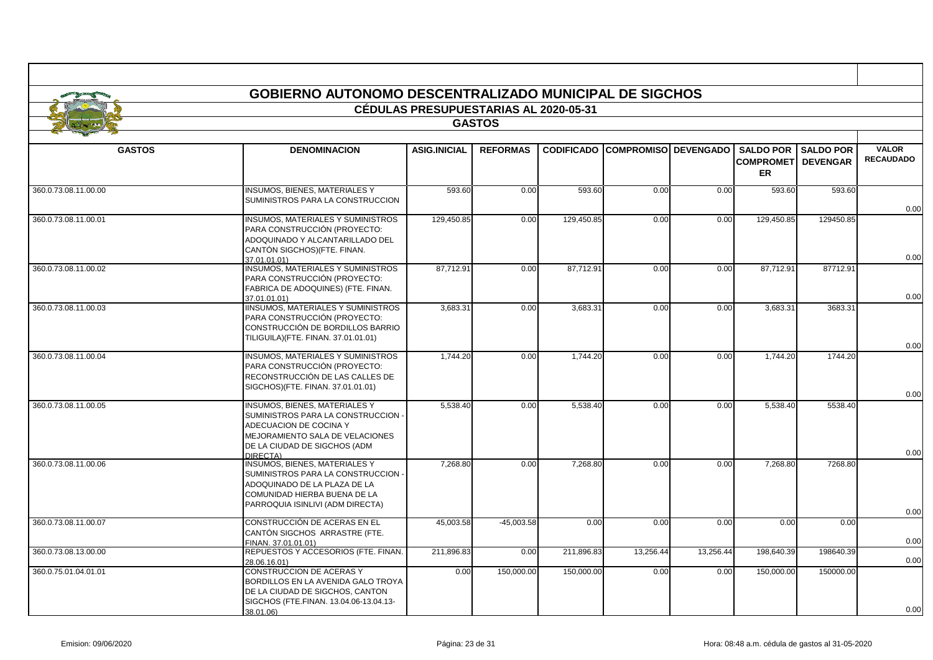|                      |                                                                                                                                                                                | <b>CÉDULAS PRESUPUESTARIAS AL 2020-05-31</b> |                 |            |                                        |           |                                                   |                                     |                                  |
|----------------------|--------------------------------------------------------------------------------------------------------------------------------------------------------------------------------|----------------------------------------------|-----------------|------------|----------------------------------------|-----------|---------------------------------------------------|-------------------------------------|----------------------------------|
|                      |                                                                                                                                                                                |                                              | <b>GASTOS</b>   |            |                                        |           |                                                   |                                     |                                  |
| <b>GASTOS</b>        | <b>DENOMINACION</b>                                                                                                                                                            | <b>ASIG.INICIAL</b>                          | <b>REFORMAS</b> |            | <b>CODIFICADO COMPROMISO DEVENGADO</b> |           | <b>SALDO POR</b><br><b>COMPROMET</b><br><b>ER</b> | <b>SALDO POR</b><br><b>DEVENGAR</b> | <b>VALOR</b><br><b>RECAUDADO</b> |
| 360.0.73.08.11.00.00 | <b>INSUMOS, BIENES, MATERIALES Y</b><br>SUMINISTROS PARA LA CONSTRUCCION                                                                                                       | 593.60                                       | 0.00            | 593.60     | 0.00                                   | 0.00      | 593.60                                            | 593.60                              | 0.00                             |
| 360.0.73.08.11.00.01 | <b>INSUMOS, MATERIALES Y SUMINISTROS</b><br>PARA CONSTRUCCIÓN (PROYECTO:<br>ADOQUINADO Y ALCANTARILLADO DEL<br>CANTÓN SIGCHOS)(FTE. FINAN.<br>37 01 01 01)                     | 129,450.85                                   | 0.00            | 129,450.85 | 0.00                                   | 0.00      | 129,450.85                                        | 129450.85                           | 0.00                             |
| 360.0.73.08.11.00.02 | <b>INSUMOS, MATERIALES Y SUMINISTROS</b><br>PARA CONSTRUCCIÓN (PROYECTO:<br>FABRICA DE ADOQUINES) (FTE. FINAN.<br>37 01 01 01)                                                 | 87,712.91                                    | 0.00            | 87,712.91  | 0.00                                   | 0.00      | 87,712.91                                         | 87712.91                            | 0.00                             |
| 360.0.73.08.11.00.03 | <b>IINSUMOS, MATERIALES Y SUMINISTROS</b><br>PARA CONSTRUCCIÓN (PROYECTO:<br>CONSTRUCCIÓN DE BORDILLOS BARRIO<br>TILIGUILA)(FTE. FINAN. 37.01.01.01)                           | 3,683.31                                     | 0.00            | 3,683.31   | 0.00                                   | 0.00      | 3,683.31                                          | 3683.31                             | 0.00                             |
| 360.0.73.08.11.00.04 | <b>INSUMOS, MATERIALES Y SUMINISTROS</b><br>PARA CONSTRUCCIÓN (PROYECTO:<br>RECONSTRUCCIÓN DE LAS CALLES DE<br>SIGCHOS)(FTE. FINAN. 37.01.01.01)                               | 1.744.20                                     | 0.00            | 1,744.20   | 0.00                                   | 0.00      | 1.744.20                                          | 1744.20                             | 0.00                             |
| 360.0.73.08.11.00.05 | INSUMOS, BIENES, MATERIALES Y<br>SUMINISTROS PARA LA CONSTRUCCION -<br>ADECUACION DE COCINA Y<br>MEJORAMIENTO SALA DE VELACIONES<br>DE LA CIUDAD DE SIGCHOS (ADM<br>DIRECTA)   | 5,538.40                                     | 0.00            | 5,538.40   | 0.00                                   | 0.00      | 5.538.40                                          | 5538.40                             | 0.00                             |
| 360.0.73.08.11.00.06 | <b>INSUMOS, BIENES, MATERIALES Y</b><br>SUMINISTROS PARA LA CONSTRUCCION -<br>ADOQUINADO DE LA PLAZA DE LA<br>COMUNIDAD HIERBA BUENA DE LA<br>PARROQUIA ISINLIVI (ADM DIRECTA) | 7,268.80                                     | 0.00            | 7,268.80   | 0.00                                   | 0.00      | 7,268.80                                          | 7268.80                             | 0.00                             |
| 360.0.73.08.11.00.07 | CONSTRUCCIÓN DE ACERAS EN EL<br>CANTÓN SIGCHOS ARRASTRE (FTE.<br>FINAN. 37.01.01.01)                                                                                           | 45,003.58                                    | $-45,003.58$    | 0.00       | 0.00                                   | 0.00      | 0.00                                              | 0.00                                | 0.00                             |
| 360.0.73.08.13.00.00 | REPUESTOS Y ACCESORIOS (FTE. FINAN.<br>28.06.16.01)                                                                                                                            | 211.896.83                                   | 0.00            | 211,896.83 | 13,256.44                              | 13,256.44 | 198.640.39                                        | 198640.39                           | 0.00                             |
| 360.0.75.01.04.01.01 | CONSTRUCCION DE ACERAS Y<br>BORDILLOS EN LA AVENIDA GALO TROYA<br>DE LA CIUDAD DE SIGCHOS, CANTON<br>SIGCHOS (FTE.FINAN. 13.04.06-13.04.13-<br>38.01.06)                       | 0.00                                         | 150,000.00      | 150,000.00 | 0.00                                   | 0.00      | 150,000.00                                        | 150000.00                           | 0.00                             |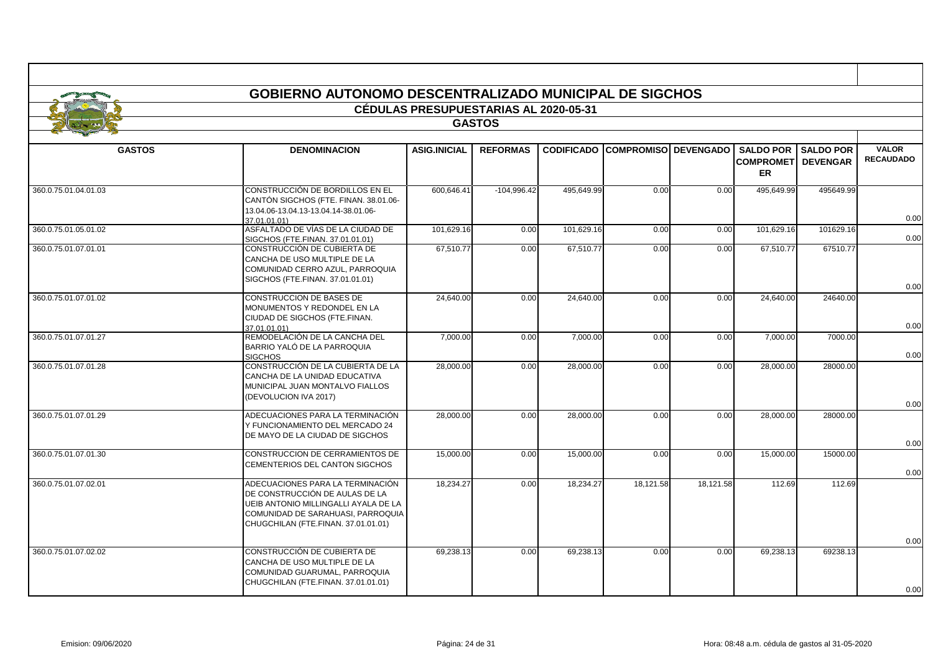|                      | <b>GOBIERNO AUTONOMO DESCENTRALIZADO MUNICIPAL DE SIGCHOS</b>                                                                                                                          |                                              |                 |            |                                        |           |                                   |                              |                                  |  |
|----------------------|----------------------------------------------------------------------------------------------------------------------------------------------------------------------------------------|----------------------------------------------|-----------------|------------|----------------------------------------|-----------|-----------------------------------|------------------------------|----------------------------------|--|
|                      |                                                                                                                                                                                        | <b>CÉDULAS PRESUPUESTARIAS AL 2020-05-31</b> |                 |            |                                        |           |                                   |                              |                                  |  |
|                      |                                                                                                                                                                                        |                                              | <b>GASTOS</b>   |            |                                        |           |                                   |                              |                                  |  |
|                      |                                                                                                                                                                                        |                                              |                 |            |                                        |           |                                   |                              |                                  |  |
| <b>GASTOS</b>        | <b>DENOMINACION</b>                                                                                                                                                                    | <b>ASIG.INICIAL</b>                          | <b>REFORMAS</b> |            | <b>CODIFICADO COMPROMISO DEVENGADO</b> |           | <b>COMPROMETI DEVENGAR</b><br>ER. | <b>SALDO POR I SALDO POR</b> | <b>VALOR</b><br><b>RECAUDADO</b> |  |
| 360.0.75.01.04.01.03 | CONSTRUCCIÓN DE BORDILLOS EN EL<br>CANTÓN SIGCHOS (FTE. FINAN. 38.01.06-<br>13.04.06-13.04.13-13.04.14-38.01.06-<br>37.01.01.01)                                                       | 600.646.41                                   | $-104,996.42$   | 495,649.99 | 0.00                                   | 0.00      | 495,649.99                        | 495649.99                    | 0.00                             |  |
| 360.0.75.01.05.01.02 | ASFALTADO DE VÍAS DE LA CIUDAD DE<br>SIGCHOS (FTE.FINAN, 37.01.01.01)                                                                                                                  | 101,629.16                                   | 0.00            | 101,629.16 | 0.00                                   | 0.00      | 101,629.16                        | 101629.16                    | 0.00                             |  |
| 360.0.75.01.07.01.01 | CONSTRUCCIÓN DE CUBIERTA DE<br>CANCHA DE USO MULTIPLE DE LA<br>COMUNIDAD CERRO AZUL, PARROQUIA<br>SIGCHOS (FTE.FINAN. 37.01.01.01)                                                     | 67,510.77                                    | 0.00            | 67,510.77  | 0.00                                   | 0.00      | 67,510.77                         | 67510.77                     | 0.00                             |  |
| 360.0.75.01.07.01.02 | CONSTRUCCION DE BASES DE<br>MONUMENTOS Y REDONDEL EN LA<br>CIUDAD DE SIGCHOS (FTE.FINAN.<br>37.01.01.01)                                                                               | 24,640.00                                    | 0.00            | 24,640.00  | 0.00                                   | 0.00      | 24,640.00                         | 24640.00                     | 0.00                             |  |
| 360.0.75.01.07.01.27 | REMODELACIÓN DE LA CANCHA DEL<br>BARRIO YALÓ DE LA PARROQUIA<br><b>SIGCHOS</b>                                                                                                         | 7,000.00                                     | 0.00            | 7,000.00   | 0.00                                   | 0.00      | 7,000.00                          | 7000.00                      | 0.00                             |  |
| 360.0.75.01.07.01.28 | CONSTRUCCIÓN DE LA CUBIERTA DE LA<br>CANCHA DE LA UNIDAD EDUCATIVA<br>MUNICIPAL JUAN MONTALVO FIALLOS<br>(DEVOLUCION IVA 2017)                                                         | 28,000.00                                    | 0.00            | 28,000.00  | 0.00                                   | 0.00      | 28,000.00                         | 28000.00                     | 0.00                             |  |
| 360.0.75.01.07.01.29 | ADECUACIONES PARA LA TERMINACIÓN<br>Y FUNCIONAMIENTO DEL MERCADO 24<br>DE MAYO DE LA CIUDAD DE SIGCHOS                                                                                 | 28,000.00                                    | 0.00            | 28,000.00  | 0.00                                   | 0.00      | 28,000.00                         | 28000.00                     | 0.00                             |  |
| 360.0.75.01.07.01.30 | CONSTRUCCION DE CERRAMIENTOS DE<br>CEMENTERIOS DEL CANTON SIGCHOS                                                                                                                      | 15,000.00                                    | 0.00            | 15,000.00  | 0.00                                   | 0.00      | 15,000.00                         | 15000.00                     | 0.00                             |  |
| 360.0.75.01.07.02.01 | ADECUACIONES PARA LA TERMINACIÓN<br>DE CONSTRUCCIÓN DE AULAS DE LA<br>UEIB ANTONIO MILLINGALLI AYALA DE LA<br>COMUNIDAD DE SARAHUASI, PARROQUIA<br>CHUGCHILAN (FTE.FINAN. 37.01.01.01) | 18,234.27                                    | 0.00            | 18,234.27  | 18,121.58                              | 18,121.58 | 112.69                            | 112.69                       | 0.00                             |  |
| 360.0.75.01.07.02.02 | CONSTRUCCIÓN DE CUBIERTA DE<br>CANCHA DE USO MULTIPLE DE LA<br>COMUNIDAD GUARUMAL, PARROQUIA<br>CHUGCHILAN (FTE.FINAN. 37.01.01.01)                                                    | 69,238.13                                    | 0.00            | 69,238.13  | 0.00                                   | 0.00      | 69,238.13                         | 69238.13                     | 0.00                             |  |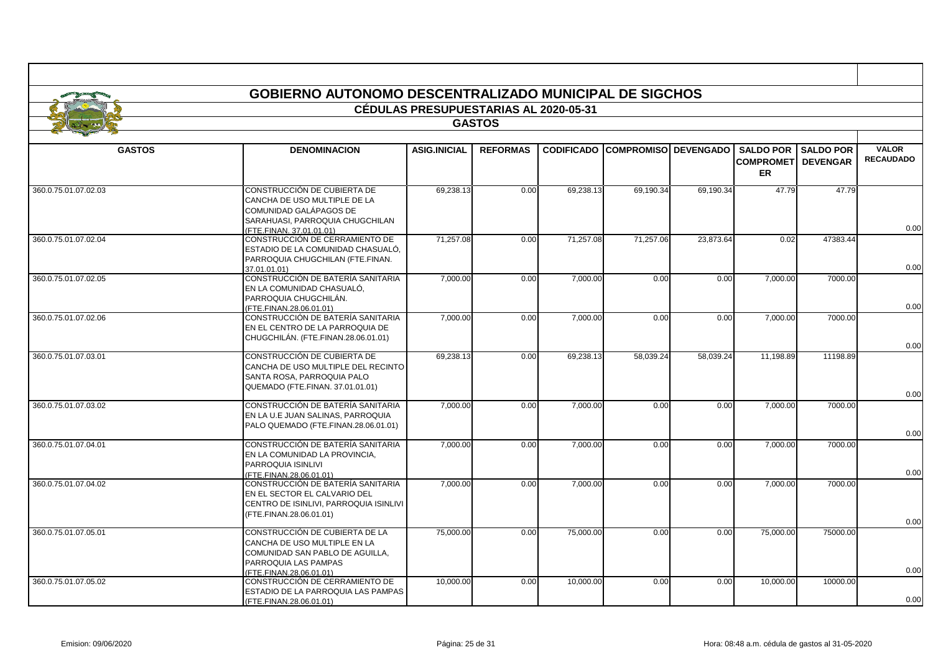|                      | <b>GOBIERNO AUTONOMO DESCENTRALIZADO MUNICIPAL DE SIGCHOS</b>                                                                                        | <b>CÉDULAS PRESUPUESTARIAS AL 2020-05-31</b> |                 |                   |                             |           |                                                     |                                     |                                  |
|----------------------|------------------------------------------------------------------------------------------------------------------------------------------------------|----------------------------------------------|-----------------|-------------------|-----------------------------|-----------|-----------------------------------------------------|-------------------------------------|----------------------------------|
|                      |                                                                                                                                                      |                                              |                 |                   |                             |           |                                                     |                                     |                                  |
| <b>GASTOS</b>        |                                                                                                                                                      |                                              |                 |                   |                             |           |                                                     |                                     |                                  |
| <b>GASTOS</b>        | <b>DENOMINACION</b>                                                                                                                                  | <b>ASIG.INICIAL</b>                          | <b>REFORMAS</b> | <b>CODIFICADO</b> | <b>COMPROMISO DEVENGADO</b> |           | <b>SALDO POR I</b><br><b>COMPROMET</b><br><b>ER</b> | <b>SALDO POR</b><br><b>DEVENGAR</b> | <b>VALOR</b><br><b>RECAUDADO</b> |
| 360.0.75.01.07.02.03 | CONSTRUCCIÓN DE CUBIERTA DE<br>CANCHA DE USO MULTIPLE DE LA<br>COMUNIDAD GALÁPAGOS DE<br>SARAHUASI, PARROQUIA CHUGCHILAN<br>(FTE.FINAN. 37.01.01.01) | 69,238.13                                    | 0.00            | 69,238.13         | 69,190.34                   | 69,190.34 | 47.79                                               | 47.79                               | 0.00                             |
| 360.0.75.01.07.02.04 | CONSTRUCCIÓN DE CERRAMIENTO DE<br>ESTADIO DE LA COMUNIDAD CHASUALÓ.<br>PARROQUIA CHUGCHILAN (FTE.FINAN.<br>37.01.01.01)                              | 71,257.08                                    | 0.00            | 71,257.08         | 71,257.06                   | 23,873.64 | 0.02                                                | 47383.44                            | 0.00                             |
| 360.0.75.01.07.02.05 | CONSTRUCCIÓN DE BATERÍA SANITARIA<br>EN LA COMUNIDAD CHASUALÓ,<br>PARROQUIA CHUGCHILÁN.<br>(FTE.FINAN.28.06.01.01)                                   | 7.000.00                                     | 0.00            | 7,000.00          | 0.00                        | 0.00      | 7,000.00                                            | 7000.00                             | 0.00                             |
| 360.0.75.01.07.02.06 | CONSTRUCCIÓN DE BATERÍA SANITARIA<br>EN EL CENTRO DE LA PARROQUIA DE<br>CHUGCHILÁN. (FTE.FINAN.28.06.01.01)                                          | 7,000.00                                     | 0.00            | 7,000.00          | 0.00                        | 0.00      | 7,000.00                                            | 7000.00                             | 0.00                             |
| 360.0.75.01.07.03.01 | CONSTRUCCIÓN DE CUBIERTA DE<br>CANCHA DE USO MULTIPLE DEL RECINTO<br>SANTA ROSA, PARROQUIA PALO<br>QUEMADO (FTE.FINAN. 37.01.01.01)                  | 69,238.13                                    | 0.00            | 69,238.13         | 58,039.24                   | 58,039.24 | 11,198.89                                           | 11198.89                            | 0.00                             |
| 360.0.75.01.07.03.02 | CONSTRUCCIÓN DE BATERÍA SANITARIA<br>EN LA U.E JUAN SALINAS, PARROQUIA<br>PALO QUEMADO (FTE.FINAN.28.06.01.01)                                       | 7,000.00                                     | 0.00            | 7,000.00          | 0.00                        | 0.00      | 7,000.00                                            | 7000.00                             | 0.00                             |
| 360.0.75.01.07.04.01 | CONSTRUCCIÓN DE BATERÍA SANITARIA<br>EN LA COMUNIDAD LA PROVINCIA,<br>PARROQUIA ISINLIVI<br>(FTE.FINAN.28.06.01.01)                                  | 7,000.00                                     | 0.00            | 7,000.00          | 0.00                        | 0.00      | 7,000.00                                            | 7000.00                             | 0.00                             |
| 360.0.75.01.07.04.02 | CONSTRUCCIÓN DE BATERÍA SANITARIA<br>EN EL SECTOR EL CALVARIO DEL<br>CENTRO DE ISINLIVI, PARROQUIA ISINLIVI<br>(FTE.FINAN.28.06.01.01)               | 7,000.00                                     | 0.00            | 7,000.00          | 0.00                        | 0.00      | 7,000.00                                            | 7000.00                             | 0.00                             |
| 360.0.75.01.07.05.01 | CONSTRUCCIÓN DE CUBIERTA DE LA<br>CANCHA DE USO MULTIPLE EN LA<br>COMUNIDAD SAN PABLO DE AGUILLA,<br>PARROQUIA LAS PAMPAS                            | 75,000.00                                    | 0.00            | 75,000.00         | 0.00                        | 0.00      | 75,000.00                                           | 75000.00                            | 0.00                             |
| 360.0.75.01.07.05.02 | (FTE.FINAN.28.06.01.01)<br>CONSTRUCCIÓN DE CERRAMIENTO DE<br><b>ESTADIO DE LA PARROQUIA LAS PAMPAS</b><br>(FTE.FINAN.28.06.01.01)                    | 10,000.00                                    | 0.00            | 10,000.00         | 0.00                        | 0.00      | 10,000.00                                           | 10000.00                            | 0.00                             |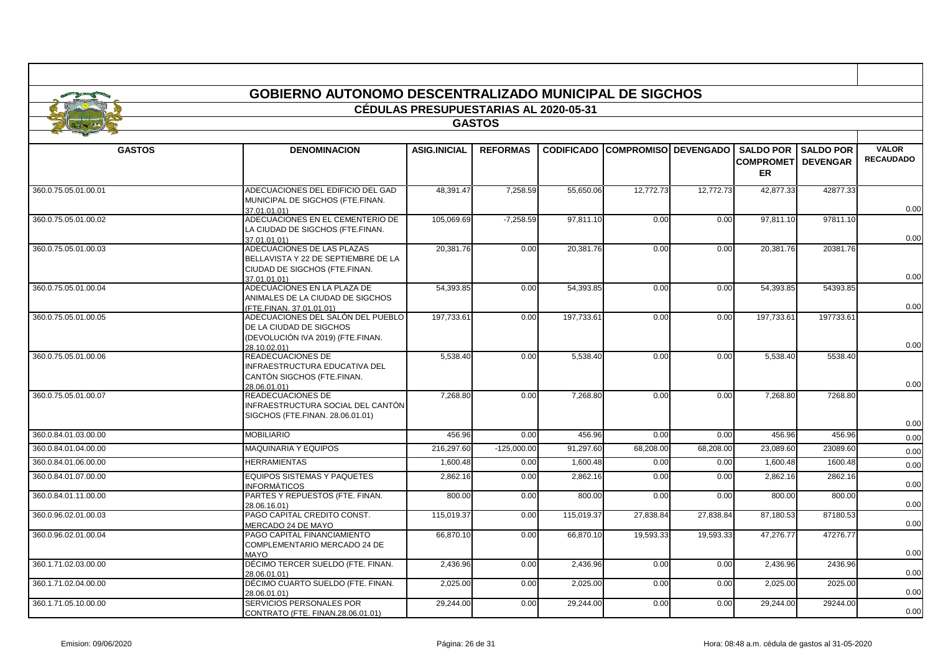|                      | <b>GOBIERNO AUTONOMO DESCENTRALIZADO MUNICIPAL DE SIGCHOS</b>                                                      |                                       |                 |            |                                        |           |                                         |                     |                                  |
|----------------------|--------------------------------------------------------------------------------------------------------------------|---------------------------------------|-----------------|------------|----------------------------------------|-----------|-----------------------------------------|---------------------|----------------------------------|
|                      |                                                                                                                    | CÉDULAS PRESUPUESTARIAS AL 2020-05-31 |                 |            |                                        |           |                                         |                     |                                  |
| <b>GASTOS</b>        |                                                                                                                    |                                       |                 |            |                                        |           |                                         |                     |                                  |
| <b>GASTOS</b>        | <b>DENOMINACION</b>                                                                                                | <b>ASIG.INICIAL</b>                   | <b>REFORMAS</b> |            | <b>CODIFICADO COMPROMISO DEVENGADO</b> |           | <b>COMPROMETI DEVENGAR</b><br><b>ER</b> | SALDO POR SALDO POR | <b>VALOR</b><br><b>RECAUDADO</b> |
| 360.0.75.05.01.00.01 | ADECUACIONES DEL EDIFICIO DEL GAD<br>MUNICIPAL DE SIGCHOS (FTE.FINAN.<br>37.01.01.01)                              | 48.391.47                             | 7.258.59        | 55.650.06  | 12.772.73                              | 12.772.73 | 42.877.33                               | 42877.33            | 0.00                             |
| 360.0.75.05.01.00.02 | ADECUACIONES EN EL CEMENTERIO DE<br>LA CIUDAD DE SIGCHOS (FTE.FINAN.<br>37.01.01.01)                               | 105,069.69                            | $-7,258.59$     | 97,811.10  | 0.00                                   | 0.00      | 97,811.10                               | 97811.10            | 0.00                             |
| 360.0.75.05.01.00.03 | ADECUACIONES DE LAS PLAZAS<br>BELLAVISTA Y 22 DE SEPTIEMBRE DE LA<br>CIUDAD DE SIGCHOS (FTE.FINAN.<br>37.01.01.01) | 20,381.76                             | 0.00            | 20,381.76  | 0.00                                   | 0.00      | 20,381.76                               | 20381.76            | 0.00                             |
| 360.0.75.05.01.00.04 | ADECUACIONES EN LA PLAZA DE<br>ANIMALES DE LA CIUDAD DE SIGCHOS<br>(FTE.FINAN, 37.01.01.01)                        | 54,393.85                             | 0.00            | 54,393.85  | 0.00                                   | 0.00      | 54,393.85                               | 54393.85            | 0.00                             |
| 360.0.75.05.01.00.05 | ADECUACIONES DEL SALÓN DEL PUEBLO<br>DE LA CIUDAD DE SIGCHOS<br>(DEVOLUCIÓN IVA 2019) (FTE.FINAN.<br>28.10.02.01)  | 197.733.61                            | 0.00            | 197,733.61 | 0.00                                   | 0.00      | 197.733.61                              | 197733.61           | 0.00                             |
| 360.0.75.05.01.00.06 | READECUACIONES DE<br>NFRAESTRUCTURA EDUCATIVA DEL<br>CANTÓN SIGCHOS (FTE.FINAN.<br>28.06.01.01)                    | 5,538.40                              | 0.00            | 5,538.40   | 0.00                                   | 0.00      | 5,538.40                                | 5538.40             | 0.00                             |
| 360.0.75.05.01.00.07 | <b>READECUACIONES DE</b><br>INFRAESTRUCTURA SOCIAL DEL CANTÓN<br>SIGCHOS (FTE.FINAN. 28.06.01.01)                  | 7,268.80                              | 0.00            | 7,268.80   | 0.00                                   | 0.00      | 7,268.80                                | 7268.80             | 0.00                             |
| 360.0.84.01.03.00.00 | <b>MOBILIARIO</b>                                                                                                  | 456.96                                | 0.00            | 456.96     | 0.00                                   | 0.00      | 456.96                                  | 456.96              | 0.00                             |
| 360.0.84.01.04.00.00 | <b>MAQUINARIA Y EQUIPOS</b>                                                                                        | 216.297.60                            | $-125,000.00$   | 91.297.60  | 68,208.00                              | 68.208.00 | 23.089.60                               | 23089.60            | 0.00                             |
| 360.0.84.01.06.00.00 | <b>HERRAMIENTAS</b>                                                                                                | 1,600.48                              | 0.00            | 1,600.48   | 0.00                                   | 0.00      | 1,600.48                                | 1600.48             | 0.00                             |
| 360.0.84.01.07.00.00 | <b>EQUIPOS SISTEMAS Y PAQUETES</b><br>NFORMÁTICOS                                                                  | 2,862.16                              | 0.00            | 2,862.16   | 0.00                                   | 0.00      | 2,862.16                                | 2862.16             | 0.00                             |
| 360.0.84.01.11.00.00 | PARTES Y REPUESTOS (FTE. FINAN.<br>28.06.16.01)                                                                    | 800.00                                | 0.00            | 800.00     | 0.00                                   | 0.00      | 800.00                                  | 800.00              | 0.00                             |
| 360.0.96.02.01.00.03 | PAGO CAPITAL CREDITO CONST.<br>MERCADO 24 DE MAYO                                                                  | 115.019.37                            | 0.00            | 115.019.37 | 27.838.84                              | 27.838.84 | 87.180.53                               | 87180.53            | 0.00                             |
| 360.0.96.02.01.00.04 | PAGO CAPITAL FINANCIAMIENTO<br>COMPLEMENTARIO MERCADO 24 DE<br><b>MAYO</b>                                         | 66,870.10                             | 0.00            | 66,870.10  | 19,593.33                              | 19,593.33 | 47,276.77                               | 47276.77            | 0.00                             |
| 360.1.71.02.03.00.00 | DÉCIMO TERCER SUELDO (FTE. FINAN.<br>28.06.01.01)                                                                  | 2,436.96                              | 0.00            | 2,436.96   | 0.00                                   | 0.00      | 2,436.96                                | 2436.96             | 0.00                             |
| 360.1.71.02.04.00.00 | DÉCIMO CUARTO SUELDO (FTE. FINAN.<br>28.06.01.01)                                                                  | 2,025.00                              | 0.00            | 2,025.00   | 0.00                                   | 0.00      | 2,025.00                                | 2025.00             | 0.00                             |
| 360.1.71.05.10.00.00 | SERVICIOS PERSONALES POR<br>CONTRATO (FTE. FINAN.28.06.01.01)                                                      | 29,244.00                             | 0.00            | 29,244.00  | 0.00                                   | 0.00      | 29,244.00                               | 29244.00            | 0.00                             |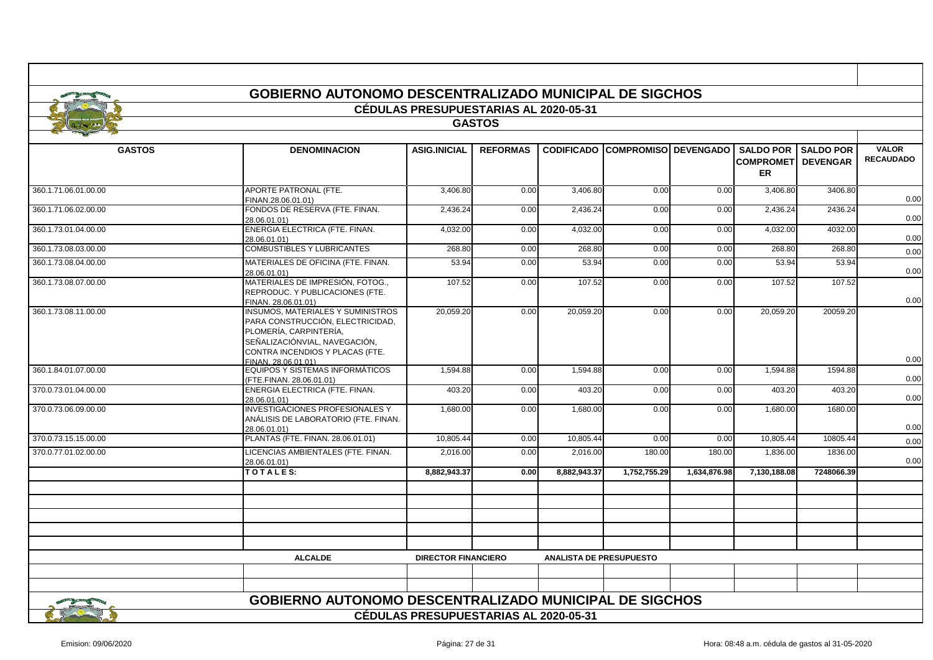|                      | <b>GOBIERNO AUTONOMO DESCENTRALIZADO MUNICIPAL DE SIGCHOS</b>                                                                                                                                     |                                              |                 |                                |                                        |              |                                         |                            |                                  |
|----------------------|---------------------------------------------------------------------------------------------------------------------------------------------------------------------------------------------------|----------------------------------------------|-----------------|--------------------------------|----------------------------------------|--------------|-----------------------------------------|----------------------------|----------------------------------|
|                      |                                                                                                                                                                                                   | <b>CÉDULAS PRESUPUESTARIAS AL 2020-05-31</b> |                 |                                |                                        |              |                                         |                            |                                  |
| <b>GASTOS</b>        |                                                                                                                                                                                                   |                                              |                 |                                |                                        |              |                                         |                            |                                  |
| <b>GASTOS</b>        | <b>DENOMINACION</b>                                                                                                                                                                               | <b>ASIG.INICIAL</b>                          | <b>REFORMAS</b> |                                | <b>CODIFICADO COMPROMISO DEVENGADO</b> |              | <b>COMPROMETI DEVENGAR</b><br><b>ER</b> | <b>SALDO POR SALDO POR</b> | <b>VALOR</b><br><b>RECAUDADO</b> |
| 360.1.71.06.01.00.00 | APORTE PATRONAL (FTE.<br>FINAN.28.06.01.01)                                                                                                                                                       | 3,406.80                                     | 0.00            | 3,406.80                       | 0.00                                   | 0.00         | 3,406.80                                | 3406.80                    | 0.00                             |
| 360.1.71.06.02.00.00 | FONDOS DE RESERVA (FTE. FINAN.<br>28.06.01.01)                                                                                                                                                    | 2,436.24                                     | 0.00            | 2,436.24                       | 0.00                                   | 0.00         | 2,436.24                                | 2436.24                    | 0.00                             |
| 360.1.73.01.04.00.00 | ENERGIA ELECTRICA (FTE. FINAN.<br>28.06.01.01)                                                                                                                                                    | 4,032.00                                     | 0.00            | 4,032.00                       | 0.00                                   | 0.00         | 4,032.00                                | 4032.00                    | 0.00                             |
| 360.1.73.08.03.00.00 | COMBUSTIBLES Y LUBRICANTES                                                                                                                                                                        | 268.80                                       | 0.00            | 268.80                         | 0.00                                   | 0.00         | 268.80                                  | 268.80                     | 0.00                             |
| 360.1.73.08.04.00.00 | MATERIALES DE OFICINA (FTE. FINAN.<br>28.06.01.01)                                                                                                                                                | 53.94                                        | 0.00            | 53.94                          | 0.00                                   | 0.00         | 53.94                                   | 53.94                      | 0.00                             |
| 360.1.73.08.07.00.00 | MATERIALES DE IMPRESIÓN, FOTOG.,<br>REPRODUC. Y PUBLICACIONES (FTE.<br>FINAN. 28.06.01.01)                                                                                                        | 107.52                                       | 0.00            | 107.52                         | 0.00                                   | 0.00         | 107.52                                  | 107.52                     | 0.00                             |
| 360.1.73.08.11.00.00 | <b>INSUMOS, MATERIALES Y SUMINISTROS</b><br>PARA CONSTRUCCIÓN, ELECTRICIDAD,<br>PLOMERÍA, CARPINTERÍA,<br>SEÑALIZACIÓNVIAL, NAVEGACIÓN,<br>CONTRA INCENDIOS Y PLACAS (FTE.<br>FINAN, 28.06.01.01) | 20,059.20                                    | 0.00            | 20,059.20                      | 0.00                                   | 0.00         | 20,059.20                               | 20059.20                   | 0.00                             |
| 360.1.84.01.07.00.00 | EQUIPOS Y SISTEMAS INFORMÁTICOS<br>(FTE.FINAN. 28.06.01.01)                                                                                                                                       | 1,594.88                                     | 0.00            | 1,594.88                       | 0.00                                   | 0.00         | 1,594.88                                | 1594.88                    | 0.00                             |
| 370.0.73.01.04.00.00 | ENERGIA ELECTRICA (FTE. FINAN.<br>28.06.01.01)                                                                                                                                                    | 403.20                                       | 0.00            | 403.20                         | 0.00                                   | 0.00         | 403.20                                  | 403.20                     | 0.00                             |
| 370.0.73.06.09.00.00 | <b>INVESTIGACIONES PROFESIONALES Y</b><br>ANÁLISIS DE LABORATORIO (FTE. FINAN.<br>28.06.01.01)                                                                                                    | 1,680.00                                     | 0.00            | 1,680.00                       | 0.00                                   | 0.00         | 1,680.00                                | 1680.00                    | 0.00                             |
| 370.0.73.15.15.00.00 | PLANTAS (FTE. FINAN. 28.06.01.01)                                                                                                                                                                 | 10.805.44                                    | 0.00            | 10.805.44                      | 0.00                                   | 0.00         | 10.805.44                               | 10805.44                   | 0.00                             |
| 370.0.77.01.02.00.00 | LICENCIAS AMBIENTALES (FTE. FINAN.<br>28.06.01.01)                                                                                                                                                | 2,016.00                                     | 0.00            | 2,016.00                       | 180.00                                 | 180.00       | 1,836.00                                | 1836.00                    | 0.00                             |
|                      | TOTALES:                                                                                                                                                                                          | 8,882,943.37                                 | 0.00            | 8,882,943.37                   | 1,752,755.29                           | 1,634,876.98 | 7,130,188.08                            | 7248066.39                 |                                  |
|                      |                                                                                                                                                                                                   |                                              |                 |                                |                                        |              |                                         |                            |                                  |
|                      |                                                                                                                                                                                                   |                                              |                 |                                |                                        |              |                                         |                            |                                  |
|                      |                                                                                                                                                                                                   |                                              |                 |                                |                                        |              |                                         |                            |                                  |
|                      |                                                                                                                                                                                                   |                                              |                 |                                |                                        |              |                                         |                            |                                  |
|                      | <b>ALCALDE</b>                                                                                                                                                                                    | <b>DIRECTOR FINANCIERO</b>                   |                 | <b>ANALISTA DE PRESUPUESTO</b> |                                        |              |                                         |                            |                                  |
|                      |                                                                                                                                                                                                   |                                              |                 |                                |                                        |              |                                         |                            |                                  |
|                      |                                                                                                                                                                                                   |                                              |                 |                                |                                        |              |                                         |                            |                                  |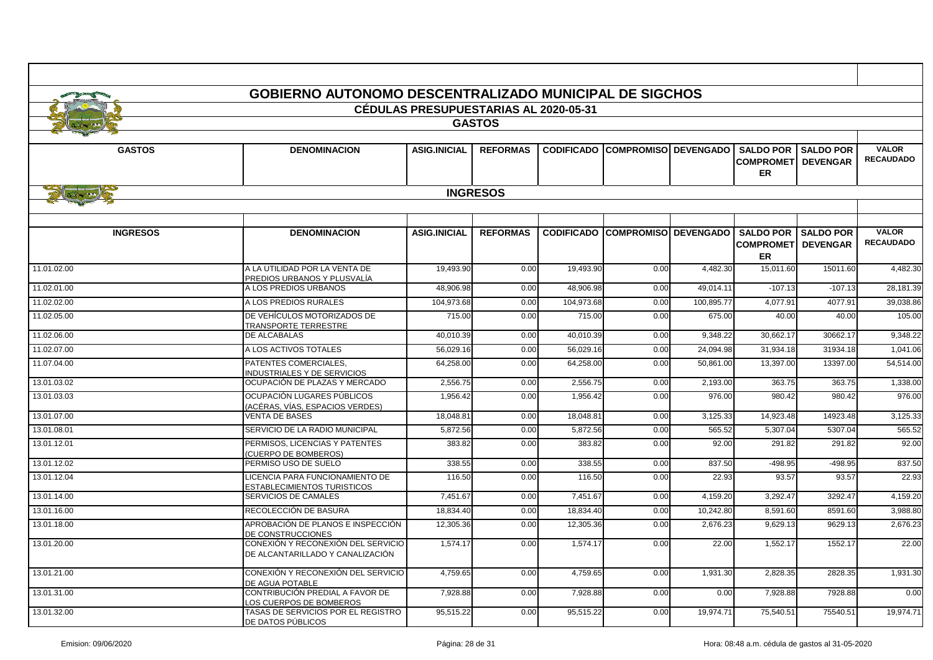| <b>GOBIERNO AUTONOMO DESCENTRALIZADO MUNICIPAL DE SIGCHOS</b> |                                                                        |                                              |                 |            |                                        |            |                                                         |                                     |                                  |
|---------------------------------------------------------------|------------------------------------------------------------------------|----------------------------------------------|-----------------|------------|----------------------------------------|------------|---------------------------------------------------------|-------------------------------------|----------------------------------|
|                                                               |                                                                        | <b>CÉDULAS PRESUPUESTARIAS AL 2020-05-31</b> |                 |            |                                        |            |                                                         |                                     |                                  |
| <b>GASTOS</b>                                                 |                                                                        |                                              |                 |            |                                        |            |                                                         |                                     |                                  |
|                                                               |                                                                        |                                              |                 |            |                                        |            |                                                         |                                     |                                  |
| <b>GASTOS</b>                                                 | <b>DENOMINACION</b>                                                    | <b>ASIG.INICIAL</b>                          | <b>REFORMAS</b> |            | <b>CODIFICADO COMPROMISO DEVENGADO</b> |            | <b>SALDO POR</b><br><b>COMPROMET</b><br><b>ER</b>       | <b>SALDO POR</b><br><b>DEVENGAR</b> | <b>VALOR</b><br><b>RECAUDADO</b> |
| Fire AND                                                      |                                                                        |                                              | <b>INGRESOS</b> |            |                                        |            |                                                         |                                     |                                  |
|                                                               |                                                                        |                                              |                 |            |                                        |            |                                                         |                                     |                                  |
|                                                               |                                                                        |                                              |                 |            |                                        |            |                                                         |                                     |                                  |
| <b>INGRESOS</b>                                               | <b>DENOMINACION</b>                                                    | <b>ASIG.INICIAL</b>                          | <b>REFORMAS</b> |            | <b>CODIFICADO COMPROMISO DEVENGADO</b> |            | <b>SALDO POR I SALDO POR</b><br><b>COMPROMET</b><br>ER. | <b>DEVENGAR</b>                     | <b>VALOR</b><br><b>RECAUDADO</b> |
| 11.01.02.00                                                   | A LA UTILIDAD POR LA VENTA DE<br>PREDIOS URBANOS Y PLUSVALÍA           | 19,493.90                                    | 0.00            | 19,493.90  | 0.00                                   | 4,482.30   | 15,011.60                                               | 15011.60                            | 4,482.30                         |
| 11.02.01.00                                                   | A LOS PREDIOS URBANOS                                                  | 48,906.98                                    | 0.00            | 48,906.98  | 0.00                                   | 49.014.11  | $-107.13$                                               | $-107.13$                           | 28,181.39                        |
| 11.02.02.00                                                   | A LOS PREDIOS RURALES                                                  | 104,973.68                                   | 0.00            | 104,973.68 | 0.00                                   | 100.895.77 | 4,077.91                                                | 4077.9                              | 39,038.86                        |
| 11.02.05.00                                                   | DE VEHÍCULOS MOTORIZADOS DE<br>TRANSPORTE TERRESTRE                    | 715.00                                       | 0.00            | 715.00     | 0.00                                   | 675.00     | 40.00                                                   | 40.00                               | 105.00                           |
| 11.02.06.00                                                   | DE ALCABALAS                                                           | 40,010.39                                    | 0.00            | 40,010.39  | 0.00                                   | 9,348.22   | 30,662.17                                               | 30662.17                            | 9,348.22                         |
| 11.02.07.00                                                   | A LOS ACTIVOS TOTALES                                                  | 56,029.16                                    | 0.00            | 56,029.16  | 0.00                                   | 24,094.98  | 31,934.18                                               | 31934.18                            | 1,041.06                         |
| 11.07.04.00                                                   | PATENTES COMERCIALES,<br><b>INDUSTRIALES Y DE SERVICIOS</b>            | 64,258.00                                    | 0.00            | 64,258.00  | 0.00                                   | 50,861.00  | 13,397.00                                               | 13397.00                            | 54,514.00                        |
| 13.01.03.02                                                   | OCUPACIÓN DE PLAZAS Y MERCADO                                          | 2,556.75                                     | 0.00            | 2,556.75   | 0.00                                   | 2,193.00   | 363.75                                                  | 363.75                              | 1,338.00                         |
| 13.01.03.03                                                   | OCUPACIÓN LUGARES PÚBLICOS<br>(ACÉRAS, VÍAS, ESPACIOS VERDES)          | 1,956.42                                     | 0.00            | 1,956.42   | 0.00                                   | 976.00     | 980.42                                                  | 980.42                              | 976.00                           |
| 13.01.07.00                                                   | <b>VENTA DE BASES</b>                                                  | 18,048.81                                    | 0.00            | 18,048.81  | 0.00                                   | 3,125.33   | 14,923.48                                               | 14923.48                            | 3,125.33                         |
| 13.01.08.01                                                   | SERVICIO DE LA RADIO MUNICIPAL                                         | 5.872.56                                     | 0.00            | 5.872.56   | 0.00                                   | 565.52     | 5.307.04                                                | 5307.04                             | 565.52                           |
| 13.01.12.01                                                   | PERMISOS. LICENCIAS Y PATENTES<br><b>CUERPO DE BOMBEROS)</b>           | 383.82                                       | 0.00            | 383.82     | 0.00                                   | 92.00      | 291.82                                                  | 291.82                              | 92.00                            |
| 13.01.12.02                                                   | PERMISO USO DE SUELO                                                   | 338.55                                       | 0.00            | 338.55     | 0.00                                   | 837.50     | $-498.95$                                               | $-498.95$                           | 837.50                           |
| 13.01.12.04                                                   | LICENCIA PARA FUNCIONAMIENTO DE<br>ESTABLECIMIENTOS TURISTICOS         | 116.50                                       | 0.00            | 116.50     | 0.00                                   | 22.93      | 93.57                                                   | 93.57                               | 22.93                            |
| 13.01.14.00                                                   | SERVICIOS DE CAMALES                                                   | 7,451.67                                     | 0.00            | 7.451.67   | 0.00                                   | 4,159.20   | 3.292.47                                                | 3292.47                             | 4,159.20                         |
| 13.01.16.00                                                   | RECOLECCIÓN DE BASURA                                                  | 18,834.40                                    | 0.00            | 18.834.40  | 0.00                                   | 10.242.80  | 8.591.60                                                | 8591.60                             | 3.988.80                         |
| 13.01.18.00                                                   | APROBACIÓN DE PLANOS E INSPECCIÓN<br>DE CONSTRUCCIONES                 | 12.305.36                                    | 0.00            | 12,305.36  | 0.00                                   | 2,676.23   | 9,629.13                                                | 9629.1                              | 2,676.23                         |
| 13.01.20.00                                                   | CONEXIÓN Y RECONEXIÓN DEL SERVICIO<br>DE ALCANTARILLADO Y CANALIZACIÓN | 1,574.17                                     | 0.00            | 1,574.17   | 0.00                                   | 22.00      | 1,552.17                                                | 1552.17                             | 22.00                            |
| 13.01.21.00                                                   | CONEXIÓN Y RECONEXIÓN DEL SERVICIO<br>DE AGUA POTABLE                  | 4,759.65                                     | 0.00            | 4,759.65   | 0.00                                   | 1,931.30   | 2,828.35                                                | 2828.35                             | 1,931.30                         |
| 13.01.31.00                                                   | CONTRIBUCIÓN PREDIAL A FAVOR DE<br>LOS CUERPOS DE BOMBEROS             | 7,928.88                                     | 0.00            | 7,928.88   | 0.00                                   | 0.00       | 7,928.88                                                | 7928.88                             | 0.00                             |
| 13.01.32.00                                                   | TASAS DE SERVICIOS POR EL REGISTRO<br>DE DATOS PÚBLICOS                | 95,515.22                                    | 0.00            | 95,515.22  | 0.00                                   | 19.974.71  | 75,540.51                                               | 75540.5                             | 19,974.71                        |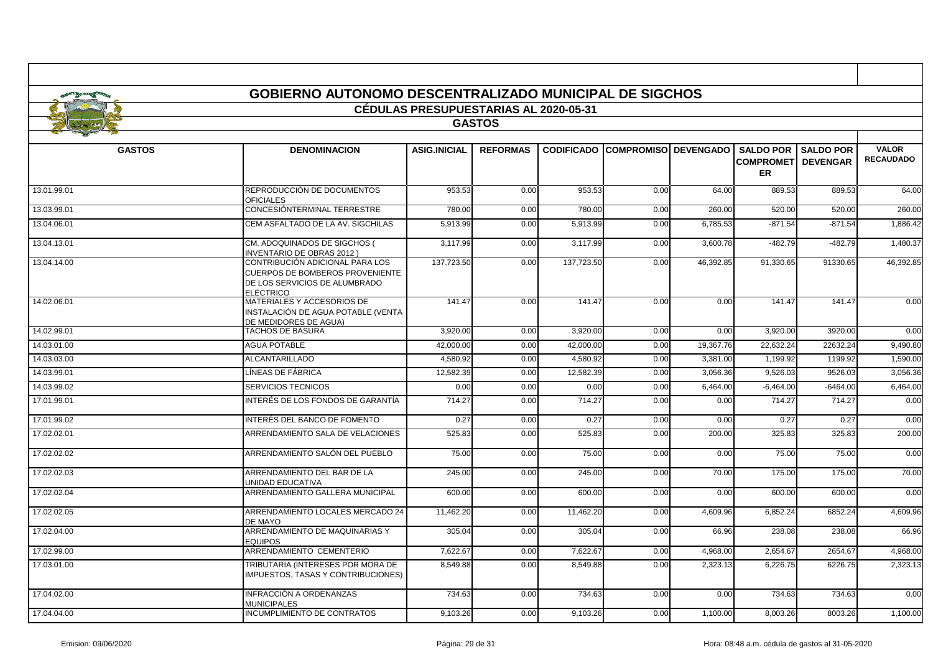|               | <b>GOBIERNO AUTONOMO DESCENTRALIZADO MUNICIPAL DE SIGCHOS</b>                                                           |                                              |                 |                   |                             |           |                                         |                            |                                  |
|---------------|-------------------------------------------------------------------------------------------------------------------------|----------------------------------------------|-----------------|-------------------|-----------------------------|-----------|-----------------------------------------|----------------------------|----------------------------------|
|               |                                                                                                                         | <b>CÉDULAS PRESUPUESTARIAS AL 2020-05-31</b> |                 |                   |                             |           |                                         |                            |                                  |
| <b>GASTOS</b> |                                                                                                                         |                                              |                 |                   |                             |           |                                         |                            |                                  |
|               |                                                                                                                         |                                              |                 |                   |                             |           |                                         |                            |                                  |
| <b>GASTOS</b> | <b>DENOMINACION</b>                                                                                                     | <b>ASIG.INICIAL</b>                          | <b>REFORMAS</b> | <b>CODIFICADO</b> | <b>COMPROMISO DEVENGADO</b> |           | <b>COMPROMETI DEVENGAR</b><br><b>ER</b> | <b>SALDO POR SALDO POR</b> | <b>VALOR</b><br><b>RECAUDADO</b> |
| 13.01.99.01   | REPRODUCCIÓN DE DOCUMENTOS<br><b>OFICIALES</b>                                                                          | 953.53                                       | 0.00            | 953.53            | 0.00                        | 64.00     | 889.53                                  | 889.53                     | 64.00                            |
| 13.03.99.01   | CONCESIÓNTERMINAL TERRESTRE                                                                                             | 780.00                                       | 0.00            | 780.00            | 0.00                        | 260.00    | 520.00                                  | 520.00                     | 260.00                           |
| 13.04.06.01   | CEM ASFALTADO DE LA AV. SIGCHILAS                                                                                       | 5,913.99                                     | 0.00            | 5,913.99          | 0.00                        | 6,785.53  | $-871.54$                               | $-871.54$                  | 1,886.42                         |
| 13.04.13.01   | CM. ADOQUINADOS DE SIGCHOS (<br><b>INVENTARIO DE OBRAS 2012)</b>                                                        | 3,117.99                                     | 0.00            | 3,117.99          | 0.00                        | 3,600.78  | $-482.79$                               | $-482.79$                  | 1,480.37                         |
| 13.04.14.00   | CONTRIBUCIÓN ADICIONAL PARA LOS<br>CUERPOS DE BOMBEROS PROVENIENTE<br>DE LOS SERVICIOS DE ALUMBRADO<br><b>ELÉCTRICO</b> | 137,723.50                                   | 0.00            | 137,723.50        | 0.00                        | 46,392.85 | 91,330.65                               | 91330.65                   | 46,392.85                        |
| 14.02.06.01   | MATERIALES Y ACCESORIOS DE<br>INSTALACIÓN DE AGUA POTABLE (VENTA<br>DE MEDIDORES DE AGUA)                               | 141.47                                       | 0.00            | 141.47            | 0.00                        | 0.00      | 141.47                                  | 141.47                     | 0.00                             |
| 14.02.99.01   | <b>TACHOS DE BASURA</b>                                                                                                 | 3.920.00                                     | 0.00            | 3,920.00          | 0.00                        | 0.00      | 3,920.00                                | 3920.00                    | 0.00                             |
| 14.03.01.00   | <b>AGUA POTABLE</b>                                                                                                     | 42,000.00                                    | 0.00            | 42,000.00         | 0.00                        | 19,367.76 | 22,632.24                               | 22632.24                   | 9,490.80                         |
| 14.03.03.00   | <b>ALCANTARILLADO</b>                                                                                                   | 4,580.92                                     | 0.00            | 4,580.92          | 0.00                        | 3,381.00  | 1,199.92                                | 1199.92                    | 1,590.00                         |
| 14.03.99.01   | LÍNEAS DE FÁBRICA                                                                                                       | 12,582.39                                    | 0.00            | 12,582.39         | 0.00                        | 3,056.36  | 9,526.0                                 | 9526.0                     | 3,056.36                         |
| 14.03.99.02   | <b>SERVICIOS TECNICOS</b>                                                                                               | 0.00                                         | 0.00            | 0.00              | 0.00                        | 6.464.00  | $-6.464.00$                             | $-6464.00$                 | 6.464.00                         |
| 17.01.99.01   | INTERÉS DE LOS FONDOS DE GARANTÍA                                                                                       | 714.27                                       | 0.00            | 714.27            | 0.00                        | 0.00      | 714.27                                  | 714.27                     | 0.00                             |
| 17.01.99.02   | INTERÉS DEL BANCO DE FOMENTO                                                                                            | 0.27                                         | 0.00            | 0.27              | 0.00                        | 0.00      | 0.27                                    | 0.27                       | 0.00                             |
| 17.02.02.01   | ARRENDAMIENTO SALA DE VELACIONES                                                                                        | 525.83                                       | 0.00            | 525.83            | 0.00                        | 200.00    | 325.83                                  | 325.83                     | 200.00                           |
| 17.02.02.02   | ARRENDAMIENTO SALÓN DEL PUEBLO                                                                                          | 75.00                                        | 0.00            | 75.00             | 0.00                        | 0.00      | 75.00                                   | 75.00                      | 0.00                             |
| 17.02.02.03   | ARRENDAMIENTO DEL BAR DE LA<br>UNIDAD EDUCATIVA                                                                         | 245.00                                       | 0.00            | 245.00            | 0.00                        | 70.00     | 175.00                                  | 175.00                     | 70.00                            |
| 17.02.02.04   | ARRENDAMIENTO GALLERA MUNICIPAL                                                                                         | 600.00                                       | 0.00            | 600.00            | 0.00                        | 0.00      | 600.00                                  | 600.00                     | 0.00                             |
| 17.02.02.05   | ARRENDAMIENTO LOCALES MERCADO 24<br>DE MAYO                                                                             | 11,462.20                                    | 0.00            | 11,462.20         | 0.00                        | 4,609.96  | 6,852.24                                | 6852.24                    | 4,609.96                         |
| 17.02.04.00   | ARRENDAMIENTO DE MAQUINARIAS Y<br><b>EQUIPOS</b>                                                                        | 305.04                                       | 0.00            | 305.04            | 0.00                        | 66.96     | 238.08                                  | 238.08                     | 66.96                            |
| 17.02.99.00   | ARRENDAMIENTO CEMENTERIO                                                                                                | 7,622.67                                     | 0.00            | 7,622.67          | 0.00                        | 4,968.00  | 2,654.67                                | 2654.67                    | 4,968.00                         |
| 17.03.01.00   | TRIBUTARIA (INTERESES POR MORA DE<br><b>IMPUESTOS, TASAS Y CONTRIBUCIONES)</b>                                          | 8.549.88                                     | 0.00            | 8,549.88          | 0.00                        | 2,323.13  | 6.226.75                                | 6226.75                    | 2,323.13                         |
| 17.04.02.00   | INFRACCIÓN A ORDENANZAS<br><b>MUNICIPALES</b>                                                                           | 734.63                                       | 0.00            | 734.63            | 0.00                        | 0.00      | 734.63                                  | 734.63                     | 0.00                             |
| 17.04.04.00   | <b>INCUMPLIMIENTO DE CONTRATOS</b>                                                                                      | 9.103.26                                     | 0.00            | 9.103.26          | 0.00                        | 1.100.00  | 8.003.26                                | 8003.26                    | 1.100.00                         |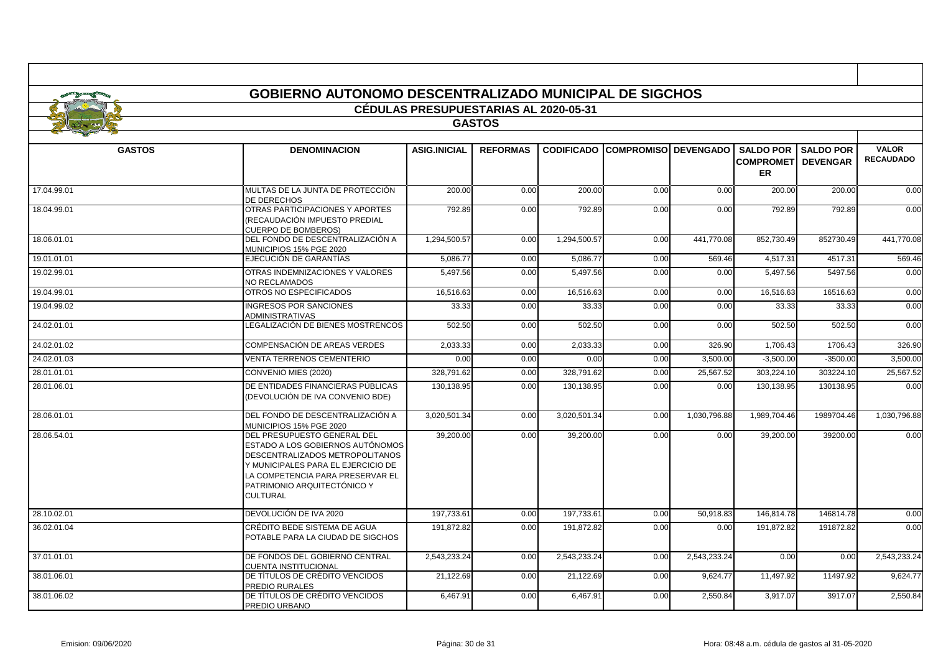|               | <b>GOBIERNO AUTONOMO DESCENTRALIZADO MUNICIPAL DE SIGCHOS</b>                                                                                                                                                                  |                                              |                 |              |                                        |              |                                         |                              |                                  |  |
|---------------|--------------------------------------------------------------------------------------------------------------------------------------------------------------------------------------------------------------------------------|----------------------------------------------|-----------------|--------------|----------------------------------------|--------------|-----------------------------------------|------------------------------|----------------------------------|--|
|               |                                                                                                                                                                                                                                | <b>CÉDULAS PRESUPUESTARIAS AL 2020-05-31</b> |                 |              |                                        |              |                                         |                              |                                  |  |
| <b>GASTOS</b> |                                                                                                                                                                                                                                |                                              |                 |              |                                        |              |                                         |                              |                                  |  |
|               |                                                                                                                                                                                                                                |                                              |                 |              |                                        |              |                                         |                              |                                  |  |
| <b>GASTOS</b> | <b>DENOMINACION</b>                                                                                                                                                                                                            | <b>ASIG.INICIAL</b>                          | <b>REFORMAS</b> |              | <b>CODIFICADO COMPROMISO DEVENGADO</b> |              | <b>COMPROMETI DEVENGAR</b><br><b>ER</b> | <b>SALDO POR I SALDO POR</b> | <b>VALOR</b><br><b>RECAUDADO</b> |  |
| 17.04.99.01   | MULTAS DE LA JUNTA DE PROTECCIÓN<br><b>DE DERECHOS</b>                                                                                                                                                                         | 200.00                                       | 0.00            | 200.00       | 0.00                                   | 0.00         | 200.00                                  | 200.00                       | 0.00                             |  |
| 18.04.99.01   | OTRAS PARTICIPACIONES Y APORTES<br>(RECAUDACIÓN IMPUESTO PREDIAL<br><b>CUERPO DE BOMBEROS)</b>                                                                                                                                 | 792.89                                       | 0.00            | 792.89       | 0.00                                   | 0.00         | 792.89                                  | 792.89                       | 0.00                             |  |
| 18.06.01.01   | DEL FONDO DE DESCENTRALIZACIÓN A<br>MUNICIPIOS 15% PGE 2020                                                                                                                                                                    | 1,294,500.57                                 | 0.00            | 1,294,500.57 | 0.00                                   | 441,770.08   | 852,730.49                              | 852730.49                    | 441,770.08                       |  |
| 19.01.01.01   | EJECUCIÓN DE GARANTÍAS                                                                                                                                                                                                         | 5,086.77                                     | 0.00            | 5,086.77     | 0.00                                   | 569.46       | 4,517.31                                | 4517.31                      | 569.46                           |  |
| 19.02.99.01   | OTRAS INDEMNIZACIONES Y VALORES<br><b>NO RECLAMADOS</b>                                                                                                                                                                        | 5,497.56                                     | 0.00            | 5,497.56     | 0.00                                   | 0.00         | 5,497.56                                | 5497.56                      | 0.00                             |  |
| 19.04.99.01   | OTROS NO ESPECIFICADOS                                                                                                                                                                                                         | 16,516.63                                    | 0.00            | 16,516.63    | 0.00                                   | 0.00         | 16,516.63                               | 16516.63                     | 0.00                             |  |
| 19.04.99.02   | <b>INGRESOS POR SANCIONES</b><br><b>ADMINISTRATIVAS</b>                                                                                                                                                                        | 33.33                                        | 0.00            | 33.33        | 0.00                                   | 0.00         | 33.33                                   | 33.33                        | 0.00                             |  |
| 24.02.01.01   | LEGALIZACIÓN DE BIENES MOSTRENCOS                                                                                                                                                                                              | 502.50                                       | 0.00            | 502.50       | 0.00                                   | 0.00         | 502.50                                  | 502.50                       | 0.00                             |  |
| 24.02.01.02   | COMPENSACIÓN DE AREAS VERDES                                                                                                                                                                                                   | 2,033.33                                     | 0.00            | 2,033.33     | 0.00                                   | 326.90       | 1,706.43                                | 1706.43                      | 326.90                           |  |
| 24.02.01.03   | <b>VENTA TERRENOS CEMENTERIO</b>                                                                                                                                                                                               | 0.00                                         | 0.00            | 0.00         | 0.00                                   | 3,500.00     | $-3,500.00$                             | $-3500.00$                   | 3,500.00                         |  |
| 28.01.01.01   | CONVENIO MIES (2020)                                                                                                                                                                                                           | 328,791.62                                   | 0.00            | 328,791.62   | 0.00                                   | 25,567.52    | 303,224.10                              | 303224.10                    | 25,567.52                        |  |
| 28.01.06.01   | DE ENTIDADES FINANCIERAS PÚBLICAS<br>(DEVOLUCIÓN DE IVA CONVENIO BDE)                                                                                                                                                          | 130,138.95                                   | 0.00            | 130,138.95   | 0.00                                   | 0.00         | 130,138.95                              | 130138.95                    | 0.00                             |  |
| 28.06.01.01   | DEL FONDO DE DESCENTRALIZACIÓN A<br>MUNICIPIOS 15% PGE 2020                                                                                                                                                                    | 3,020,501.34                                 | 0.00            | 3,020,501.34 | 0.00                                   | 1,030,796.88 | 1,989,704.46                            | 1989704.46                   | 1,030,796.88                     |  |
| 28.06.54.01   | DEL PRESUPUESTO GENERAL DEL<br>ESTADO A LOS GOBIERNOS AUTÓNOMOS<br>DESCENTRALIZADOS METROPOLITANOS<br>Y MUNICIPALES PARA EL EJERCICIO DE<br>LA COMPETENCIA PARA PRESERVAR EL<br>PATRIMONIO ARQUITECTÓNICO Y<br><b>CULTURAL</b> | 39,200.00                                    | 0.00            | 39,200.00    | 0.00                                   | 0.00         | 39,200.00                               | 39200.00                     | 0.00                             |  |
| 28.10.02.01   | DEVOLUCIÓN DE IVA 2020                                                                                                                                                                                                         | 197.733.61                                   | 0.00            | 197.733.61   | 0.00                                   | 50.918.83    | 146.814.78                              | 146814.78                    | 0.00                             |  |
| 36.02.01.04   | CRÉDITO BEDE SISTEMA DE AGUA<br>POTABLE PARA LA CIUDAD DE SIGCHOS                                                                                                                                                              | 191.872.82                                   | 0.00            | 191,872.82   | 0.00                                   | 0.00         | 191,872.82                              | 191872.82                    | 0.00                             |  |
| 37.01.01.01   | DE FONDOS DEL GOBIERNO CENTRAL<br><b>CUENTA INSTITUCIONAL</b>                                                                                                                                                                  | 2,543,233.24                                 | 0.00            | 2,543,233.24 | 0.00                                   | 2,543,233.24 | 0.00                                    | 0.00                         | 2,543,233.24                     |  |
| 38.01.06.01   | DE TÍTULOS DE CRÉDITO VENCIDOS<br>PREDIO RURALES                                                                                                                                                                               | 21,122.69                                    | 0.00            | 21,122.69    | 0.00                                   | 9,624.77     | 11,497.92                               | 11497.92                     | 9,624.77                         |  |
| 38.01.06.02   | DE TÍTULOS DE CRÉDITO VENCIDOS<br>PREDIO URBANO                                                                                                                                                                                | 6,467.91                                     | 0.00            | 6,467.91     | 0.00                                   | 2,550.84     | 3,917.07                                | 3917.07                      | 2,550.84                         |  |